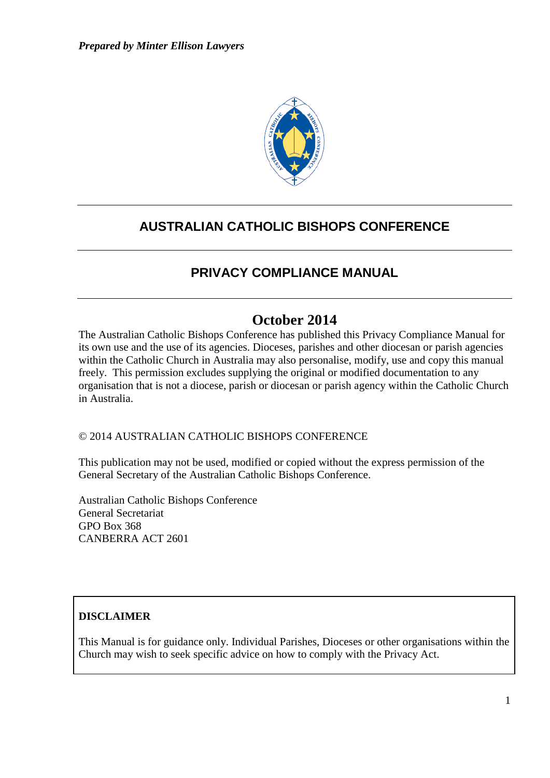

### **AUSTRALIAN CATHOLIC BISHOPS CONFERENCE**

### **PRIVACY COMPLIANCE MANUAL**

### **October 2014**

The Australian Catholic Bishops Conference has published this Privacy Compliance Manual for its own use and the use of its agencies. Dioceses, parishes and other diocesan or parish agencies within the Catholic Church in Australia may also personalise, modify, use and copy this manual freely. This permission excludes supplying the original or modified documentation to any organisation that is not a diocese, parish or diocesan or parish agency within the Catholic Church in Australia.

#### © 2014 AUSTRALIAN CATHOLIC BISHOPS CONFERENCE

This publication may not be used, modified or copied without the express permission of the General Secretary of the Australian Catholic Bishops Conference.

Australian Catholic Bishops Conference General Secretariat GPO Box 368 CANBERRA ACT 2601

### **DISCLAIMER**

This Manual is for guidance only. Individual Parishes, Dioceses or other organisations within the Church may wish to seek specific advice on how to comply with the Privacy Act.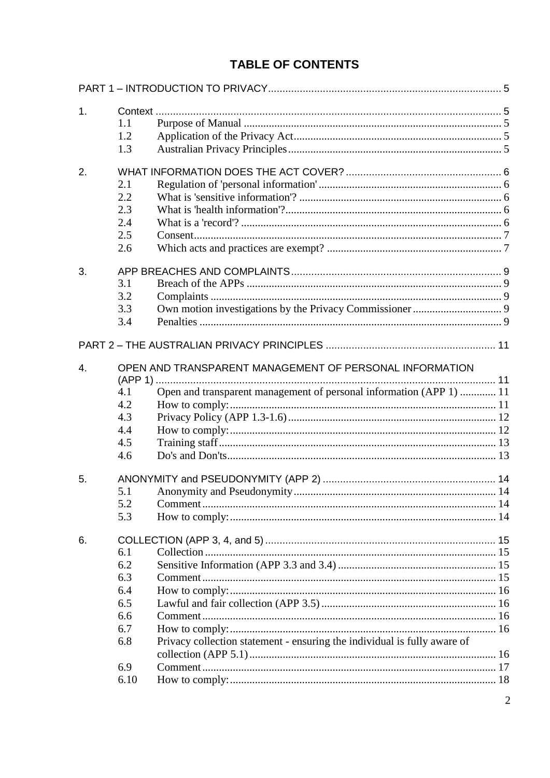### **TABLE OF CONTENTS**

| 1. |      |                                                                          |  |  |  |
|----|------|--------------------------------------------------------------------------|--|--|--|
|    | 1.1  |                                                                          |  |  |  |
|    | 1.2  |                                                                          |  |  |  |
|    | 1.3  |                                                                          |  |  |  |
| 2. |      |                                                                          |  |  |  |
|    | 2.1  |                                                                          |  |  |  |
|    | 2.2  |                                                                          |  |  |  |
|    | 2.3  |                                                                          |  |  |  |
|    | 2.4  |                                                                          |  |  |  |
|    | 2.5  |                                                                          |  |  |  |
|    | 2.6  |                                                                          |  |  |  |
| 3. |      |                                                                          |  |  |  |
|    | 3.1  |                                                                          |  |  |  |
|    | 3.2  |                                                                          |  |  |  |
|    | 3.3  |                                                                          |  |  |  |
|    | 3.4  |                                                                          |  |  |  |
|    |      |                                                                          |  |  |  |
| 4. |      | OPEN AND TRANSPARENT MANAGEMENT OF PERSONAL INFORMATION                  |  |  |  |
|    |      |                                                                          |  |  |  |
|    | 4.1  | Open and transparent management of personal information (APP 1)  11      |  |  |  |
|    | 4.2  |                                                                          |  |  |  |
|    | 4.3  |                                                                          |  |  |  |
|    | 4.4  |                                                                          |  |  |  |
|    | 4.5  |                                                                          |  |  |  |
|    | 4.6  |                                                                          |  |  |  |
| 5. |      |                                                                          |  |  |  |
|    | 5.1  |                                                                          |  |  |  |
|    | 5.2  |                                                                          |  |  |  |
|    | 5.3  |                                                                          |  |  |  |
| 6. |      |                                                                          |  |  |  |
|    | 6.1  |                                                                          |  |  |  |
|    | 6.2  |                                                                          |  |  |  |
|    | 6.3  |                                                                          |  |  |  |
|    | 6.4  |                                                                          |  |  |  |
|    | 6.5  |                                                                          |  |  |  |
|    | 6.6  |                                                                          |  |  |  |
|    | 6.7  |                                                                          |  |  |  |
|    | 6.8  | Privacy collection statement - ensuring the individual is fully aware of |  |  |  |
|    |      |                                                                          |  |  |  |
|    | 6.9  |                                                                          |  |  |  |
|    | 6.10 |                                                                          |  |  |  |
|    |      |                                                                          |  |  |  |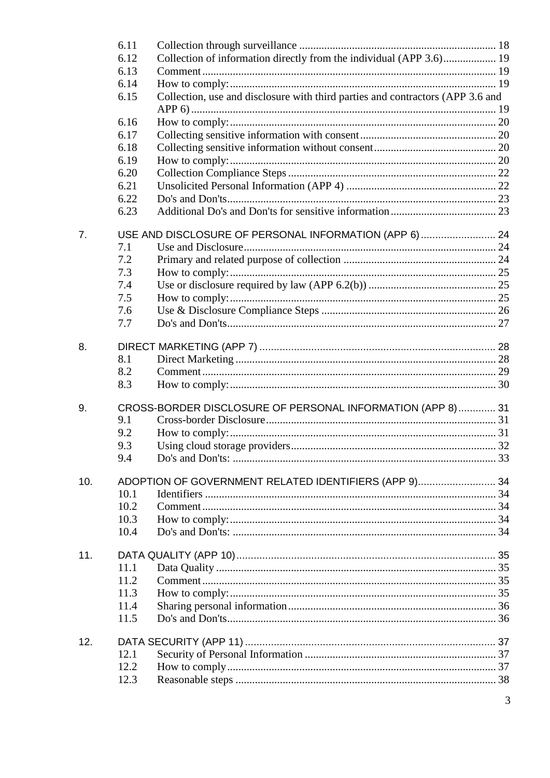|     | 6.11 |                                                                                |  |  |
|-----|------|--------------------------------------------------------------------------------|--|--|
|     | 6.12 | Collection of information directly from the individual (APP 3.6) 19            |  |  |
|     | 6.13 |                                                                                |  |  |
|     | 6.14 |                                                                                |  |  |
|     | 6.15 | Collection, use and disclosure with third parties and contractors (APP 3.6 and |  |  |
|     |      |                                                                                |  |  |
|     | 6.16 |                                                                                |  |  |
|     | 6.17 |                                                                                |  |  |
|     | 6.18 |                                                                                |  |  |
|     | 6.19 |                                                                                |  |  |
|     | 6.20 |                                                                                |  |  |
|     | 6.21 |                                                                                |  |  |
|     | 6.22 |                                                                                |  |  |
|     | 6.23 |                                                                                |  |  |
| 7.  |      | USE AND DISCLOSURE OF PERSONAL INFORMATION (APP 6)  24                         |  |  |
|     | 7.1  |                                                                                |  |  |
|     | 7.2  |                                                                                |  |  |
|     | 7.3  |                                                                                |  |  |
|     | 7.4  |                                                                                |  |  |
|     | 7.5  |                                                                                |  |  |
|     | 7.6  |                                                                                |  |  |
|     | 7.7  |                                                                                |  |  |
| 8.  |      |                                                                                |  |  |
|     | 8.1  |                                                                                |  |  |
|     | 8.2  |                                                                                |  |  |
|     | 8.3  |                                                                                |  |  |
| 9.  |      | CROSS-BORDER DISCLOSURE OF PERSONAL INFORMATION (APP 8) 31                     |  |  |
|     | 9.1  |                                                                                |  |  |
|     | 9.2  |                                                                                |  |  |
|     | 9.3  |                                                                                |  |  |
|     | 9.4  |                                                                                |  |  |
| 10. |      | ADOPTION OF GOVERNMENT RELATED IDENTIFIERS (APP 9) 34                          |  |  |
|     | 10.1 |                                                                                |  |  |
|     | 10.2 |                                                                                |  |  |
|     | 10.3 |                                                                                |  |  |
|     | 10.4 |                                                                                |  |  |
| 11. |      |                                                                                |  |  |
|     | 11.1 |                                                                                |  |  |
|     | 11.2 |                                                                                |  |  |
|     | 11.3 |                                                                                |  |  |
|     | 11.4 |                                                                                |  |  |
|     | 11.5 |                                                                                |  |  |
| 12. |      |                                                                                |  |  |
|     | 12.1 |                                                                                |  |  |
|     | 12.2 |                                                                                |  |  |
|     | 12.3 |                                                                                |  |  |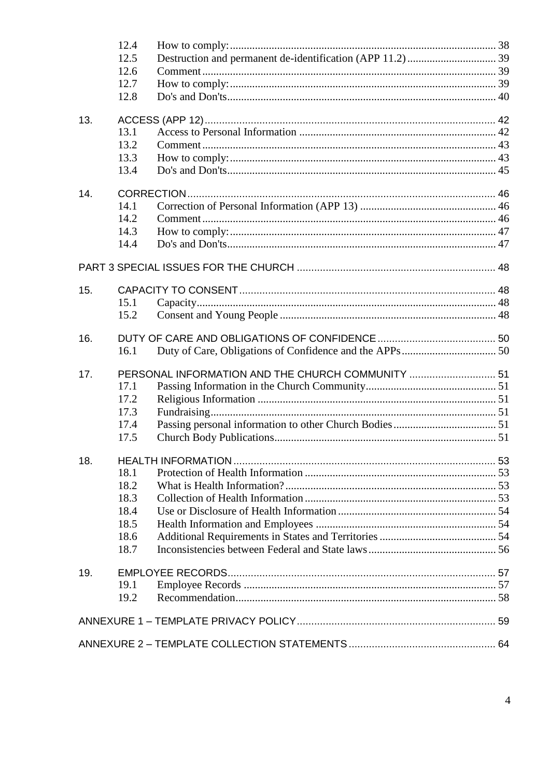|     | 12.4         |                                                   |  |
|-----|--------------|---------------------------------------------------|--|
|     | 12.5         |                                                   |  |
|     | 12.6         |                                                   |  |
|     | 12.7         |                                                   |  |
|     | 12.8         |                                                   |  |
| 13. |              |                                                   |  |
|     | 13.1         |                                                   |  |
|     | 13.2         |                                                   |  |
|     | 13.3<br>13.4 |                                                   |  |
|     |              |                                                   |  |
| 14. |              |                                                   |  |
|     | 14.1         |                                                   |  |
|     | 14.2         |                                                   |  |
|     | 14.3         |                                                   |  |
|     | 14.4         |                                                   |  |
|     |              |                                                   |  |
| 15. |              |                                                   |  |
|     | 15.1         |                                                   |  |
|     | 15.2         |                                                   |  |
| 16. |              |                                                   |  |
|     | 16.1         |                                                   |  |
| 17. |              | PERSONAL INFORMATION AND THE CHURCH COMMUNITY  51 |  |
|     | 17.1         |                                                   |  |
|     | 17.2         |                                                   |  |
|     | 17.3         |                                                   |  |
|     | 17.4         |                                                   |  |
|     | 17.5         |                                                   |  |
|     |              |                                                   |  |
| 18. |              |                                                   |  |
|     | 18.1         |                                                   |  |
|     | 18.2<br>18.3 |                                                   |  |
|     | 18.4         |                                                   |  |
|     | 18.5         |                                                   |  |
|     | 18.6         |                                                   |  |
|     | 18.7         |                                                   |  |
|     |              |                                                   |  |
| 19. | 19.1         |                                                   |  |
|     | 19.2         |                                                   |  |
|     |              |                                                   |  |
|     |              |                                                   |  |
|     |              |                                                   |  |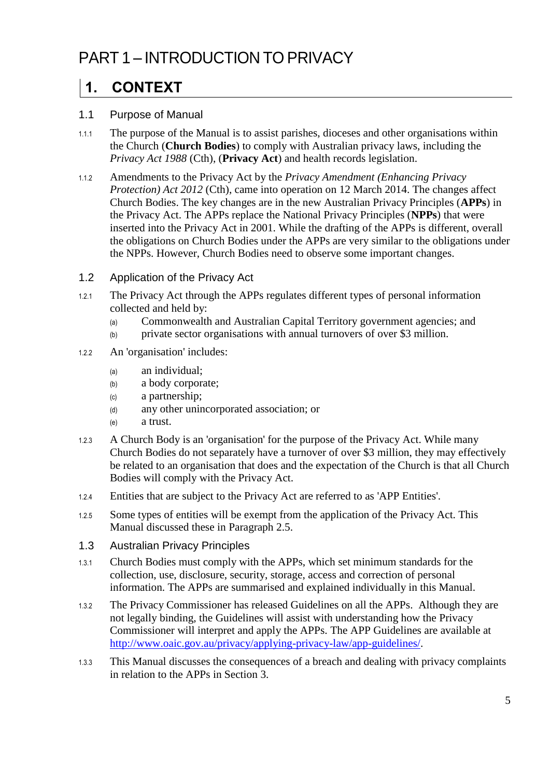# <span id="page-4-0"></span>PART 1 – INTRODUCTION TO PRIVACY

## <span id="page-4-1"></span>**1. CONTEXT**

#### <span id="page-4-2"></span>1.1 Purpose of Manual

- 1.1.1 The purpose of the Manual is to assist parishes, dioceses and other organisations within the Church (**Church Bodies**) to comply with Australian privacy laws, including the *Privacy Act 1988* (Cth), (**Privacy Act**) and health records legislation.
- 1.1.2 Amendments to the Privacy Act by the *Privacy Amendment (Enhancing Privacy Protection) Act 2012* (Cth), came into operation on 12 March 2014. The changes affect Church Bodies. The key changes are in the new Australian Privacy Principles (**APPs**) in the Privacy Act. The APPs replace the National Privacy Principles (**NPPs**) that were inserted into the Privacy Act in 2001. While the drafting of the APPs is different, overall the obligations on Church Bodies under the APPs are very similar to the obligations under the NPPs. However, Church Bodies need to observe some important changes.
- <span id="page-4-3"></span>1.2 Application of the Privacy Act
- 1.2.1 The Privacy Act through the APPs regulates different types of personal information collected and held by:
	- (a) Commonwealth and Australian Capital Territory government agencies; and
	- (b) private sector organisations with annual turnovers of over \$3 million.
- 1.2.2 An 'organisation' includes:
	- (a) an individual;
	- (b) a body corporate;
	- (c) a partnership;
	- (d) any other unincorporated association; or
	- (e) a trust.
- 1.2.3 A Church Body is an 'organisation' for the purpose of the Privacy Act. While many Church Bodies do not separately have a turnover of over \$3 million, they may effectively be related to an organisation that does and the expectation of the Church is that all Church Bodies will comply with the Privacy Act.
- 1.2.4 Entities that are subject to the Privacy Act are referred to as 'APP Entities'.
- 1.2.5 Some types of entities will be exempt from the application of the Privacy Act. This Manual discussed these in Paragraph [2.5.](#page-6-0)
- <span id="page-4-4"></span>1.3 Australian Privacy Principles
- 1.3.1 Church Bodies must comply with the APPs, which set minimum standards for the collection, use, disclosure, security, storage, access and correction of personal information. The APPs are summarised and explained individually in this Manual.
- 1.3.2 The Privacy Commissioner has released Guidelines on all the APPs. Although they are not legally binding, the Guidelines will assist with understanding how the Privacy Commissioner will interpret and apply the APPs. The APP Guidelines are available at [http://www.oaic.gov.au/privacy/applying-privacy-law/app-guidelines/.](http://www.oaic.gov.au/privacy/applying-privacy-law/app-guidelines/)
- 1.3.3 This Manual discusses the consequences of a breach and dealing with privacy complaints in relation to the APPs in Section [3.](#page-8-0)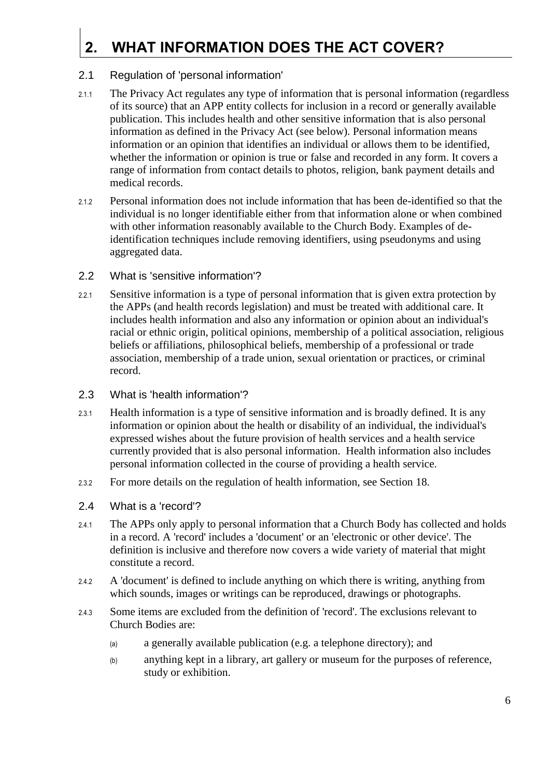# <span id="page-5-0"></span>**2. WHAT INFORMATION DOES THE ACT COVER?**

#### <span id="page-5-1"></span>2.1 Regulation of 'personal information'

- 2.1.1 The Privacy Act regulates any type of information that is personal information (regardless of its source) that an APP entity collects for inclusion in a record or generally available publication. This includes health and other sensitive information that is also personal information as defined in the Privacy Act (see below). Personal information means information or an opinion that identifies an individual or allows them to be identified, whether the information or opinion is true or false and recorded in any form. It covers a range of information from contact details to photos, religion, bank payment details and medical records.
- 2.1.2 Personal information does not include information that has been de-identified so that the individual is no longer identifiable either from that information alone or when combined with other information reasonably available to the Church Body. Examples of deidentification techniques include removing identifiers, using pseudonyms and using aggregated data.
- <span id="page-5-2"></span>2.2 What is 'sensitive information'?
- 2.2.1 Sensitive information is a type of personal information that is given extra protection by the APPs (and health records legislation) and must be treated with additional care. It includes health information and also any information or opinion about an individual's racial or ethnic origin, political opinions, membership of a political association, religious beliefs or affiliations, philosophical beliefs, membership of a professional or trade association, membership of a trade union, sexual orientation or practices, or criminal record.
- <span id="page-5-3"></span>2.3 What is 'health information'?
- 2.3.1 Health information is a type of sensitive information and is broadly defined. It is any information or opinion about the health or disability of an individual, the individual's expressed wishes about the future provision of health services and a health service currently provided that is also personal information. Health information also includes personal information collected in the course of providing a health service.
- 2.3.2 For more details on the regulation of health information, see Section [18.](#page-52-0)
- <span id="page-5-4"></span>2.4 What is a 'record'?
- 2.4.1 The APPs only apply to personal information that a Church Body has collected and holds in a record. A 'record' includes a 'document' or an 'electronic or other device'. The definition is inclusive and therefore now covers a wide variety of material that might constitute a record.
- 2.4.2 A 'document' is defined to include anything on which there is writing, anything from which sounds, images or writings can be reproduced, drawings or photographs.
- 2.4.3 Some items are excluded from the definition of 'record'. The exclusions relevant to Church Bodies are:
	- (a) a generally available publication (e.g. a telephone directory); and
	- (b) anything kept in a library, art gallery or museum for the purposes of reference, study or exhibition.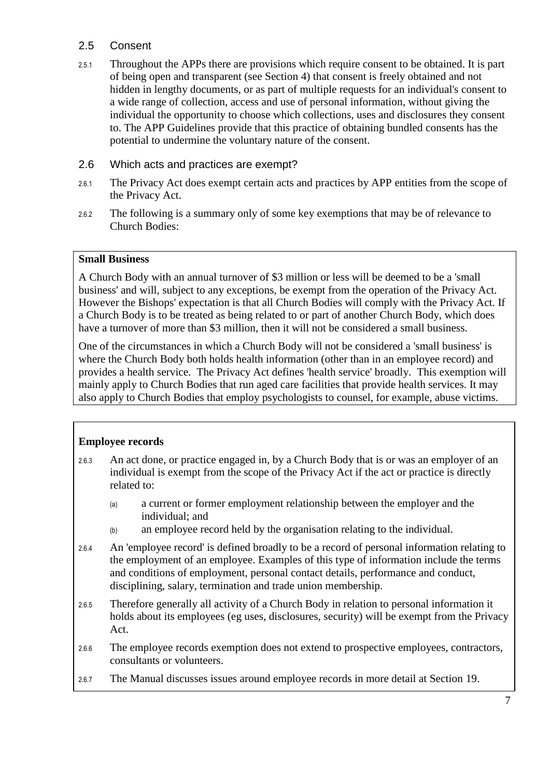#### <span id="page-6-0"></span>2.5 Consent

- 2.5.1 Throughout the APPs there are provisions which require consent to be obtained. It is part of being open and transparent (see Section [4\)](#page-10-0) that consent is freely obtained and not hidden in lengthy documents, or as part of multiple requests for an individual's consent to a wide range of collection, access and use of personal information, without giving the individual the opportunity to choose which collections, uses and disclosures they consent to. The APP Guidelines provide that this practice of obtaining bundled consents has the potential to undermine the voluntary nature of the consent.
- <span id="page-6-1"></span>2.6 Which acts and practices are exempt?
- 2.6.1 The Privacy Act does exempt certain acts and practices by APP entities from the scope of the Privacy Act.
- 2.6.2 The following is a summary only of some key exemptions that may be of relevance to Church Bodies:

#### **Small Business**

A Church Body with an annual turnover of \$3 million or less will be deemed to be a 'small business' and will, subject to any exceptions, be exempt from the operation of the Privacy Act. However the Bishops' expectation is that all Church Bodies will comply with the Privacy Act. If a Church Body is to be treated as being related to or part of another Church Body, which does have a turnover of more than \$3 million, then it will not be considered a small business.

One of the circumstances in which a Church Body will not be considered a 'small business' is where the Church Body both holds health information (other than in an employee record) and provides a health service. The Privacy Act defines 'health service' broadly. This exemption will mainly apply to Church Bodies that run aged care facilities that provide health services. It may also apply to Church Bodies that employ psychologists to counsel, for example, abuse victims.

#### **Employee records**

- 2.6.3 An act done, or practice engaged in, by a Church Body that is or was an employer of an individual is exempt from the scope of the Privacy Act if the act or practice is directly related to:
	- (a) a current or former employment relationship between the employer and the individual; and
	- (b) an employee record held by the organisation relating to the individual.
- 2.6.4 An 'employee record' is defined broadly to be a record of personal information relating to the employment of an employee. Examples of this type of information include the terms and conditions of employment, personal contact details, performance and conduct, disciplining, salary, termination and trade union membership.
- 2.6.5 Therefore generally all activity of a Church Body in relation to personal information it holds about its employees (eg uses, disclosures, security) will be exempt from the Privacy Act.
- 2.6.6 The employee records exemption does not extend to prospective employees, contractors, consultants or volunteers.
- 2.6.7 The Manual discusses issues around employee records in more detail at Section [19.](#page-56-0)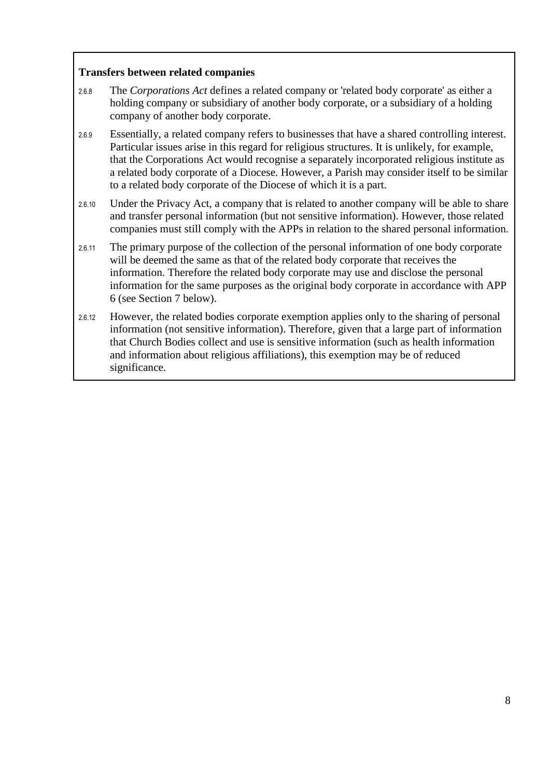#### **Transfers between related companies**

- <span id="page-7-0"></span>2.6.8 The *Corporations Act* defines a related company or 'related body corporate' as either a holding company or subsidiary of another body corporate, or a subsidiary of a holding company of another body corporate.
- 2.6.9 Essentially, a related company refers to businesses that have a shared controlling interest. Particular issues arise in this regard for religious structures. It is unlikely, for example, that the Corporations Act would recognise a separately incorporated religious institute as a related body corporate of a Diocese. However, a Parish may consider itself to be similar to a related body corporate of the Diocese of which it is a part.
- 2.6.10 Under the Privacy Act, a company that is related to another company will be able to share and transfer personal information (but not sensitive information). However, those related companies must still comply with the APPs in relation to the shared personal information.
- 2.6.11 The primary purpose of the collection of the personal information of one body corporate will be deemed the same as that of the related body corporate that receives the information. Therefore the related body corporate may use and disclose the personal information for the same purposes as the original body corporate in accordance with APP 6 (see Section [7](#page-23-0) below).
- 2.6.12 However, the related bodies corporate exemption applies only to the sharing of personal information (not sensitive information). Therefore, given that a large part of information that Church Bodies collect and use is sensitive information (such as health information and information about religious affiliations), this exemption may be of reduced significance.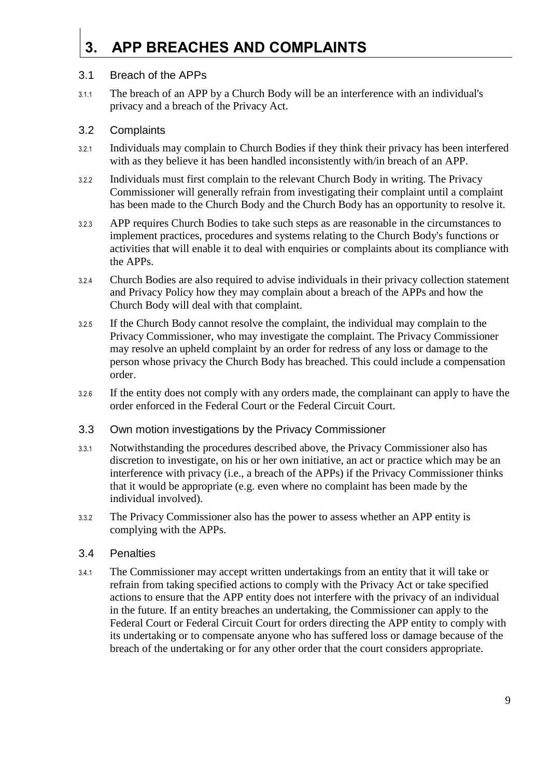# <span id="page-8-0"></span>**3. APP BREACHES AND COMPLAINTS**

#### <span id="page-8-1"></span>3.1 Breach of the APPs

3.1.1 The breach of an APP by a Church Body will be an interference with an individual's privacy and a breach of the Privacy Act.

#### <span id="page-8-2"></span>3.2 Complaints

- 3.2.1 Individuals may complain to Church Bodies if they think their privacy has been interfered with as they believe it has been handled inconsistently with/in breach of an APP.
- 3.2.2 Individuals must first complain to the relevant Church Body in writing. The Privacy Commissioner will generally refrain from investigating their complaint until a complaint has been made to the Church Body and the Church Body has an opportunity to resolve it.
- 3.2.3 APP requires Church Bodies to take such steps as are reasonable in the circumstances to implement practices, procedures and systems relating to the Church Body's functions or activities that will enable it to deal with enquiries or complaints about its compliance with the APPs.
- 3.2.4 Church Bodies are also required to advise individuals in their privacy collection statement and Privacy Policy how they may complain about a breach of the APPs and how the Church Body will deal with that complaint.
- 3.2.5 If the Church Body cannot resolve the complaint, the individual may complain to the Privacy Commissioner, who may investigate the complaint. The Privacy Commissioner may resolve an upheld complaint by an order for redress of any loss or damage to the person whose privacy the Church Body has breached. This could include a compensation order.
- 3.2.6 If the entity does not comply with any orders made, the complainant can apply to have the order enforced in the Federal Court or the Federal Circuit Court.
- <span id="page-8-3"></span>3.3 Own motion investigations by the Privacy Commissioner
- 3.3.1 Notwithstanding the procedures described above, the Privacy Commissioner also has discretion to investigate, on his or her own initiative, an act or practice which may be an interference with privacy (i.e., a breach of the APPs) if the Privacy Commissioner thinks that it would be appropriate (e.g. even where no complaint has been made by the individual involved).
- 3.3.2 The Privacy Commissioner also has the power to assess whether an APP entity is complying with the APPs.

#### <span id="page-8-4"></span>3.4 Penalties

3.4.1 The Commissioner may accept written undertakings from an entity that it will take or refrain from taking specified actions to comply with the Privacy Act or take specified actions to ensure that the APP entity does not interfere with the privacy of an individual in the future. If an entity breaches an undertaking, the Commissioner can apply to the Federal Court or Federal Circuit Court for orders directing the APP entity to comply with its undertaking or to compensate anyone who has suffered loss or damage because of the breach of the undertaking or for any other order that the court considers appropriate.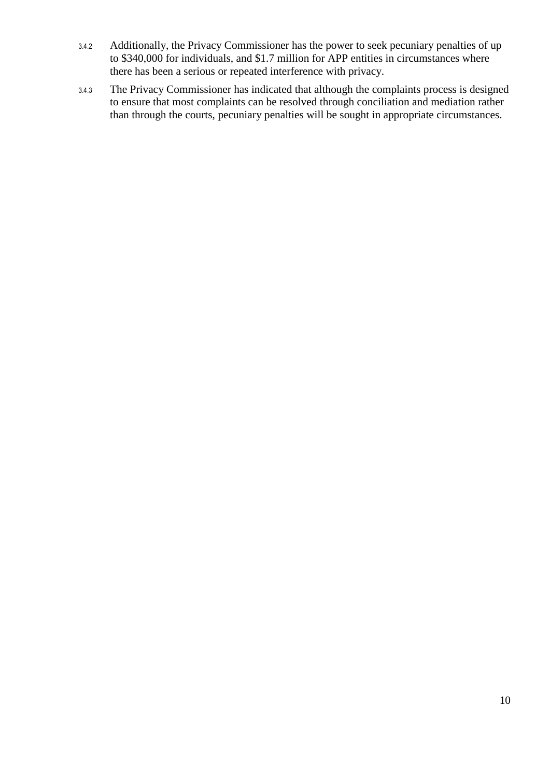- 3.4.2 Additionally, the Privacy Commissioner has the power to seek pecuniary penalties of up to \$340,000 for individuals, and \$1.7 million for APP entities in circumstances where there has been a serious or repeated interference with privacy.
- <span id="page-9-0"></span>3.4.3 The Privacy Commissioner has indicated that although the complaints process is designed to ensure that most complaints can be resolved through conciliation and mediation rather than through the courts, pecuniary penalties will be sought in appropriate circumstances.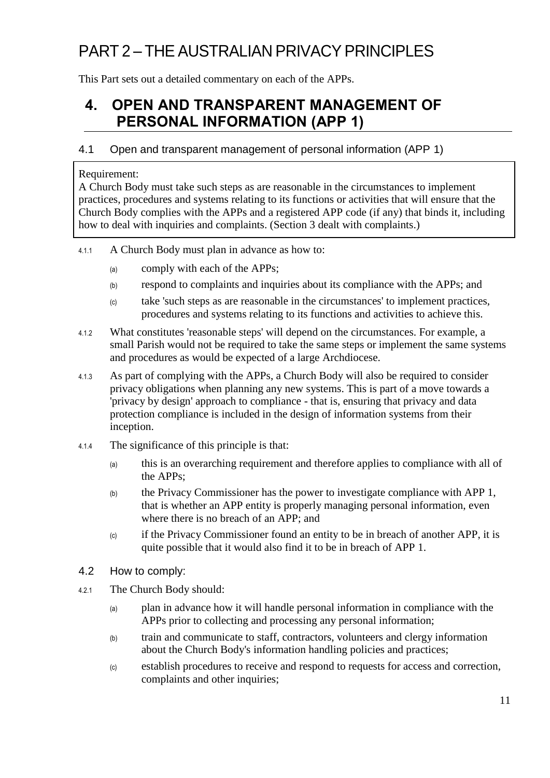# PART 2 – THE AUSTRALIAN PRIVACY PRINCIPLES

This Part sets out a detailed commentary on each of the APPs.

### <span id="page-10-0"></span>**4. OPEN AND TRANSPARENT MANAGEMENT OF PERSONAL INFORMATION (APP 1)**

#### <span id="page-10-1"></span>4.1 Open and transparent management of personal information (APP 1)

#### Requirement:

A Church Body must take such steps as are reasonable in the circumstances to implement practices, procedures and systems relating to its functions or activities that will ensure that the Church Body complies with the APPs and a registered APP code (if any) that binds it, including how to deal with inquiries and complaints. (Section [3](#page-8-0) dealt with complaints.)

- 4.1.1 A Church Body must plan in advance as how to:
	- (a) comply with each of the APPs;
	- (b) respond to complaints and inquiries about its compliance with the APPs; and
	- (c) take 'such steps as are reasonable in the circumstances' to implement practices, procedures and systems relating to its functions and activities to achieve this.
- 4.1.2 What constitutes 'reasonable steps' will depend on the circumstances. For example, a small Parish would not be required to take the same steps or implement the same systems and procedures as would be expected of a large Archdiocese.
- 4.1.3 As part of complying with the APPs, a Church Body will also be required to consider privacy obligations when planning any new systems. This is part of a move towards a 'privacy by design' approach to compliance - that is, ensuring that privacy and data protection compliance is included in the design of information systems from their inception.
- 4.1.4 The significance of this principle is that:
	- (a) this is an overarching requirement and therefore applies to compliance with all of the APPs;
	- (b) the Privacy Commissioner has the power to investigate compliance with APP 1, that is whether an APP entity is properly managing personal information, even where there is no breach of an APP; and
	- (c) if the Privacy Commissioner found an entity to be in breach of another APP, it is quite possible that it would also find it to be in breach of APP 1.
- <span id="page-10-2"></span>4.2 How to comply:
- 4.2.1 The Church Body should:
	- (a) plan in advance how it will handle personal information in compliance with the APPs prior to collecting and processing any personal information;
	- (b) train and communicate to staff, contractors, volunteers and clergy information about the Church Body's information handling policies and practices;
	- (c) establish procedures to receive and respond to requests for access and correction, complaints and other inquiries;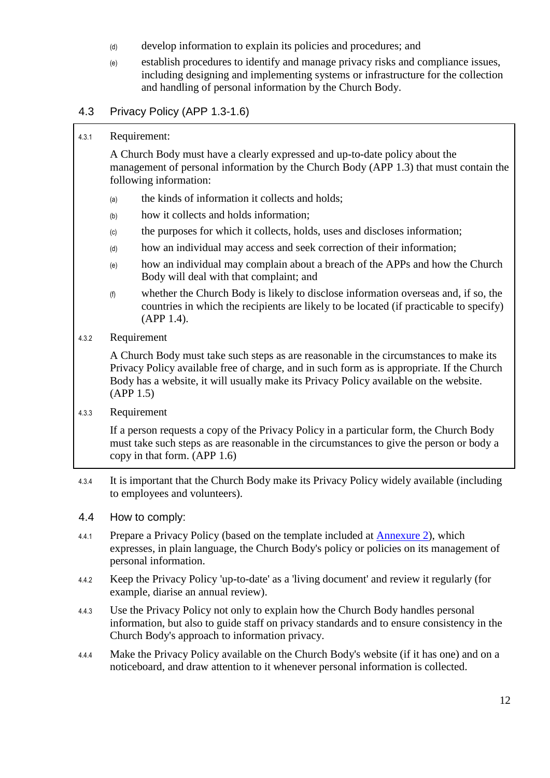- (d) develop information to explain its policies and procedures; and
- (e) establish procedures to identify and manage privacy risks and compliance issues, including designing and implementing systems or infrastructure for the collection and handling of personal information by the Church Body.

#### <span id="page-11-0"></span>4.3 Privacy Policy (APP 1.3-1.6)

#### 4.3.1 Requirement:

A Church Body must have a clearly expressed and up-to-date policy about the management of personal information by the Church Body (APP 1.3) that must contain the following information:

- (a) the kinds of information it collects and holds;
- (b) how it collects and holds information;
- (c) the purposes for which it collects, holds, uses and discloses information;
- (d) how an individual may access and seek correction of their information;
- (e) how an individual may complain about a breach of the APPs and how the Church Body will deal with that complaint; and
- (f) whether the Church Body is likely to disclose information overseas and, if so, the countries in which the recipients are likely to be located (if practicable to specify) (APP 1.4).
- 4.3.2 Requirement

A Church Body must take such steps as are reasonable in the circumstances to make its Privacy Policy available free of charge, and in such form as is appropriate. If the Church Body has a website, it will usually make its Privacy Policy available on the website. (APP 1.5)

4.3.3 Requirement

If a person requests a copy of the Privacy Policy in a particular form, the Church Body must take such steps as are reasonable in the circumstances to give the person or body a copy in that form. (APP 1.6)

- 4.3.4 It is important that the Church Body make its Privacy Policy widely available (including to employees and volunteers).
- <span id="page-11-1"></span>4.4 How to comply:
- 4.4.1 Prepare a Privacy Policy (based on the template included at [Annexure 2\)](#page-63-0), which expresses, in plain language, the Church Body's policy or policies on its management of personal information.
- 4.4.2 Keep the Privacy Policy 'up-to-date' as a 'living document' and review it regularly (for example, diarise an annual review).
- 4.4.3 Use the Privacy Policy not only to explain how the Church Body handles personal information, but also to guide staff on privacy standards and to ensure consistency in the Church Body's approach to information privacy.
- 4.4.4 Make the Privacy Policy available on the Church Body's website (if it has one) and on a noticeboard, and draw attention to it whenever personal information is collected.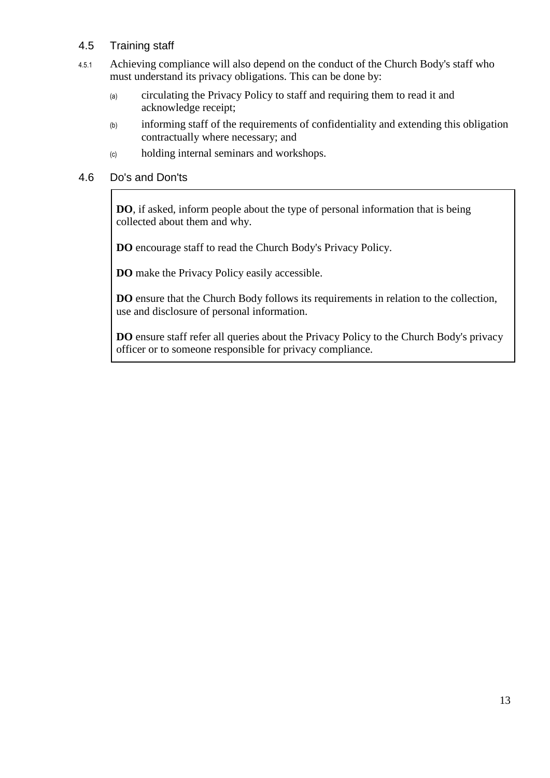#### <span id="page-12-0"></span>4.5 Training staff

- 4.5.1 Achieving compliance will also depend on the conduct of the Church Body's staff who must understand its privacy obligations. This can be done by:
	- (a) circulating the Privacy Policy to staff and requiring them to read it and acknowledge receipt;
	- (b) informing staff of the requirements of confidentiality and extending this obligation contractually where necessary; and
	- (c) holding internal seminars and workshops.

#### <span id="page-12-1"></span>4.6 Do's and Don'ts

**DO**, if asked, inform people about the type of personal information that is being collected about them and why.

**DO** encourage staff to read the Church Body's Privacy Policy.

**DO** make the Privacy Policy easily accessible.

**DO** ensure that the Church Body follows its requirements in relation to the collection, use and disclosure of personal information.

**DO** ensure staff refer all queries about the Privacy Policy to the Church Body's privacy officer or to someone responsible for privacy compliance.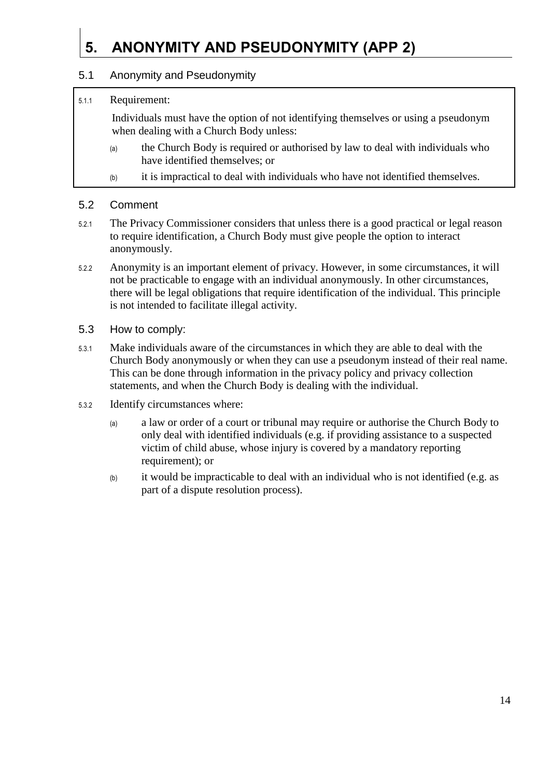# <span id="page-13-0"></span>**5. ANONYMITY AND PSEUDONYMITY (APP 2)**

#### <span id="page-13-1"></span>5.1 Anonymity and Pseudonymity

#### 5.1.1 Requirement:

Individuals must have the option of not identifying themselves or using a pseudonym when dealing with a Church Body unless:

- (a) the Church Body is required or authorised by law to deal with individuals who have identified themselves; or
- (b) it is impractical to deal with individuals who have not identified themselves.

#### <span id="page-13-2"></span>5.2 Comment

- 5.2.1 The Privacy Commissioner considers that unless there is a good practical or legal reason to require identification, a Church Body must give people the option to interact anonymously.
- 5.2.2 Anonymity is an important element of privacy. However, in some circumstances, it will not be practicable to engage with an individual anonymously. In other circumstances, there will be legal obligations that require identification of the individual. This principle is not intended to facilitate illegal activity.
- <span id="page-13-3"></span>5.3 How to comply:
- 5.3.1 Make individuals aware of the circumstances in which they are able to deal with the Church Body anonymously or when they can use a pseudonym instead of their real name. This can be done through information in the privacy policy and privacy collection statements, and when the Church Body is dealing with the individual.
- 5.3.2 Identify circumstances where:
	- (a) a law or order of a court or tribunal may require or authorise the Church Body to only deal with identified individuals (e.g. if providing assistance to a suspected victim of child abuse, whose injury is covered by a mandatory reporting requirement); or
	- (b) it would be impracticable to deal with an individual who is not identified (e.g. as part of a dispute resolution process).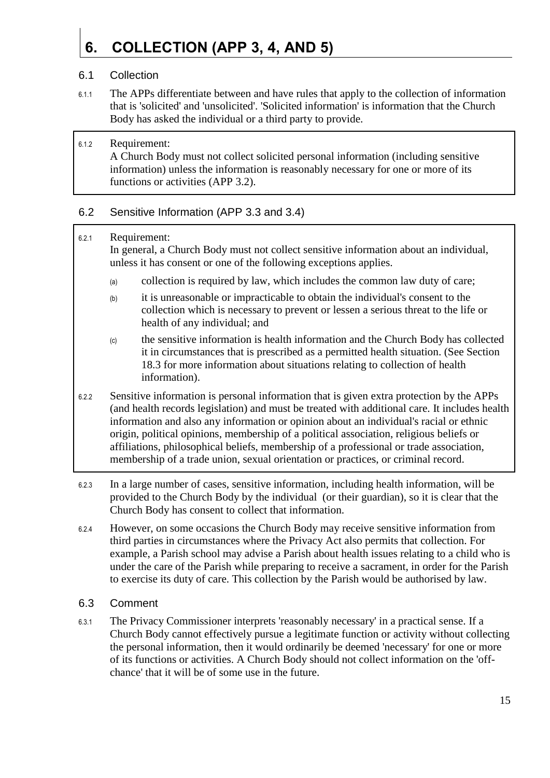# <span id="page-14-0"></span>**6. COLLECTION (APP 3, 4, AND 5)**

#### <span id="page-14-1"></span>6.1 Collection

- 6.1.1 The APPs differentiate between and have rules that apply to the collection of information that is 'solicited' and 'unsolicited'. 'Solicited information' is information that the Church Body has asked the individual or a third party to provide.
- 6.1.2 Requirement: A Church Body must not collect solicited personal information (including sensitive information) unless the information is reasonably necessary for one or more of its functions or activities (APP 3.2).

#### <span id="page-14-2"></span>6.2 Sensitive Information (APP 3.3 and 3.4)

#### 6.2.1 Requirement:

In general, a Church Body must not collect sensitive information about an individual, unless it has consent or one of the following exceptions applies.

- (a) collection is required by law, which includes the common law duty of care;
- (b) it is unreasonable or impracticable to obtain the individual's consent to the collection which is necessary to prevent or lessen a serious threat to the life or health of any individual; and
- (c) the sensitive information is health information and the Church Body has collected it in circumstances that is prescribed as a permitted health situation. (See Section [18.3](#page-52-3) for more information about situations relating to collection of health information).
- 6.2.2 Sensitive information is personal information that is given extra protection by the APPs (and health records legislation) and must be treated with additional care. It includes health information and also any information or opinion about an individual's racial or ethnic origin, political opinions, membership of a political association, religious beliefs or affiliations, philosophical beliefs, membership of a professional or trade association, membership of a trade union, sexual orientation or practices, or criminal record.
- 6.2.3 In a large number of cases, sensitive information, including health information, will be provided to the Church Body by the individual (or their guardian), so it is clear that the Church Body has consent to collect that information.
- 6.2.4 However, on some occasions the Church Body may receive sensitive information from third parties in circumstances where the Privacy Act also permits that collection. For example, a Parish school may advise a Parish about health issues relating to a child who is under the care of the Parish while preparing to receive a sacrament, in order for the Parish to exercise its duty of care. This collection by the Parish would be authorised by law.
- <span id="page-14-3"></span>6.3 Comment
- 6.3.1 The Privacy Commissioner interprets 'reasonably necessary' in a practical sense. If a Church Body cannot effectively pursue a legitimate function or activity without collecting the personal information, then it would ordinarily be deemed 'necessary' for one or more of its functions or activities. A Church Body should not collect information on the 'offchance' that it will be of some use in the future.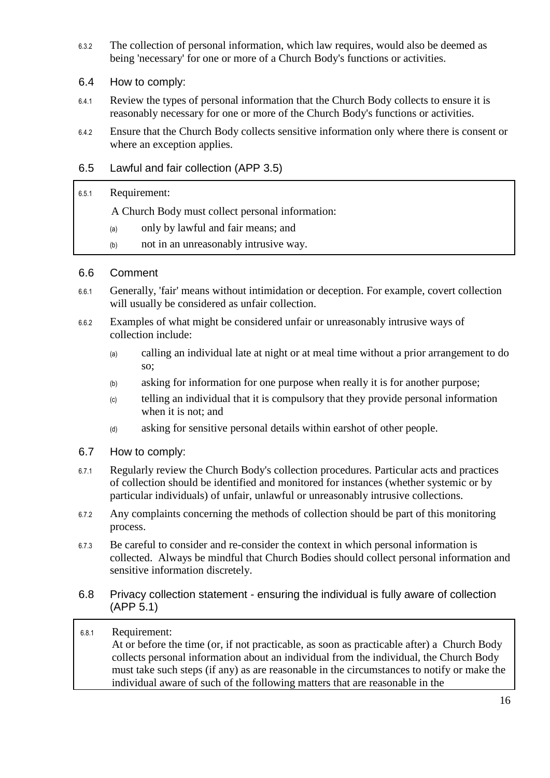- 6.3.2 The collection of personal information, which law requires, would also be deemed as being 'necessary' for one or more of a Church Body's functions or activities.
- <span id="page-15-0"></span>6.4 How to comply:
- 6.4.1 Review the types of personal information that the Church Body collects to ensure it is reasonably necessary for one or more of the Church Body's functions or activities.
- 6.4.2 Ensure that the Church Body collects sensitive information only where there is consent or where an exception applies.

#### <span id="page-15-1"></span>6.5 Lawful and fair collection (APP 3.5)

#### 6.5.1 Requirement:

A Church Body must collect personal information:

- (a) only by lawful and fair means; and
- (b) not in an unreasonably intrusive way.

#### <span id="page-15-2"></span>6.6 Comment

- 6.6.1 Generally, 'fair' means without intimidation or deception. For example, covert collection will usually be considered as unfair collection.
- 6.6.2 Examples of what might be considered unfair or unreasonably intrusive ways of collection include:
	- (a) calling an individual late at night or at meal time without a prior arrangement to do so;
	- (b) asking for information for one purpose when really it is for another purpose;
	- (c) telling an individual that it is compulsory that they provide personal information when it is not; and
	- (d) asking for sensitive personal details within earshot of other people.
- <span id="page-15-3"></span>6.7 How to comply:
- 6.7.1 Regularly review the Church Body's collection procedures. Particular acts and practices of collection should be identified and monitored for instances (whether systemic or by particular individuals) of unfair, unlawful or unreasonably intrusive collections.
- 6.7.2 Any complaints concerning the methods of collection should be part of this monitoring process.
- 6.7.3 Be careful to consider and re-consider the context in which personal information is collected. Always be mindful that Church Bodies should collect personal information and sensitive information discretely.
- <span id="page-15-4"></span>6.8 Privacy collection statement - ensuring the individual is fully aware of collection (APP 5.1)

#### <span id="page-15-5"></span>6.8.1 Requirement: At or before the time (or, if not practicable, as soon as practicable after) a Church Body collects personal information about an individual from the individual, the Church Body must take such steps (if any) as are reasonable in the circumstances to notify or make the individual aware of such of the following matters that are reasonable in the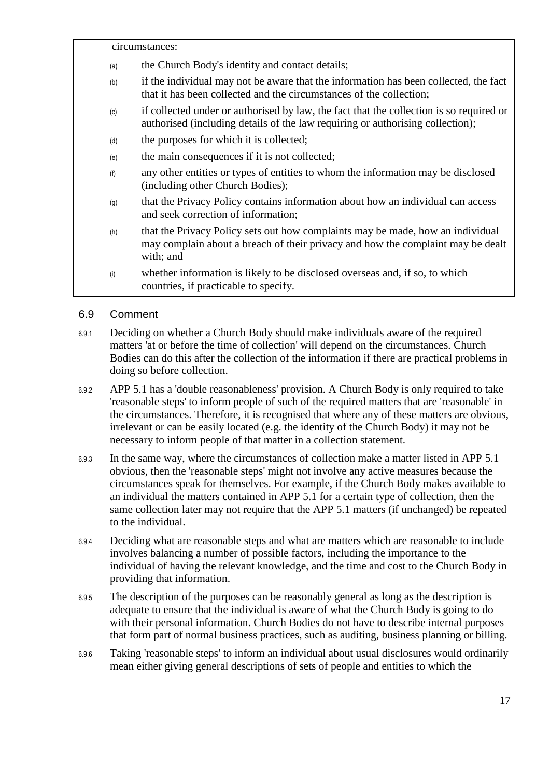circumstances:

- (a) the Church Body's identity and contact details;
- (b) if the individual may not be aware that the information has been collected, the fact that it has been collected and the circumstances of the collection;
- (c) if collected under or authorised by law, the fact that the collection is so required or authorised (including details of the law requiring or authorising collection);
- (d) the purposes for which it is collected;
- (e) the main consequences if it is not collected;
- (f) any other entities or types of entities to whom the information may be disclosed (including other Church Bodies);
- (g) that the Privacy Policy contains information about how an individual can access and seek correction of information;
- (h) that the Privacy Policy sets out how complaints may be made, how an individual may complain about a breach of their privacy and how the complaint may be dealt with; and
- (i) whether information is likely to be disclosed overseas and, if so, to which countries, if practicable to specify.

#### <span id="page-16-0"></span>6.9 Comment

- 6.9.1 Deciding on whether a Church Body should make individuals aware of the required matters 'at or before the time of collection' will depend on the circumstances. Church Bodies can do this after the collection of the information if there are practical problems in doing so before collection.
- 6.9.2 APP 5.1 has a 'double reasonableness' provision. A Church Body is only required to take 'reasonable steps' to inform people of such of the required matters that are 'reasonable' in the circumstances. Therefore, it is recognised that where any of these matters are obvious, irrelevant or can be easily located (e.g. the identity of the Church Body) it may not be necessary to inform people of that matter in a collection statement.
- 6.9.3 In the same way, where the circumstances of collection make a matter listed in APP 5.1 obvious, then the 'reasonable steps' might not involve any active measures because the circumstances speak for themselves. For example, if the Church Body makes available to an individual the matters contained in APP 5.1 for a certain type of collection, then the same collection later may not require that the APP 5.1 matters (if unchanged) be repeated to the individual.
- 6.9.4 Deciding what are reasonable steps and what are matters which are reasonable to include involves balancing a number of possible factors, including the importance to the individual of having the relevant knowledge, and the time and cost to the Church Body in providing that information.
- 6.9.5 The description of the purposes can be reasonably general as long as the description is adequate to ensure that the individual is aware of what the Church Body is going to do with their personal information. Church Bodies do not have to describe internal purposes that form part of normal business practices, such as auditing, business planning or billing.
- 6.9.6 Taking 'reasonable steps' to inform an individual about usual disclosures would ordinarily mean either giving general descriptions of sets of people and entities to which the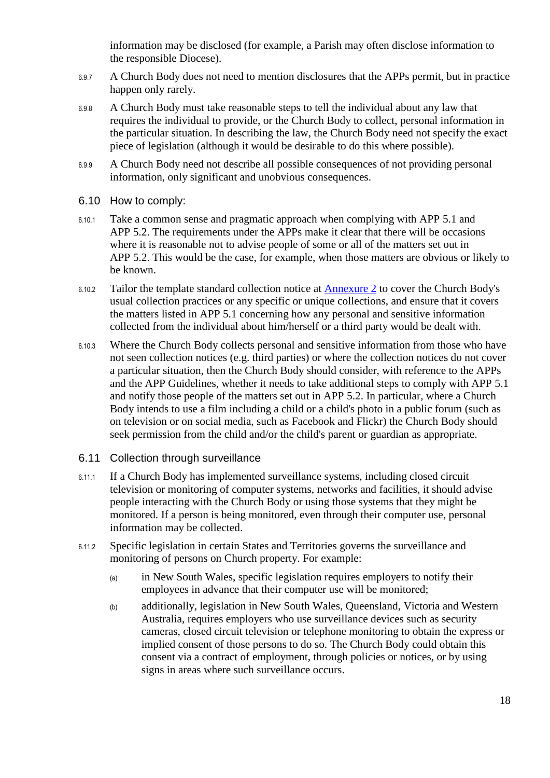information may be disclosed (for example, a Parish may often disclose information to the responsible Diocese).

- 6.9.7 A Church Body does not need to mention disclosures that the APPs permit, but in practice happen only rarely.
- 6.9.8 A Church Body must take reasonable steps to tell the individual about any law that requires the individual to provide, or the Church Body to collect, personal information in the particular situation. In describing the law, the Church Body need not specify the exact piece of legislation (although it would be desirable to do this where possible).
- 6.9.9 A Church Body need not describe all possible consequences of not providing personal information, only significant and unobvious consequences.
- <span id="page-17-0"></span>6.10 How to comply:
- 6.10.1 Take a common sense and pragmatic approach when complying with APP 5.1 and APP 5.2. The requirements under the APPs make it clear that there will be occasions where it is reasonable not to advise people of some or all of the matters set out in APP 5.2. This would be the case, for example, when those matters are obvious or likely to be known.
- 6.10.2 Tailor the template standard collection notice at [Annexure 2](#page-63-0) to cover the Church Body's usual collection practices or any specific or unique collections, and ensure that it covers the matters listed in APP 5.1 concerning how any personal and sensitive information collected from the individual about him/herself or a third party would be dealt with.
- 6.10.3 Where the Church Body collects personal and sensitive information from those who have not seen collection notices (e.g. third parties) or where the collection notices do not cover a particular situation, then the Church Body should consider, with reference to the APPs and the APP Guidelines, whether it needs to take additional steps to comply with APP 5.1 and notify those people of the matters set out in APP 5.2. In particular, where a Church Body intends to use a film including a child or a child's photo in a public forum (such as on television or on social media, such as Facebook and Flickr) the Church Body should seek permission from the child and/or the child's parent or guardian as appropriate.
- <span id="page-17-1"></span>6.11 Collection through surveillance
- 6.11.1 If a Church Body has implemented surveillance systems, including closed circuit television or monitoring of computer systems, networks and facilities, it should advise people interacting with the Church Body or using those systems that they might be monitored. If a person is being monitored, even through their computer use, personal information may be collected.
- 6.11.2 Specific legislation in certain States and Territories governs the surveillance and monitoring of persons on Church property. For example:
	- (a) in New South Wales, specific legislation requires employers to notify their employees in advance that their computer use will be monitored;
	- (b) additionally, legislation in New South Wales, Queensland, Victoria and Western Australia, requires employers who use surveillance devices such as security cameras, closed circuit television or telephone monitoring to obtain the express or implied consent of those persons to do so. The Church Body could obtain this consent via a contract of employment, through policies or notices, or by using signs in areas where such surveillance occurs.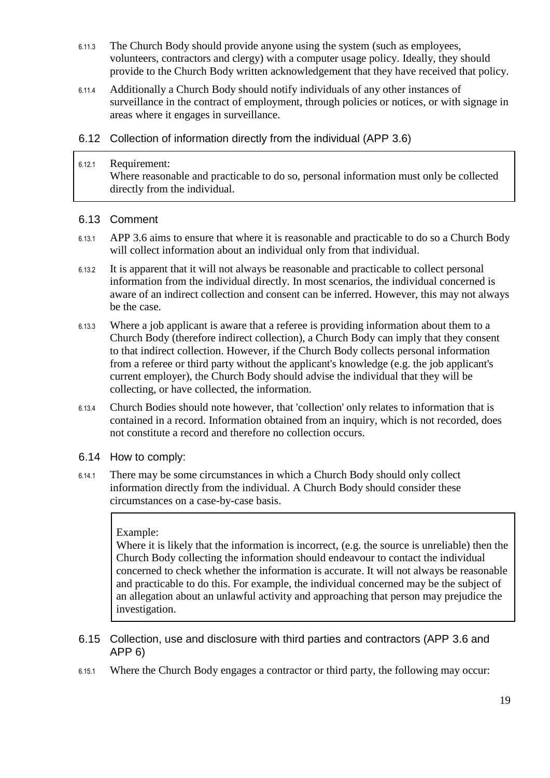- 6.11.3 The Church Body should provide anyone using the system (such as employees, volunteers, contractors and clergy) with a computer usage policy. Ideally, they should provide to the Church Body written acknowledgement that they have received that policy.
- 6.11.4 Additionally a Church Body should notify individuals of any other instances of surveillance in the contract of employment, through policies or notices, or with signage in areas where it engages in surveillance.
- <span id="page-18-0"></span>6.12 Collection of information directly from the individual (APP 3.6)
- 6.12.1 Requirement: Where reasonable and practicable to do so, personal information must only be collected directly from the individual.

#### <span id="page-18-1"></span>6.13 Comment

- 6.13.1 APP 3.6 aims to ensure that where it is reasonable and practicable to do so a Church Body will collect information about an individual only from that individual.
- 6.13.2 It is apparent that it will not always be reasonable and practicable to collect personal information from the individual directly. In most scenarios, the individual concerned is aware of an indirect collection and consent can be inferred. However, this may not always be the case.
- 6.13.3 Where a job applicant is aware that a referee is providing information about them to a Church Body (therefore indirect collection), a Church Body can imply that they consent to that indirect collection. However, if the Church Body collects personal information from a referee or third party without the applicant's knowledge (e.g. the job applicant's current employer), the Church Body should advise the individual that they will be collecting, or have collected, the information.
- 6.13.4 Church Bodies should note however, that 'collection' only relates to information that is contained in a record. Information obtained from an inquiry, which is not recorded, does not constitute a record and therefore no collection occurs.
- <span id="page-18-2"></span>6.14 How to comply:
- 6.14.1 There may be some circumstances in which a Church Body should only collect information directly from the individual. A Church Body should consider these circumstances on a case-by-case basis.

#### Example:

Where it is likely that the information is incorrect, (e.g. the source is unreliable) then the Church Body collecting the information should endeavour to contact the individual concerned to check whether the information is accurate. It will not always be reasonable and practicable to do this. For example, the individual concerned may be the subject of an allegation about an unlawful activity and approaching that person may prejudice the investigation.

- <span id="page-18-3"></span>6.15 Collection, use and disclosure with third parties and contractors (APP 3.6 and APP 6)
- 6.15.1 Where the Church Body engages a contractor or third party, the following may occur: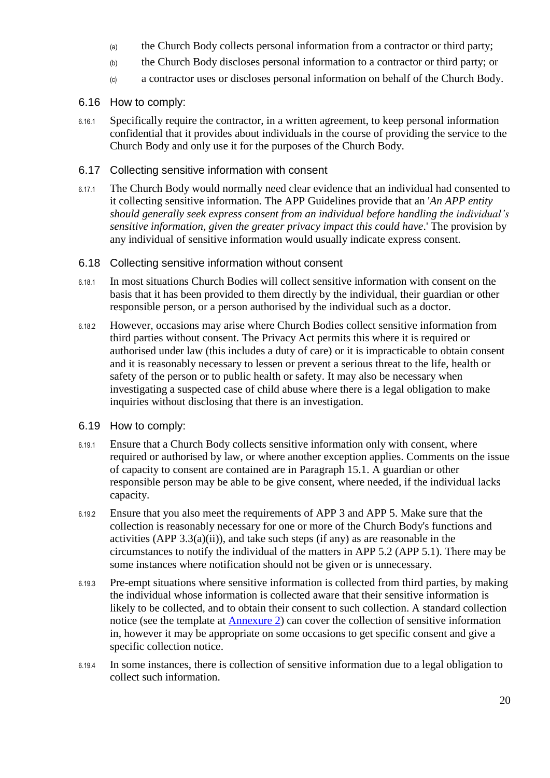- (a) the Church Body collects personal information from a contractor or third party;
- (b) the Church Body discloses personal information to a contractor or third party; or
- (c) a contractor uses or discloses personal information on behalf of the Church Body.
- <span id="page-19-0"></span>6.16 How to comply:
- 6.16.1 Specifically require the contractor, in a written agreement, to keep personal information confidential that it provides about individuals in the course of providing the service to the Church Body and only use it for the purposes of the Church Body.
- <span id="page-19-1"></span>6.17 Collecting sensitive information with consent
- 6.17.1 The Church Body would normally need clear evidence that an individual had consented to it collecting sensitive information. The APP Guidelines provide that an '*An APP entity should generally seek express consent from an individual before handling the individual's sensitive information, given the greater privacy impact this could have*.' The provision by any individual of sensitive information would usually indicate express consent.
- <span id="page-19-2"></span>6.18 Collecting sensitive information without consent
- 6.18.1 In most situations Church Bodies will collect sensitive information with consent on the basis that it has been provided to them directly by the individual, their guardian or other responsible person, or a person authorised by the individual such as a doctor.
- 6.18.2 However, occasions may arise where Church Bodies collect sensitive information from third parties without consent. The Privacy Act permits this where it is required or authorised under law (this includes a duty of care) or it is impracticable to obtain consent and it is reasonably necessary to lessen or prevent a serious threat to the life, health or safety of the person or to public health or safety. It may also be necessary when investigating a suspected case of child abuse where there is a legal obligation to make inquiries without disclosing that there is an investigation.
- <span id="page-19-3"></span>6.19 How to comply:
- 6.19.1 Ensure that a Church Body collects sensitive information only with consent, where required or authorised by law, or where another exception applies. Comments on the issue of capacity to consent are contained are in Paragraph [15.1.](#page-47-2) A guardian or other responsible person may be able to be give consent, where needed, if the individual lacks capacity.
- 6.19.2 Ensure that you also meet the requirements of APP 3 and APP 5. Make sure that the collection is reasonably necessary for one or more of the Church Body's functions and activities (APP  $3.3(a)(ii)$ ), and take such steps (if any) as are reasonable in the circumstances to notify the individual of the matters in APP 5.2 (APP 5.1). There may be some instances where notification should not be given or is unnecessary.
- 6.19.3 Pre-empt situations where sensitive information is collected from third parties, by making the individual whose information is collected aware that their sensitive information is likely to be collected, and to obtain their consent to such collection. A standard collection notice (see the template at **Annexure 2**) can cover the collection of sensitive information in, however it may be appropriate on some occasions to get specific consent and give a specific collection notice.
- 6.19.4 In some instances, there is collection of sensitive information due to a legal obligation to collect such information.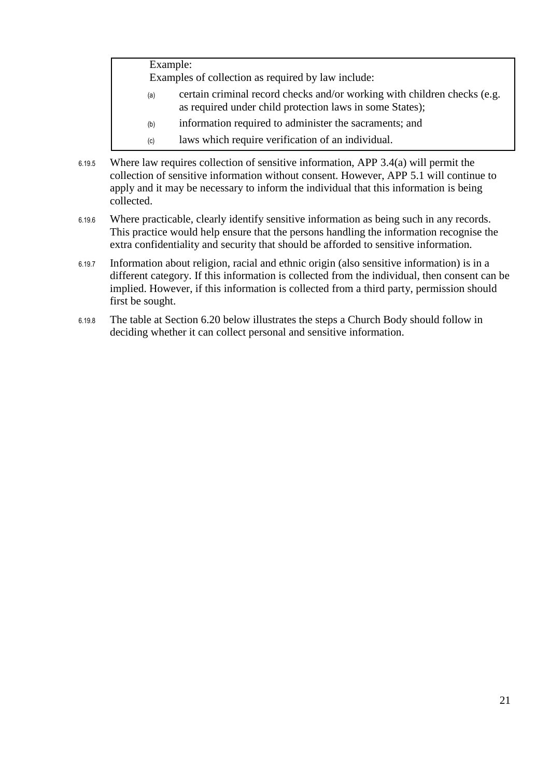Example:

Examples of collection as required by law include:

- (a) certain criminal record checks and/or working with children checks (e.g. as required under child protection laws in some States);
- (b) information required to administer the sacraments; and
- (c) laws which require verification of an individual.
- 6.19.5 Where law requires collection of sensitive information, APP 3.4(a) will permit the collection of sensitive information without consent. However, APP 5.1 will continue to apply and it may be necessary to inform the individual that this information is being collected.
- 6.19.6 Where practicable, clearly identify sensitive information as being such in any records. This practice would help ensure that the persons handling the information recognise the extra confidentiality and security that should be afforded to sensitive information.
- 6.19.7 Information about religion, racial and ethnic origin (also sensitive information) is in a different category. If this information is collected from the individual, then consent can be implied. However, if this information is collected from a third party, permission should first be sought.
- 6.19.8 The table at Section [6.20](#page-21-0) below illustrates the steps a Church Body should follow in deciding whether it can collect personal and sensitive information.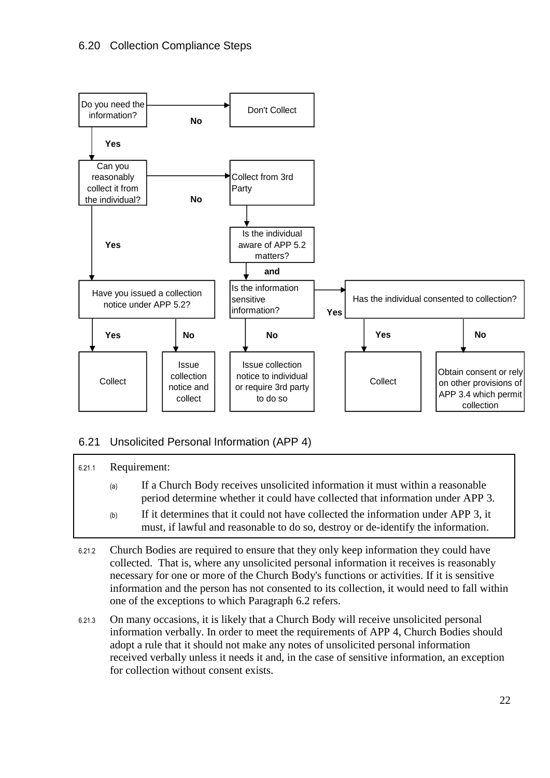<span id="page-21-0"></span>

#### <span id="page-21-1"></span>6.21 Unsolicited Personal Information (APP 4)

| 6.21.1 | Requirement: |                                                                                                                                                                       |
|--------|--------------|-----------------------------------------------------------------------------------------------------------------------------------------------------------------------|
|        | (a)          | If a Church Body receives unsolicited information it must within a reasonable<br>period determine whether it could have collected that information under APP 3.       |
|        | (b)          | If it determines that it could not have collected the information under APP 3, it<br>must, if lawful and reasonable to do so, destroy or de-identify the information. |

- 6.21.2 Church Bodies are required to ensure that they only keep information they could have collected. That is, where any unsolicited personal information it receives is reasonably necessary for one or more of the Church Body's functions or activities. If it is sensitive information and the person has not consented to its collection, it would need to fall within one of the exceptions to which Paragraph [6.2](#page-14-2) refers.
- 6.21.3 On many occasions, it is likely that a Church Body will receive unsolicited personal information verbally. In order to meet the requirements of APP 4, Church Bodies should adopt a rule that it should not make any notes of unsolicited personal information received verbally unless it needs it and, in the case of sensitive information, an exception for collection without consent exists.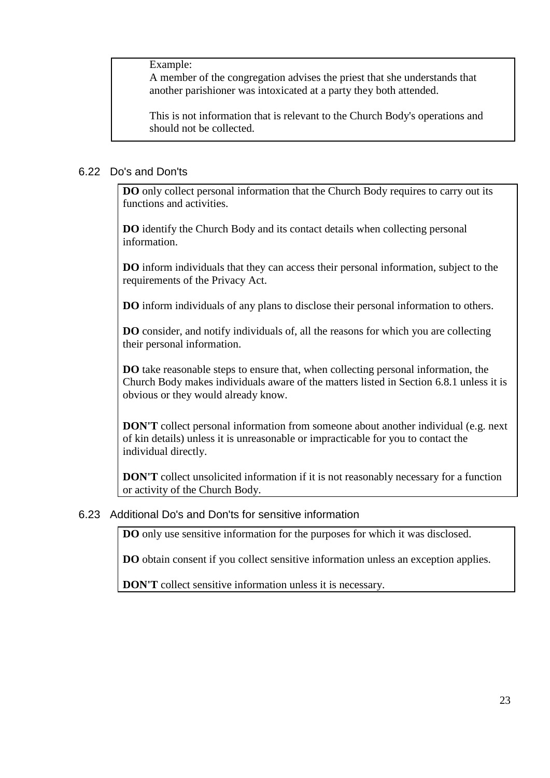Example:

A member of the congregation advises the priest that she understands that another parishioner was intoxicated at a party they both attended.

This is not information that is relevant to the Church Body's operations and should not be collected.

#### <span id="page-22-0"></span>6.22 Do's and Don'ts

**DO** only collect personal information that the Church Body requires to carry out its functions and activities.

**DO** identify the Church Body and its contact details when collecting personal information.

**DO** inform individuals that they can access their personal information, subject to the requirements of the Privacy Act.

**DO** inform individuals of any plans to disclose their personal information to others.

**DO** consider, and notify individuals of, all the reasons for which you are collecting their personal information.

**DO** take reasonable steps to ensure that, when collecting personal information, the Church Body makes individuals aware of the matters listed in Section [6.8.1](#page-15-5) unless it is obvious or they would already know.

**DON'T** collect personal information from someone about another individual (e.g. next of kin details) unless it is unreasonable or impracticable for you to contact the individual directly.

**DON'T** collect unsolicited information if it is not reasonably necessary for a function or activity of the Church Body.

#### <span id="page-22-1"></span>6.23 Additional Do's and Don'ts for sensitive information

**DO** only use sensitive information for the purposes for which it was disclosed.

**DO** obtain consent if you collect sensitive information unless an exception applies.

**DON'T** collect sensitive information unless it is necessary.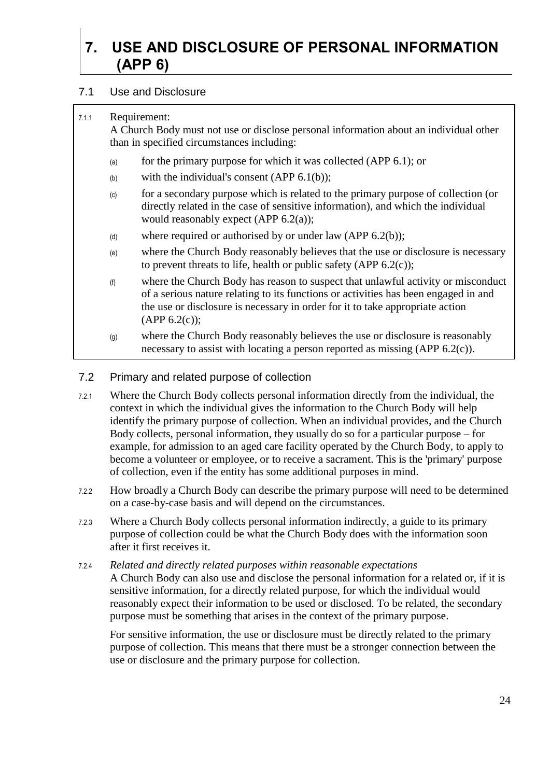## <span id="page-23-0"></span>**7. USE AND DISCLOSURE OF PERSONAL INFORMATION (APP 6)**

#### <span id="page-23-1"></span>7.1 Use and Disclosure

#### 7.1.1 Requirement:

A Church Body must not use or disclose personal information about an individual other than in specified circumstances including:

- (a) for the primary purpose for which it was collected (APP  $6.1$ ); or
- (b) with the individual's consent  $(APP 6.1(b))$ ;
- (c) for a secondary purpose which is related to the primary purpose of collection (or directly related in the case of sensitive information), and which the individual would reasonably expect (APP 6.2(a));
- (d) where required or authorised by or under law (APP  $6.2(b)$ );
- (e) where the Church Body reasonably believes that the use or disclosure is necessary to prevent threats to life, health or public safety (APP 6.2(c));
- (f) where the Church Body has reason to suspect that unlawful activity or misconduct of a serious nature relating to its functions or activities has been engaged in and the use or disclosure is necessary in order for it to take appropriate action  $(APP 6.2(c))$ ;
- (g) where the Church Body reasonably believes the use or disclosure is reasonably necessary to assist with locating a person reported as missing (APP 6.2(c)).

#### <span id="page-23-2"></span>7.2 Primary and related purpose of collection

- 7.2.1 Where the Church Body collects personal information directly from the individual, the context in which the individual gives the information to the Church Body will help identify the primary purpose of collection. When an individual provides, and the Church Body collects, personal information, they usually do so for a particular purpose – for example, for admission to an aged care facility operated by the Church Body, to apply to become a volunteer or employee, or to receive a sacrament. This is the 'primary' purpose of collection, even if the entity has some additional purposes in mind.
- 7.2.2 How broadly a Church Body can describe the primary purpose will need to be determined on a case-by-case basis and will depend on the circumstances.
- 7.2.3 Where a Church Body collects personal information indirectly, a guide to its primary purpose of collection could be what the Church Body does with the information soon after it first receives it.
- 7.2.4 *Related and directly related purposes within reasonable expectations* A Church Body can also use and disclose the personal information for a related or, if it is sensitive information, for a directly related purpose, for which the individual would reasonably expect their information to be used or disclosed. To be related, the secondary purpose must be something that arises in the context of the primary purpose.

For sensitive information, the use or disclosure must be directly related to the primary purpose of collection. This means that there must be a stronger connection between the use or disclosure and the primary purpose for collection.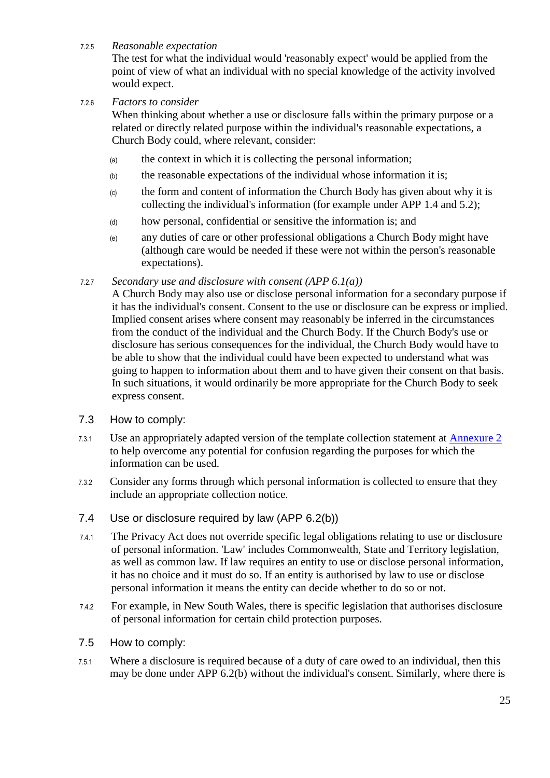#### 7.2.5 *Reasonable expectation*

The test for what the individual would 'reasonably expect' would be applied from the point of view of what an individual with no special knowledge of the activity involved would expect.

#### 7.2.6 *Factors to consider*

When thinking about whether a use or disclosure falls within the primary purpose or a related or directly related purpose within the individual's reasonable expectations, a Church Body could, where relevant, consider:

- (a) the context in which it is collecting the personal information;
- (b) the reasonable expectations of the individual whose information it is;
- (c) the form and content of information the Church Body has given about why it is collecting the individual's information (for example under APP 1.4 and 5.2);
- (d) how personal, confidential or sensitive the information is; and
- (e) any duties of care or other professional obligations a Church Body might have (although care would be needed if these were not within the person's reasonable expectations).

#### 7.2.7 *Secondary use and disclosure with consent (APP 6.1(a))*

A Church Body may also use or disclose personal information for a secondary purpose if it has the individual's consent. Consent to the use or disclosure can be express or implied. Implied consent arises where consent may reasonably be inferred in the circumstances from the conduct of the individual and the Church Body. If the Church Body's use or disclosure has serious consequences for the individual, the Church Body would have to be able to show that the individual could have been expected to understand what was going to happen to information about them and to have given their consent on that basis. In such situations, it would ordinarily be more appropriate for the Church Body to seek express consent.

#### <span id="page-24-0"></span>7.3 How to comply:

- 7.3.1 Use an appropriately adapted version of the template collection statement at [Annexure 2](#page-63-0) to help overcome any potential for confusion regarding the purposes for which the information can be used.
- 7.3.2 Consider any forms through which personal information is collected to ensure that they include an appropriate collection notice.
- <span id="page-24-1"></span>7.4 Use or disclosure required by law (APP 6.2(b))
- 7.4.1 The Privacy Act does not override specific legal obligations relating to use or disclosure of personal information. 'Law' includes Commonwealth, State and Territory legislation, as well as common law. If law requires an entity to use or disclose personal information, it has no choice and it must do so. If an entity is authorised by law to use or disclose personal information it means the entity can decide whether to do so or not.
- 7.4.2 For example, in New South Wales, there is specific legislation that authorises disclosure of personal information for certain child protection purposes.
- <span id="page-24-2"></span>7.5 How to comply:
- 7.5.1 Where a disclosure is required because of a duty of care owed to an individual, then this may be done under APP 6.2(b) without the individual's consent. Similarly, where there is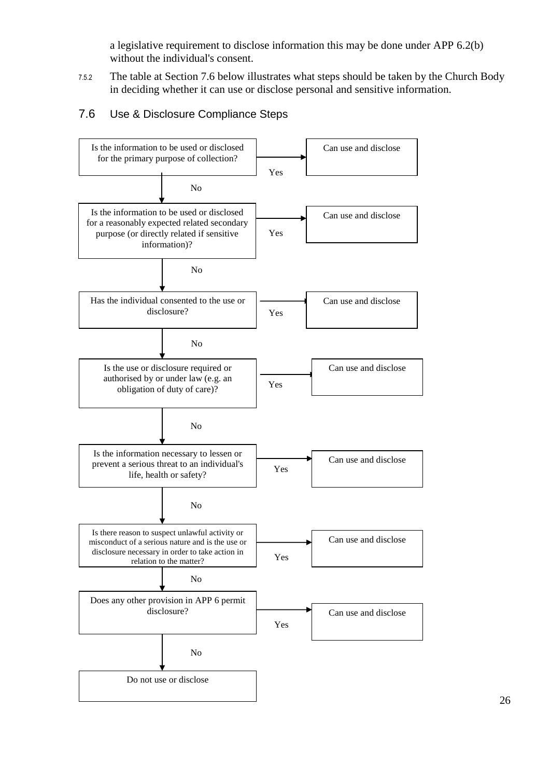a legislative requirement to disclose information this may be done under APP 6.2(b) without the individual's consent.

7.5.2 The table at Section [7.6](#page-25-0) below illustrates what steps should be taken by the Church Body in deciding whether it can use or disclose personal and sensitive information.

#### <span id="page-25-0"></span>7.6 Use & Disclosure Compliance Steps

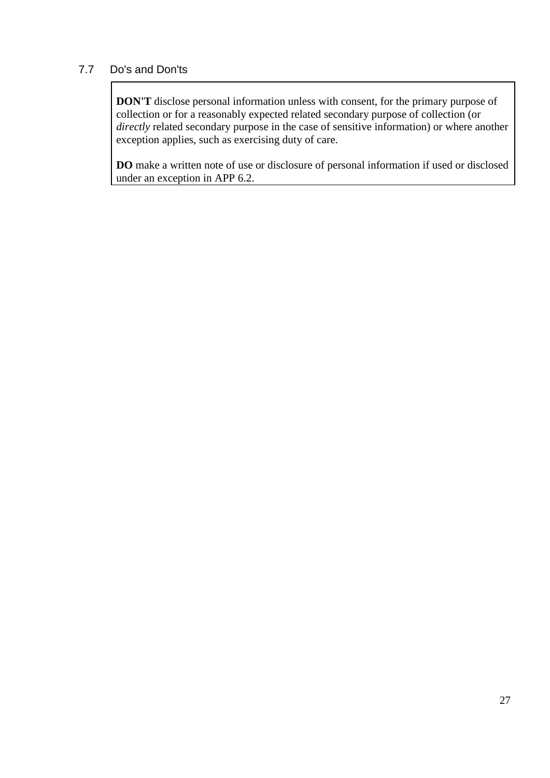### <span id="page-26-0"></span>7.7 Do's and Don'ts

**DON'T** disclose personal information unless with consent, for the primary purpose of collection or for a reasonably expected related secondary purpose of collection (or *directly* related secondary purpose in the case of sensitive information) or where another exception applies, such as exercising duty of care.

**DO** make a written note of use or disclosure of personal information if used or disclosed under an exception in APP 6.2.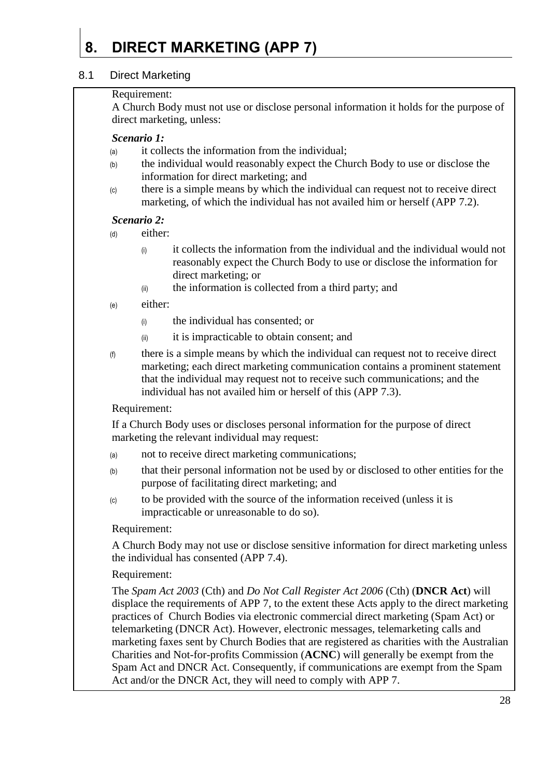## <span id="page-27-0"></span>**8. DIRECT MARKETING (APP 7)**

#### <span id="page-27-1"></span>8.1 Direct Marketing

#### Requirement:

A Church Body must not use or disclose personal information it holds for the purpose of direct marketing, unless:

#### *Scenario 1:*

- (a) it collects the information from the individual;
- (b) the individual would reasonably expect the Church Body to use or disclose the information for direct marketing; and
- (c) there is a simple means by which the individual can request not to receive direct marketing, of which the individual has not availed him or herself (APP 7.2).

#### *Scenario 2:*

(d) either:

- $\ddot{\text{o}}$  it collects the information from the individual and the individual would not reasonably expect the Church Body to use or disclose the information for direct marketing; or
- (ii) the information is collected from a third party; and
- (e) either:
	- (i) the individual has consented; or
	- (ii) it is impracticable to obtain consent; and
- (f) there is a simple means by which the individual can request not to receive direct marketing; each direct marketing communication contains a prominent statement that the individual may request not to receive such communications; and the individual has not availed him or herself of this (APP 7.3).

#### Requirement:

If a Church Body uses or discloses personal information for the purpose of direct marketing the relevant individual may request:

- (a) not to receive direct marketing communications;
- (b) that their personal information not be used by or disclosed to other entities for the purpose of facilitating direct marketing; and
- (c) to be provided with the source of the information received (unless it is impracticable or unreasonable to do so).

#### Requirement:

A Church Body may not use or disclose sensitive information for direct marketing unless the individual has consented (APP 7.4).

#### Requirement:

The *Spam Act 2003* (Cth) and *Do Not Call Register Act 2006* (Cth) (**DNCR Act**) will displace the requirements of APP 7, to the extent these Acts apply to the direct marketing practices of Church Bodies via electronic commercial direct marketing (Spam Act) or telemarketing (DNCR Act). However, electronic messages, telemarketing calls and marketing faxes sent by Church Bodies that are registered as charities with the Australian Charities and Not-for-profits Commission (**ACNC**) will generally be exempt from the Spam Act and DNCR Act. Consequently, if communications are exempt from the Spam Act and/or the DNCR Act, they will need to comply with APP 7.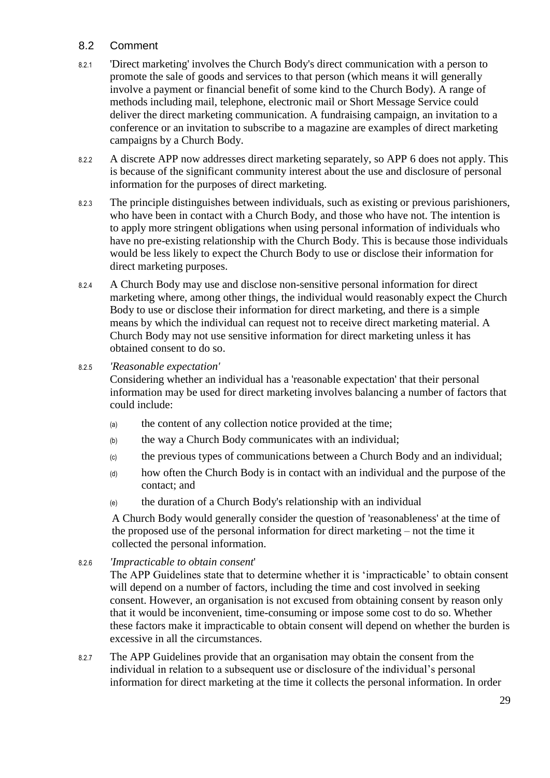#### <span id="page-28-0"></span>8.2 Comment

- 8.2.1 'Direct marketing' involves the Church Body's direct communication with a person to promote the sale of goods and services to that person (which means it will generally involve a payment or financial benefit of some kind to the Church Body). A range of methods including mail, telephone, electronic mail or Short Message Service could deliver the direct marketing communication. A fundraising campaign, an invitation to a conference or an invitation to subscribe to a magazine are examples of direct marketing campaigns by a Church Body.
- 8.2.2 A discrete APP now addresses direct marketing separately, so APP 6 does not apply. This is because of the significant community interest about the use and disclosure of personal information for the purposes of direct marketing.
- 8.2.3 The principle distinguishes between individuals, such as existing or previous parishioners, who have been in contact with a Church Body, and those who have not. The intention is to apply more stringent obligations when using personal information of individuals who have no pre-existing relationship with the Church Body. This is because those individuals would be less likely to expect the Church Body to use or disclose their information for direct marketing purposes.
- 8.2.4 A Church Body may use and disclose non-sensitive personal information for direct marketing where, among other things, the individual would reasonably expect the Church Body to use or disclose their information for direct marketing, and there is a simple means by which the individual can request not to receive direct marketing material. A Church Body may not use sensitive information for direct marketing unless it has obtained consent to do so.
- 8.2.5 *'Reasonable expectation'*

Considering whether an individual has a 'reasonable expectation' that their personal information may be used for direct marketing involves balancing a number of factors that could include:

- (a) the content of any collection notice provided at the time;
- (b) the way a Church Body communicates with an individual;
- (c) the previous types of communications between a Church Body and an individual;
- (d) how often the Church Body is in contact with an individual and the purpose of the contact; and
- (e) the duration of a Church Body's relationship with an individual

A Church Body would generally consider the question of 'reasonableness' at the time of the proposed use of the personal information for direct marketing – not the time it collected the personal information.

8.2.6 *'Impracticable to obtain consent*'

The APP Guidelines state that to determine whether it is 'impracticable' to obtain consent will depend on a number of factors, including the time and cost involved in seeking consent. However, an organisation is not excused from obtaining consent by reason only that it would be inconvenient, time-consuming or impose some cost to do so. Whether these factors make it impracticable to obtain consent will depend on whether the burden is excessive in all the circumstances.

8.2.7 The APP Guidelines provide that an organisation may obtain the consent from the individual in relation to a subsequent use or disclosure of the individual's personal information for direct marketing at the time it collects the personal information. In order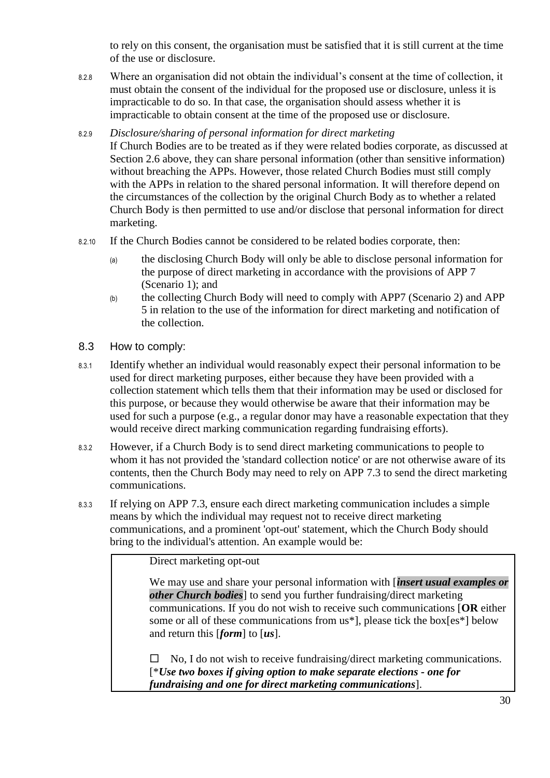to rely on this consent, the organisation must be satisfied that it is still current at the time of the use or disclosure.

- 8.2.8 Where an organisation did not obtain the individual's consent at the time of collection, it must obtain the consent of the individual for the proposed use or disclosure, unless it is impracticable to do so. In that case, the organisation should assess whether it is impracticable to obtain consent at the time of the proposed use or disclosure.
- 8.2.9 *Disclosure/sharing of personal information for direct marketing*

If Church Bodies are to be treated as if they were related bodies corporate, as discussed at Section [2.6](#page-6-1) above, they can share personal information (other than sensitive information) without breaching the APPs. However, those related Church Bodies must still comply with the APPs in relation to the shared personal information. It will therefore depend on the circumstances of the collection by the original Church Body as to whether a related Church Body is then permitted to use and/or disclose that personal information for direct marketing.

- 8.2.10 If the Church Bodies cannot be considered to be related bodies corporate, then:
	- (a) the disclosing Church Body will only be able to disclose personal information for the purpose of direct marketing in accordance with the provisions of APP 7 (Scenario 1); and
	- (b) the collecting Church Body will need to comply with APP7 (Scenario 2) and APP 5 in relation to the use of the information for direct marketing and notification of the collection.
- <span id="page-29-0"></span>8.3 How to comply:
- 8.3.1 Identify whether an individual would reasonably expect their personal information to be used for direct marketing purposes, either because they have been provided with a collection statement which tells them that their information may be used or disclosed for this purpose, or because they would otherwise be aware that their information may be used for such a purpose (e.g., a regular donor may have a reasonable expectation that they would receive direct marking communication regarding fundraising efforts).
- 8.3.2 However, if a Church Body is to send direct marketing communications to people to whom it has not provided the 'standard collection notice' or are not otherwise aware of its contents, then the Church Body may need to rely on APP 7.3 to send the direct marketing communications.
- 8.3.3 If relying on APP 7.3, ensure each direct marketing communication includes a simple means by which the individual may request not to receive direct marketing communications, and a prominent 'opt-out' statement, which the Church Body should bring to the individual's attention. An example would be:

Direct marketing opt-out

We may use and share your personal information with [*insert usual examples or other Church bodies*] to send you further fundraising/direct marketing communications. If you do not wish to receive such communications [**OR** either some or all of these communications from us\*], please tick the box[es\*] below and return this [*form*] to [*us*].

 $\Box$  No, I do not wish to receive fundraising/direct marketing communications. [\**Use two boxes if giving option to make separate elections - one for fundraising and one for direct marketing communications*].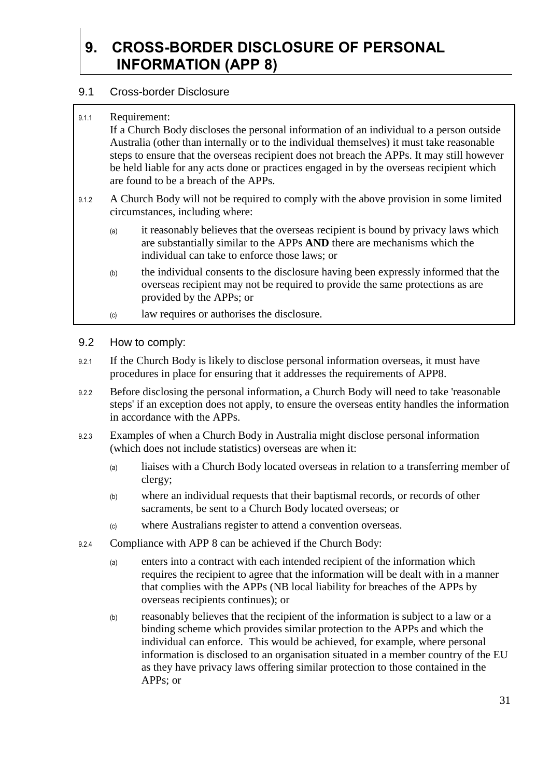## <span id="page-30-0"></span>**9. CROSS-BORDER DISCLOSURE OF PERSONAL INFORMATION (APP 8)**

#### <span id="page-30-1"></span>9.1 Cross-border Disclosure

9.1.1 Requirement:

If a Church Body discloses the personal information of an individual to a person outside Australia (other than internally or to the individual themselves) it must take reasonable steps to ensure that the overseas recipient does not breach the APPs. It may still however be held liable for any acts done or practices engaged in by the overseas recipient which are found to be a breach of the APPs.

- 9.1.2 A Church Body will not be required to comply with the above provision in some limited circumstances, including where:
	- (a) it reasonably believes that the overseas recipient is bound by privacy laws which are substantially similar to the APPs **AND** there are mechanisms which the individual can take to enforce those laws; or
	- (b) the individual consents to the disclosure having been expressly informed that the overseas recipient may not be required to provide the same protections as are provided by the APPs; or
	- (c) law requires or authorises the disclosure.
- <span id="page-30-2"></span>9.2 How to comply:
- 9.2.1 If the Church Body is likely to disclose personal information overseas, it must have procedures in place for ensuring that it addresses the requirements of APP8.
- 9.2.2 Before disclosing the personal information, a Church Body will need to take 'reasonable steps' if an exception does not apply, to ensure the overseas entity handles the information in accordance with the APPs.
- 9.2.3 Examples of when a Church Body in Australia might disclose personal information (which does not include statistics) overseas are when it:
	- (a) liaises with a Church Body located overseas in relation to a transferring member of clergy;
	- (b) where an individual requests that their baptismal records, or records of other sacraments, be sent to a Church Body located overseas; or
	- (c) where Australians register to attend a convention overseas.
- 9.2.4 Compliance with APP 8 can be achieved if the Church Body:
	- (a) enters into a contract with each intended recipient of the information which requires the recipient to agree that the information will be dealt with in a manner that complies with the APPs (NB local liability for breaches of the APPs by overseas recipients continues); or
	- (b) reasonably believes that the recipient of the information is subject to a law or a binding scheme which provides similar protection to the APPs and which the individual can enforce. This would be achieved, for example, where personal information is disclosed to an organisation situated in a member country of the EU as they have privacy laws offering similar protection to those contained in the APPs; or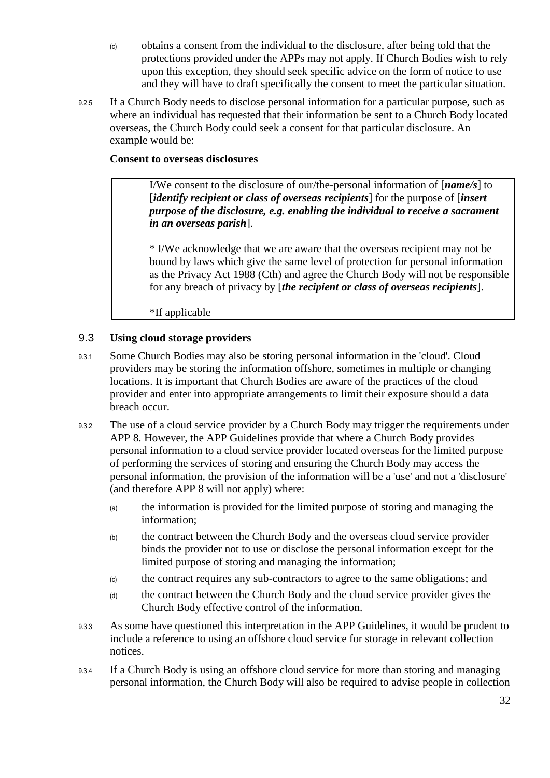- (c) obtains a consent from the individual to the disclosure, after being told that the protections provided under the APPs may not apply. If Church Bodies wish to rely upon this exception, they should seek specific advice on the form of notice to use and they will have to draft specifically the consent to meet the particular situation.
- 9.2.5 If a Church Body needs to disclose personal information for a particular purpose, such as where an individual has requested that their information be sent to a Church Body located overseas, the Church Body could seek a consent for that particular disclosure. An example would be:

#### **Consent to overseas disclosures**

I/We consent to the disclosure of our/the-personal information of [*name/s*] to [*identify recipient or class of overseas recipients*] for the purpose of [*insert purpose of the disclosure, e.g. enabling the individual to receive a sacrament in an overseas parish*].

\* I/We acknowledge that we are aware that the overseas recipient may not be bound by laws which give the same level of protection for personal information as the Privacy Act 1988 (Cth) and agree the Church Body will not be responsible for any breach of privacy by [*the recipient or class of overseas recipients*].

\*If applicable

#### <span id="page-31-0"></span>9.3 **Using cloud storage providers**

- 9.3.1 Some Church Bodies may also be storing personal information in the 'cloud'. Cloud providers may be storing the information offshore, sometimes in multiple or changing locations. It is important that Church Bodies are aware of the practices of the cloud provider and enter into appropriate arrangements to limit their exposure should a data breach occur.
- 9.3.2 The use of a cloud service provider by a Church Body may trigger the requirements under APP 8. However, the APP Guidelines provide that where a Church Body provides personal information to a cloud service provider located overseas for the limited purpose of performing the services of storing and ensuring the Church Body may access the personal information, the provision of the information will be a 'use' and not a 'disclosure' (and therefore APP 8 will not apply) where:
	- (a) the information is provided for the limited purpose of storing and managing the information;
	- (b) the contract between the Church Body and the overseas cloud service provider binds the provider not to use or disclose the personal information except for the limited purpose of storing and managing the information;
	- (c) the contract requires any sub-contractors to agree to the same obligations; and
	- (d) the contract between the Church Body and the cloud service provider gives the Church Body effective control of the information.
- 9.3.3 As some have questioned this interpretation in the APP Guidelines, it would be prudent to include a reference to using an offshore cloud service for storage in relevant collection notices.
- 9.3.4 If a Church Body is using an offshore cloud service for more than storing and managing personal information, the Church Body will also be required to advise people in collection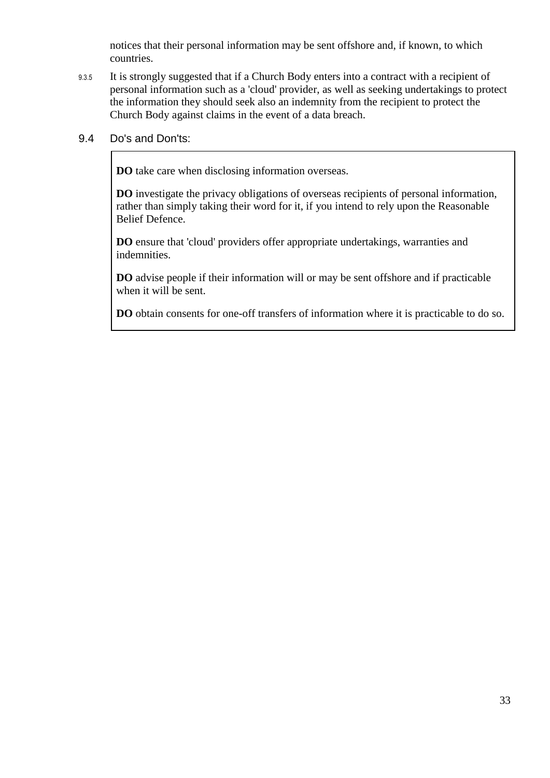notices that their personal information may be sent offshore and, if known, to which countries.

9.3.5 It is strongly suggested that if a Church Body enters into a contract with a recipient of personal information such as a 'cloud' provider, as well as seeking undertakings to protect the information they should seek also an indemnity from the recipient to protect the Church Body against claims in the event of a data breach.

#### <span id="page-32-0"></span>9.4 Do's and Don'ts:

**DO** take care when disclosing information overseas.

**DO** investigate the privacy obligations of overseas recipients of personal information, rather than simply taking their word for it, if you intend to rely upon the Reasonable Belief Defence.

**DO** ensure that 'cloud' providers offer appropriate undertakings, warranties and indemnities.

**DO** advise people if their information will or may be sent offshore and if practicable when it will be sent.

**DO** obtain consents for one-off transfers of information where it is practicable to do so.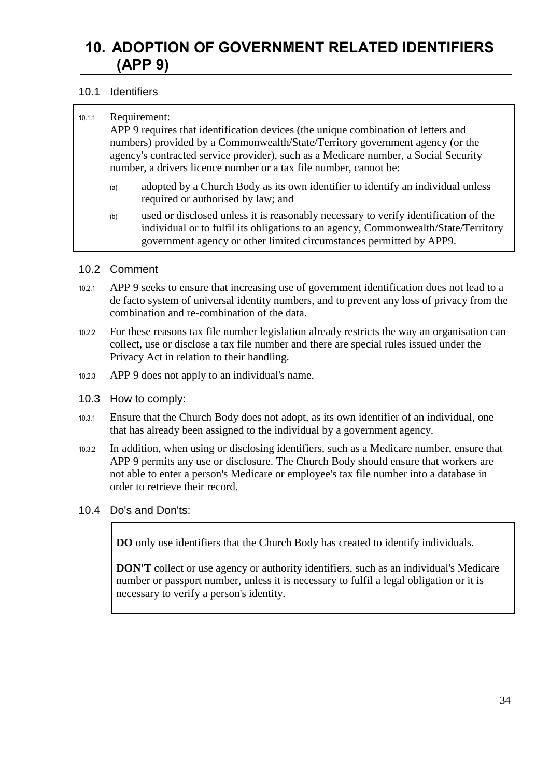## <span id="page-33-0"></span>**10. ADOPTION OF GOVERNMENT RELATED IDENTIFIERS (APP 9)**

#### <span id="page-33-1"></span>10.1 Identifiers

| 10.1.1 | Requirement: |
|--------|--------------|
|--------|--------------|

APP 9 requires that identification devices (the unique combination of letters and numbers) provided by a Commonwealth/State/Territory government agency (or the agency's contracted service provider), such as a Medicare number, a Social Security number, a drivers licence number or a tax file number, cannot be:

- (a) adopted by a Church Body as its own identifier to identify an individual unless required or authorised by law; and
- (b) used or disclosed unless it is reasonably necessary to verify identification of the individual or to fulfil its obligations to an agency, Commonwealth/State/Territory government agency or other limited circumstances permitted by APP9.

#### <span id="page-33-2"></span>10.2 Comment

- 10.2.1 APP 9 seeks to ensure that increasing use of government identification does not lead to a de facto system of universal identity numbers, and to prevent any loss of privacy from the combination and re-combination of the data.
- 10.2.2 For these reasons tax file number legislation already restricts the way an organisation can collect, use or disclose a tax file number and there are special rules issued under the Privacy Act in relation to their handling.
- 10.2.3 APP 9 does not apply to an individual's name.
- <span id="page-33-3"></span>10.3 How to comply:
- 10.3.1 Ensure that the Church Body does not adopt, as its own identifier of an individual, one that has already been assigned to the individual by a government agency.
- 10.3.2 In addition, when using or disclosing identifiers, such as a Medicare number, ensure that APP 9 permits any use or disclosure. The Church Body should ensure that workers are not able to enter a person's Medicare or employee's tax file number into a database in order to retrieve their record.
- <span id="page-33-4"></span>10.4 Do's and Don'ts:

**DO** only use identifiers that the Church Body has created to identify individuals.

**DON'T** collect or use agency or authority identifiers, such as an individual's Medicare number or passport number, unless it is necessary to fulfil a legal obligation or it is necessary to verify a person's identity.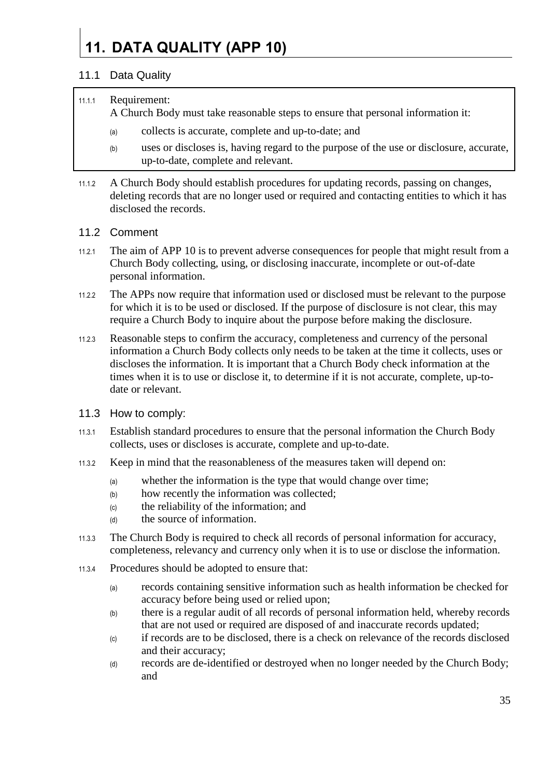# <span id="page-34-0"></span>**11. DATA QUALITY (APP 10)**

#### <span id="page-34-1"></span>11.1 Data Quality

#### 11.1.1 Requirement:

A Church Body must take reasonable steps to ensure that personal information it:

- (a) collects is accurate, complete and up-to-date; and
- (b) uses or discloses is, having regard to the purpose of the use or disclosure, accurate, up-to-date, complete and relevant.
- 11.1.2 A Church Body should establish procedures for updating records, passing on changes, deleting records that are no longer used or required and contacting entities to which it has disclosed the records.

#### <span id="page-34-2"></span>11.2 Comment

- 11.2.1 The aim of APP 10 is to prevent adverse consequences for people that might result from a Church Body collecting, using, or disclosing inaccurate, incomplete or out-of-date personal information.
- 11.2.2 The APPs now require that information used or disclosed must be relevant to the purpose for which it is to be used or disclosed. If the purpose of disclosure is not clear, this may require a Church Body to inquire about the purpose before making the disclosure.
- 11.2.3 Reasonable steps to confirm the accuracy, completeness and currency of the personal information a Church Body collects only needs to be taken at the time it collects, uses or discloses the information. It is important that a Church Body check information at the times when it is to use or disclose it, to determine if it is not accurate, complete, up-todate or relevant.
- <span id="page-34-3"></span>11.3 How to comply:
- 11.3.1 Establish standard procedures to ensure that the personal information the Church Body collects, uses or discloses is accurate, complete and up-to-date.
- 11.3.2 Keep in mind that the reasonableness of the measures taken will depend on:
	- (a) whether the information is the type that would change over time;
	- (b) how recently the information was collected;
	- (c) the reliability of the information; and
	- (d) the source of information.
- 11.3.3 The Church Body is required to check all records of personal information for accuracy, completeness, relevancy and currency only when it is to use or disclose the information.
- 11.3.4 Procedures should be adopted to ensure that:
	- (a) records containing sensitive information such as health information be checked for accuracy before being used or relied upon;
	- (b) there is a regular audit of all records of personal information held, whereby records that are not used or required are disposed of and inaccurate records updated;
	- (c) if records are to be disclosed, there is a check on relevance of the records disclosed and their accuracy;
	- (d) records are de-identified or destroyed when no longer needed by the Church Body; and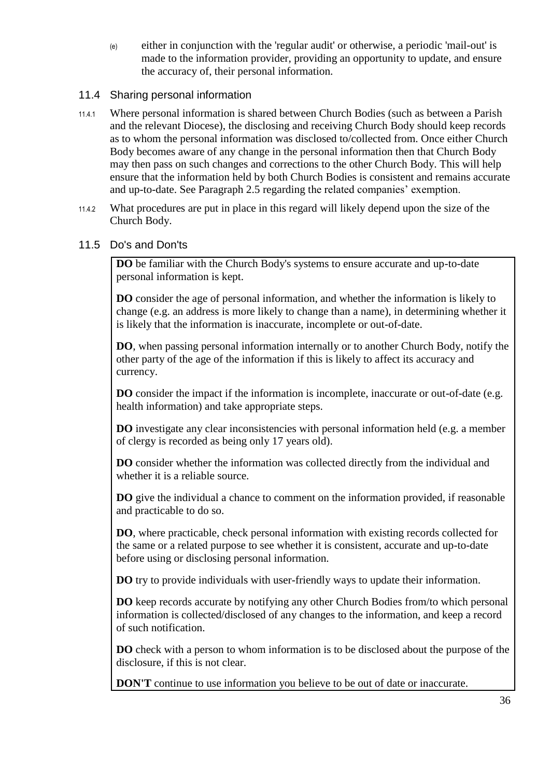(e) either in conjunction with the 'regular audit' or otherwise, a periodic 'mail-out' is made to the information provider, providing an opportunity to update, and ensure the accuracy of, their personal information.

#### <span id="page-35-0"></span>11.4 Sharing personal information

- 11.4.1 Where personal information is shared between Church Bodies (such as between a Parish and the relevant Diocese), the disclosing and receiving Church Body should keep records as to whom the personal information was disclosed to/collected from. Once either Church Body becomes aware of any change in the personal information then that Church Body may then pass on such changes and corrections to the other Church Body. This will help ensure that the information held by both Church Bodies is consistent and remains accurate and up-to-date. See Paragraph [2.5](#page-6-0) regarding the related companies' exemption.
- 11.4.2 What procedures are put in place in this regard will likely depend upon the size of the Church Body.

#### <span id="page-35-1"></span>11.5 Do's and Don'ts

**DO** be familiar with the Church Body's systems to ensure accurate and up-to-date personal information is kept.

**DO** consider the age of personal information, and whether the information is likely to change (e.g. an address is more likely to change than a name), in determining whether it is likely that the information is inaccurate, incomplete or out-of-date.

**DO**, when passing personal information internally or to another Church Body, notify the other party of the age of the information if this is likely to affect its accuracy and currency.

**DO** consider the impact if the information is incomplete, inaccurate or out-of-date (e.g. health information) and take appropriate steps.

**DO** investigate any clear inconsistencies with personal information held (e.g. a member of clergy is recorded as being only 17 years old).

**DO** consider whether the information was collected directly from the individual and whether it is a reliable source.

**DO** give the individual a chance to comment on the information provided, if reasonable and practicable to do so.

**DO**, where practicable, check personal information with existing records collected for the same or a related purpose to see whether it is consistent, accurate and up-to-date before using or disclosing personal information.

**DO** try to provide individuals with user-friendly ways to update their information.

**DO** keep records accurate by notifying any other Church Bodies from/to which personal information is collected/disclosed of any changes to the information, and keep a record of such notification.

**DO** check with a person to whom information is to be disclosed about the purpose of the disclosure, if this is not clear.

**DON'T** continue to use information you believe to be out of date or inaccurate.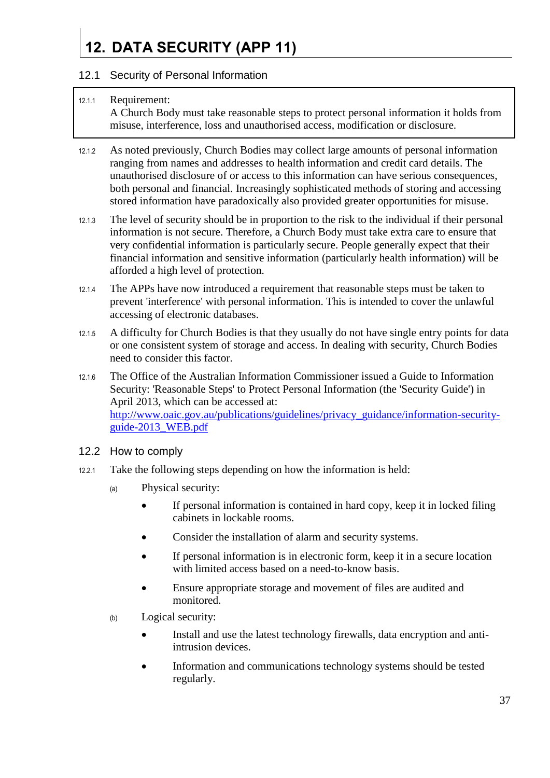# <span id="page-36-0"></span>**12. DATA SECURITY (APP 11)**

#### <span id="page-36-1"></span>12.1 Security of Personal Information

#### 12.1.1 Requirement: A Church Body must take reasonable steps to protect personal information it holds from misuse, interference, loss and unauthorised access, modification or disclosure.

- 12.1.2 As noted previously, Church Bodies may collect large amounts of personal information ranging from names and addresses to health information and credit card details. The unauthorised disclosure of or access to this information can have serious consequences, both personal and financial. Increasingly sophisticated methods of storing and accessing stored information have paradoxically also provided greater opportunities for misuse.
- 12.1.3 The level of security should be in proportion to the risk to the individual if their personal information is not secure. Therefore, a Church Body must take extra care to ensure that very confidential information is particularly secure. People generally expect that their financial information and sensitive information (particularly health information) will be afforded a high level of protection.
- 12.1.4 The APPs have now introduced a requirement that reasonable steps must be taken to prevent 'interference' with personal information. This is intended to cover the unlawful accessing of electronic databases.
- 12.1.5 A difficulty for Church Bodies is that they usually do not have single entry points for data or one consistent system of storage and access. In dealing with security, Church Bodies need to consider this factor.
- 12.1.6 The Office of the Australian Information Commissioner issued a Guide to Information Security: 'Reasonable Steps' to Protect Personal Information (the 'Security Guide') in April 2013, which can be accessed at: [http://www.oaic.gov.au/publications/guidelines/privacy\\_guidance/information-security](http://www.oaic.gov.au/publications/guidelines/privacy_guidance/information-security-guide-2013_WEB.pdf)[guide-2013\\_WEB.pdf](http://www.oaic.gov.au/publications/guidelines/privacy_guidance/information-security-guide-2013_WEB.pdf)
- <span id="page-36-2"></span>12.2 How to comply
- 12.2.1 Take the following steps depending on how the information is held:
	- (a) Physical security:
		- If personal information is contained in hard copy, keep it in locked filing cabinets in lockable rooms.
		- Consider the installation of alarm and security systems.
		- If personal information is in electronic form, keep it in a secure location with limited access based on a need-to-know basis.
		- Ensure appropriate storage and movement of files are audited and monitored.
	- (b) Logical security:
		- Install and use the latest technology firewalls, data encryption and antiintrusion devices.
		- Information and communications technology systems should be tested regularly.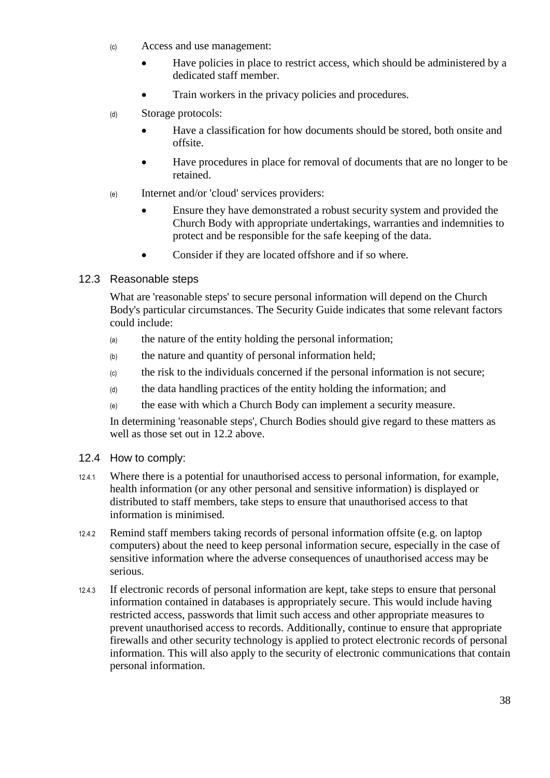- (c) Access and use management:
	- Have policies in place to restrict access, which should be administered by a dedicated staff member.
	- Train workers in the privacy policies and procedures.
- (d) Storage protocols:
	- Have a classification for how documents should be stored, both onsite and offsite.
	- Have procedures in place for removal of documents that are no longer to be retained.
- (e) Internet and/or 'cloud' services providers:
	- Ensure they have demonstrated a robust security system and provided the Church Body with appropriate undertakings, warranties and indemnities to protect and be responsible for the safe keeping of the data.
	- Consider if they are located offshore and if so where.

#### <span id="page-37-0"></span>12.3 Reasonable steps

What are 'reasonable steps' to secure personal information will depend on the Church Body's particular circumstances. The Security Guide indicates that some relevant factors could include:

- (a) the nature of the entity holding the personal information;
- (b) the nature and quantity of personal information held;
- (c) the risk to the individuals concerned if the personal information is not secure;
- (d) the data handling practices of the entity holding the information; and
- (e) the ease with which a Church Body can implement a security measure.

In determining 'reasonable steps', Church Bodies should give regard to these matters as well as those set out in [12.2](#page-36-2) above.

- <span id="page-37-1"></span>12.4 How to comply:
- 12.4.1 Where there is a potential for unauthorised access to personal information, for example, health information (or any other personal and sensitive information) is displayed or distributed to staff members, take steps to ensure that unauthorised access to that information is minimised.
- 12.4.2 Remind staff members taking records of personal information offsite (e.g. on laptop computers) about the need to keep personal information secure, especially in the case of sensitive information where the adverse consequences of unauthorised access may be serious.
- 12.4.3 If electronic records of personal information are kept, take steps to ensure that personal information contained in databases is appropriately secure. This would include having restricted access, passwords that limit such access and other appropriate measures to prevent unauthorised access to records. Additionally, continue to ensure that appropriate firewalls and other security technology is applied to protect electronic records of personal information. This will also apply to the security of electronic communications that contain personal information.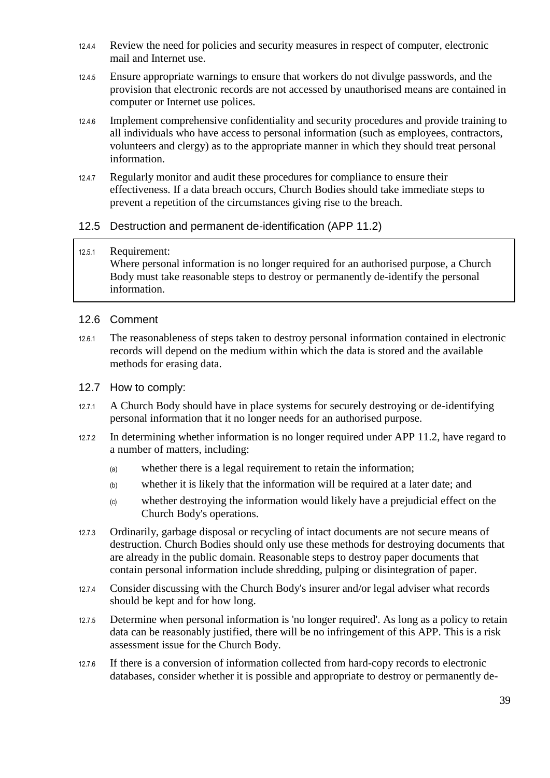- 12.4.4 Review the need for policies and security measures in respect of computer, electronic mail and Internet use.
- 12.4.5 Ensure appropriate warnings to ensure that workers do not divulge passwords, and the provision that electronic records are not accessed by unauthorised means are contained in computer or Internet use polices.
- 12.4.6 Implement comprehensive confidentiality and security procedures and provide training to all individuals who have access to personal information (such as employees, contractors, volunteers and clergy) as to the appropriate manner in which they should treat personal information.
- 12.4.7 Regularly monitor and audit these procedures for compliance to ensure their effectiveness. If a data breach occurs, Church Bodies should take immediate steps to prevent a repetition of the circumstances giving rise to the breach.

#### <span id="page-38-0"></span>12.5 Destruction and permanent de-identification (APP 11.2)

#### 12.5.1 Requirement:

Where personal information is no longer required for an authorised purpose, a Church Body must take reasonable steps to destroy or permanently de-identify the personal information.

#### <span id="page-38-1"></span>12.6 Comment

12.6.1 The reasonableness of steps taken to destroy personal information contained in electronic records will depend on the medium within which the data is stored and the available methods for erasing data.

#### <span id="page-38-2"></span>12.7 How to comply:

- 12.7.1 A Church Body should have in place systems for securely destroying or de-identifying personal information that it no longer needs for an authorised purpose.
- 12.7.2 In determining whether information is no longer required under APP 11.2, have regard to a number of matters, including:
	- (a) whether there is a legal requirement to retain the information;
	- (b) whether it is likely that the information will be required at a later date; and
	- (c) whether destroying the information would likely have a prejudicial effect on the Church Body's operations.
- 12.7.3 Ordinarily, garbage disposal or recycling of intact documents are not secure means of destruction. Church Bodies should only use these methods for destroying documents that are already in the public domain. Reasonable steps to destroy paper documents that contain personal information include shredding, pulping or disintegration of paper.
- 12.7.4 Consider discussing with the Church Body's insurer and/or legal adviser what records should be kept and for how long.
- 12.7.5 Determine when personal information is 'no longer required'. As long as a policy to retain data can be reasonably justified, there will be no infringement of this APP. This is a risk assessment issue for the Church Body.
- 12.7.6 If there is a conversion of information collected from hard-copy records to electronic databases, consider whether it is possible and appropriate to destroy or permanently de-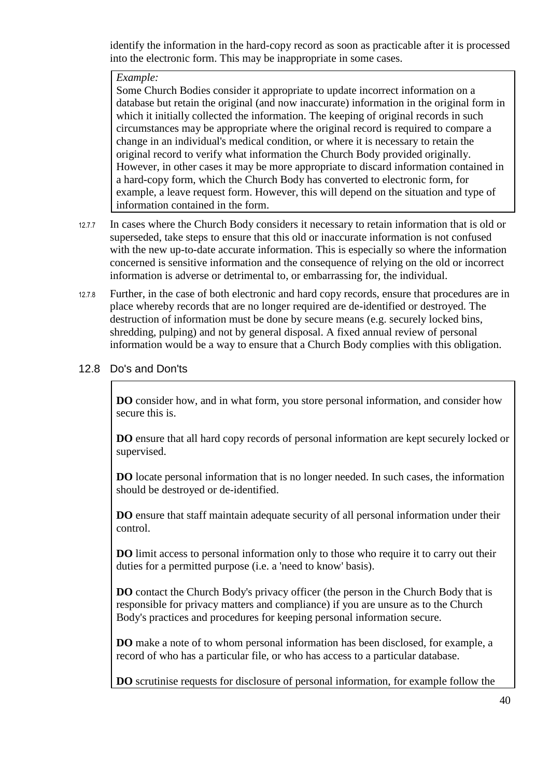identify the information in the hard-copy record as soon as practicable after it is processed into the electronic form. This may be inappropriate in some cases.

#### *Example:*

Some Church Bodies consider it appropriate to update incorrect information on a database but retain the original (and now inaccurate) information in the original form in which it initially collected the information. The keeping of original records in such circumstances may be appropriate where the original record is required to compare a change in an individual's medical condition, or where it is necessary to retain the original record to verify what information the Church Body provided originally. However, in other cases it may be more appropriate to discard information contained in a hard-copy form, which the Church Body has converted to electronic form, for example, a leave request form. However, this will depend on the situation and type of information contained in the form.

- 12.7.7 In cases where the Church Body considers it necessary to retain information that is old or superseded, take steps to ensure that this old or inaccurate information is not confused with the new up-to-date accurate information. This is especially so where the information concerned is sensitive information and the consequence of relying on the old or incorrect information is adverse or detrimental to, or embarrassing for, the individual.
- 12.7.8 Further, in the case of both electronic and hard copy records, ensure that procedures are in place whereby records that are no longer required are de-identified or destroyed. The destruction of information must be done by secure means (e.g. securely locked bins, shredding, pulping) and not by general disposal. A fixed annual review of personal information would be a way to ensure that a Church Body complies with this obligation.
- <span id="page-39-0"></span>12.8 Do's and Don'ts

**DO** consider how, and in what form, you store personal information, and consider how secure this is.

**DO** ensure that all hard copy records of personal information are kept securely locked or supervised.

**DO** locate personal information that is no longer needed. In such cases, the information should be destroyed or de-identified.

**DO** ensure that staff maintain adequate security of all personal information under their control.

**DO** limit access to personal information only to those who require it to carry out their duties for a permitted purpose (i.e. a 'need to know' basis).

**DO** contact the Church Body's privacy officer (the person in the Church Body that is responsible for privacy matters and compliance) if you are unsure as to the Church Body's practices and procedures for keeping personal information secure.

**DO** make a note of to whom personal information has been disclosed, for example, a record of who has a particular file, or who has access to a particular database.

**DO** scrutinise requests for disclosure of personal information, for example follow the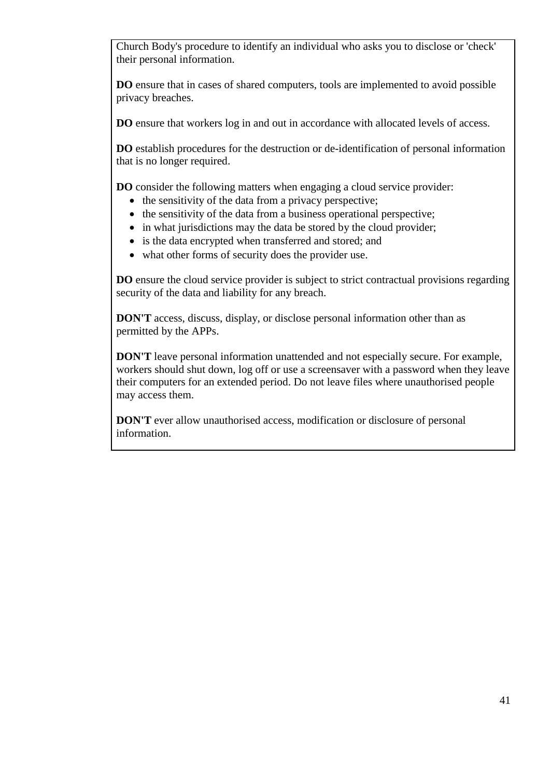Church Body's procedure to identify an individual who asks you to disclose or 'check' their personal information.

**DO** ensure that in cases of shared computers, tools are implemented to avoid possible privacy breaches.

**DO** ensure that workers log in and out in accordance with allocated levels of access.

**DO** establish procedures for the destruction or de-identification of personal information that is no longer required.

**DO** consider the following matters when engaging a cloud service provider:

- the sensitivity of the data from a privacy perspective;
- $\bullet$  the sensitivity of the data from a business operational perspective;
- in what jurisdictions may the data be stored by the cloud provider;
- is the data encrypted when transferred and stored; and
- what other forms of security does the provider use.

**DO** ensure the cloud service provider is subject to strict contractual provisions regarding security of the data and liability for any breach.

**DON'T** access, discuss, display, or disclose personal information other than as permitted by the APPs.

**DON'T** leave personal information unattended and not especially secure. For example, workers should shut down, log off or use a screensaver with a password when they leave their computers for an extended period. Do not leave files where unauthorised people may access them.

**DON'T** ever allow unauthorised access, modification or disclosure of personal information.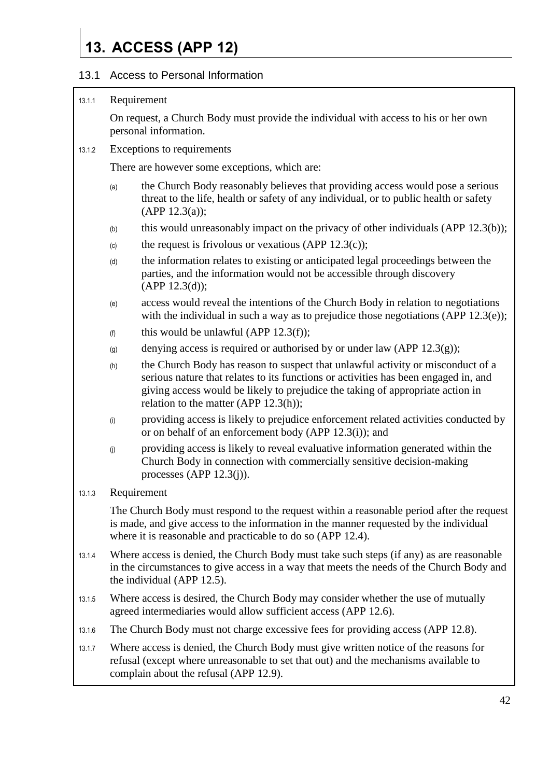## <span id="page-41-0"></span>**13. ACCESS (APP 12)**

#### <span id="page-41-1"></span>13.1 Access to Personal Information

#### 13.1.1 Requirement

On request, a Church Body must provide the individual with access to his or her own personal information.

#### 13.1.2 Exceptions to requirements

There are however some exceptions, which are:

- (a) the Church Body reasonably believes that providing access would pose a serious threat to the life, health or safety of any individual, or to public health or safety  $(APP 12.3(a))$ ;
- (b) this would unreasonably impact on the privacy of other individuals (APP 12.3(b));
- (c) the request is frivolous or vexatious (APP  $12.3(c)$ );
- (d) the information relates to existing or anticipated legal proceedings between the parties, and the information would not be accessible through discovery  $(APP 12.3(d));$
- (e) access would reveal the intentions of the Church Body in relation to negotiations with the individual in such a way as to prejudice those negotiations (APP 12.3(e));
- $(h)$  this would be unlawful (APP 12.3(f));
- (g) denying access is required or authorised by or under law (APP 12.3(g));
- (h) the Church Body has reason to suspect that unlawful activity or misconduct of a serious nature that relates to its functions or activities has been engaged in, and giving access would be likely to prejudice the taking of appropriate action in relation to the matter (APP 12.3(h));
- (i) providing access is likely to prejudice enforcement related activities conducted by or on behalf of an enforcement body (APP 12.3(i)); and
- (j) providing access is likely to reveal evaluative information generated within the Church Body in connection with commercially sensitive decision-making processes (APP  $12.3(j)$ ).

#### 13.1.3 Requirement

The Church Body must respond to the request within a reasonable period after the request is made, and give access to the information in the manner requested by the individual where it is reasonable and practicable to do so (APP 12.4).

- 13.1.4 Where access is denied, the Church Body must take such steps (if any) as are reasonable in the circumstances to give access in a way that meets the needs of the Church Body and the individual (APP 12.5).
- 13.1.5 Where access is desired, the Church Body may consider whether the use of mutually agreed intermediaries would allow sufficient access (APP 12.6).
- 13.1.6 The Church Body must not charge excessive fees for providing access (APP 12.8).
- 13.1.7 Where access is denied, the Church Body must give written notice of the reasons for refusal (except where unreasonable to set that out) and the mechanisms available to complain about the refusal (APP 12.9).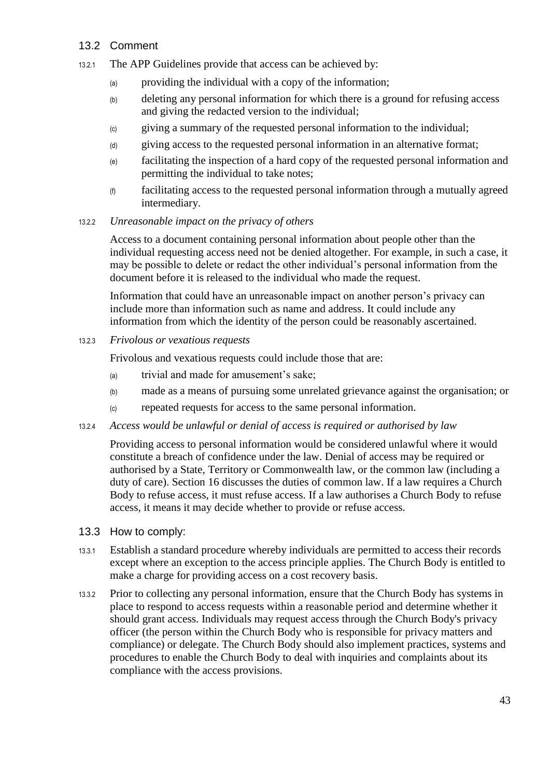#### <span id="page-42-0"></span>13.2 Comment

- 13.2.1 The APP Guidelines provide that access can be achieved by:
	- (a) providing the individual with a copy of the information;
	- (b) deleting any personal information for which there is a ground for refusing access and giving the redacted version to the individual;
	- (c) giving a summary of the requested personal information to the individual;
	- (d) giving access to the requested personal information in an alternative format;
	- (e) facilitating the inspection of a hard copy of the requested personal information and permitting the individual to take notes;
	- (f) facilitating access to the requested personal information through a mutually agreed intermediary.
- 13.2.2 *Unreasonable impact on the privacy of others*

Access to a document containing personal information about people other than the individual requesting access need not be denied altogether. For example, in such a case, it may be possible to delete or redact the other individual's personal information from the document before it is released to the individual who made the request.

Information that could have an unreasonable impact on another person's privacy can include more than information such as name and address. It could include any information from which the identity of the person could be reasonably ascertained.

13.2.3 *Frivolous or vexatious requests*

Frivolous and vexatious requests could include those that are:

- (a) trivial and made for amusement's sake;
- (b) made as a means of pursuing some unrelated grievance against the organisation; or
- (c) repeated requests for access to the same personal information.
- 13.2.4 *Access would be unlawful or denial of access is required or authorised by law*

Providing access to personal information would be considered unlawful where it would constitute a breach of confidence under the law. Denial of access may be required or authorised by a State, Territory or Commonwealth law, or the common law (including a duty of care). Section [16](#page-49-0) discusses the duties of common law. If a law requires a Church Body to refuse access, it must refuse access. If a law authorises a Church Body to refuse access, it means it may decide whether to provide or refuse access.

- <span id="page-42-1"></span>13.3 How to comply:
- 13.3.1 Establish a standard procedure whereby individuals are permitted to access their records except where an exception to the access principle applies. The Church Body is entitled to make a charge for providing access on a cost recovery basis.
- 13.3.2 Prior to collecting any personal information, ensure that the Church Body has systems in place to respond to access requests within a reasonable period and determine whether it should grant access. Individuals may request access through the Church Body's privacy officer (the person within the Church Body who is responsible for privacy matters and compliance) or delegate. The Church Body should also implement practices, systems and procedures to enable the Church Body to deal with inquiries and complaints about its compliance with the access provisions.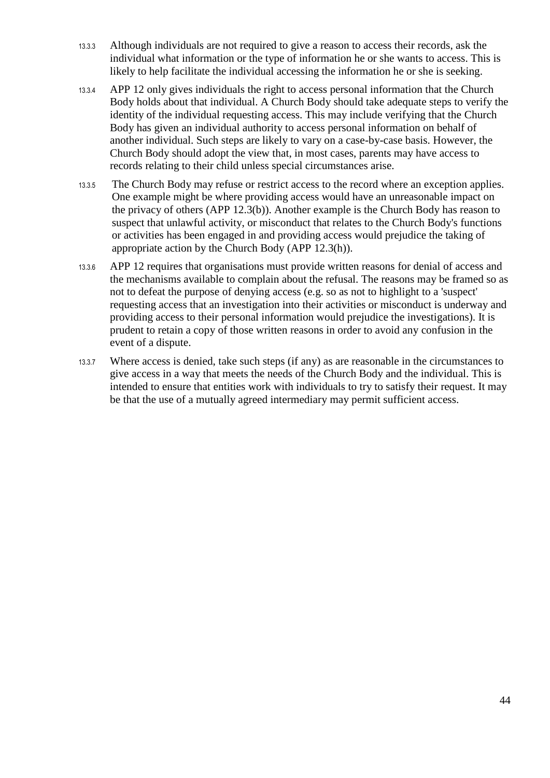- 13.3.3 Although individuals are not required to give a reason to access their records, ask the individual what information or the type of information he or she wants to access. This is likely to help facilitate the individual accessing the information he or she is seeking.
- 13.3.4 APP 12 only gives individuals the right to access personal information that the Church Body holds about that individual. A Church Body should take adequate steps to verify the identity of the individual requesting access. This may include verifying that the Church Body has given an individual authority to access personal information on behalf of another individual. Such steps are likely to vary on a case-by-case basis. However, the Church Body should adopt the view that, in most cases, parents may have access to records relating to their child unless special circumstances arise.
- 13.3.5 The Church Body may refuse or restrict access to the record where an exception applies. One example might be where providing access would have an unreasonable impact on the privacy of others (APP 12.3(b)). Another example is the Church Body has reason to suspect that unlawful activity, or misconduct that relates to the Church Body's functions or activities has been engaged in and providing access would prejudice the taking of appropriate action by the Church Body (APP 12.3(h)).
- 13.3.6 APP 12 requires that organisations must provide written reasons for denial of access and the mechanisms available to complain about the refusal. The reasons may be framed so as not to defeat the purpose of denying access (e.g. so as not to highlight to a 'suspect' requesting access that an investigation into their activities or misconduct is underway and providing access to their personal information would prejudice the investigations). It is prudent to retain a copy of those written reasons in order to avoid any confusion in the event of a dispute.
- 13.3.7 Where access is denied, take such steps (if any) as are reasonable in the circumstances to give access in a way that meets the needs of the Church Body and the individual. This is intended to ensure that entities work with individuals to try to satisfy their request. It may be that the use of a mutually agreed intermediary may permit sufficient access.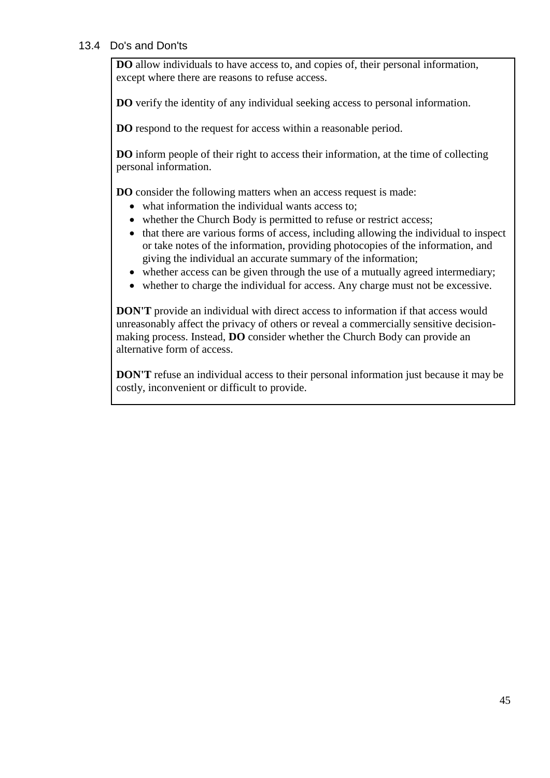#### <span id="page-44-0"></span>13.4 Do's and Don'ts

**DO** allow individuals to have access to, and copies of, their personal information, except where there are reasons to refuse access.

**DO** verify the identity of any individual seeking access to personal information.

**DO** respond to the request for access within a reasonable period.

**DO** inform people of their right to access their information, at the time of collecting personal information.

**DO** consider the following matters when an access request is made:

- what information the individual wants access to;
- whether the Church Body is permitted to refuse or restrict access:
- that there are various forms of access, including allowing the individual to inspect or take notes of the information, providing photocopies of the information, and giving the individual an accurate summary of the information;
- whether access can be given through the use of a mutually agreed intermediary;
- whether to charge the individual for access. Any charge must not be excessive.

**DON'T** provide an individual with direct access to information if that access would unreasonably affect the privacy of others or reveal a commercially sensitive decisionmaking process. Instead, **DO** consider whether the Church Body can provide an alternative form of access.

**DON'T** refuse an individual access to their personal information just because it may be costly, inconvenient or difficult to provide.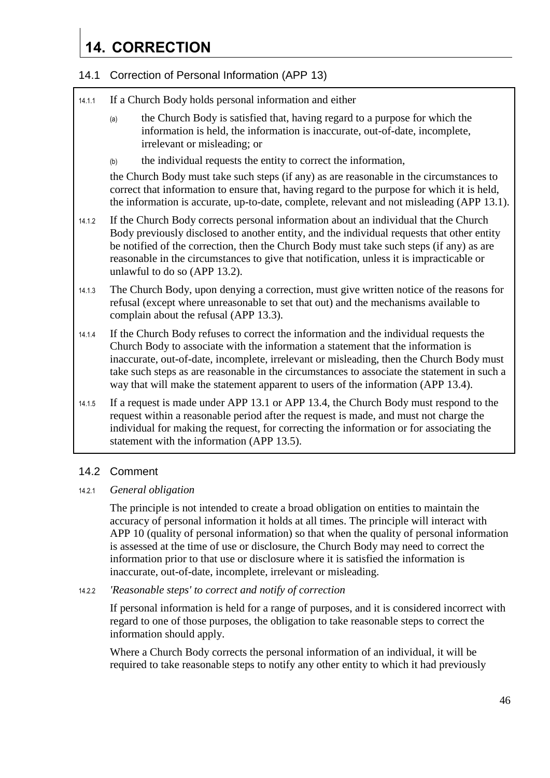## <span id="page-45-0"></span>**14. CORRECTION**

#### <span id="page-45-1"></span>14.1 Correction of Personal Information (APP 13)

- 14.1.1 If a Church Body holds personal information and either
	- (a) the Church Body is satisfied that, having regard to a purpose for which the information is held, the information is inaccurate, out-of-date, incomplete, irrelevant or misleading; or
	- (b) the individual requests the entity to correct the information,

the Church Body must take such steps (if any) as are reasonable in the circumstances to correct that information to ensure that, having regard to the purpose for which it is held, the information is accurate, up-to-date, complete, relevant and not misleading (APP 13.1).

- 14.1.2 If the Church Body corrects personal information about an individual that the Church Body previously disclosed to another entity, and the individual requests that other entity be notified of the correction, then the Church Body must take such steps (if any) as are reasonable in the circumstances to give that notification, unless it is impracticable or unlawful to do so (APP 13.2).
- 14.1.3 The Church Body, upon denying a correction, must give written notice of the reasons for refusal (except where unreasonable to set that out) and the mechanisms available to complain about the refusal (APP 13.3).
- 14.1.4 If the Church Body refuses to correct the information and the individual requests the Church Body to associate with the information a statement that the information is inaccurate, out-of-date, incomplete, irrelevant or misleading, then the Church Body must take such steps as are reasonable in the circumstances to associate the statement in such a way that will make the statement apparent to users of the information (APP 13.4).
- 14.1.5 If a request is made under APP 13.1 or APP 13.4, the Church Body must respond to the request within a reasonable period after the request is made, and must not charge the individual for making the request, for correcting the information or for associating the statement with the information (APP 13.5).

#### <span id="page-45-2"></span>14.2 Comment

#### 14.2.1 *General obligation*

The principle is not intended to create a broad obligation on entities to maintain the accuracy of personal information it holds at all times. The principle will interact with APP 10 (quality of personal information) so that when the quality of personal information is assessed at the time of use or disclosure, the Church Body may need to correct the information prior to that use or disclosure where it is satisfied the information is inaccurate, out-of-date, incomplete, irrelevant or misleading.

#### 14.2.2 *'Reasonable steps' to correct and notify of correction*

If personal information is held for a range of purposes, and it is considered incorrect with regard to one of those purposes, the obligation to take reasonable steps to correct the information should apply.

Where a Church Body corrects the personal information of an individual, it will be required to take reasonable steps to notify any other entity to which it had previously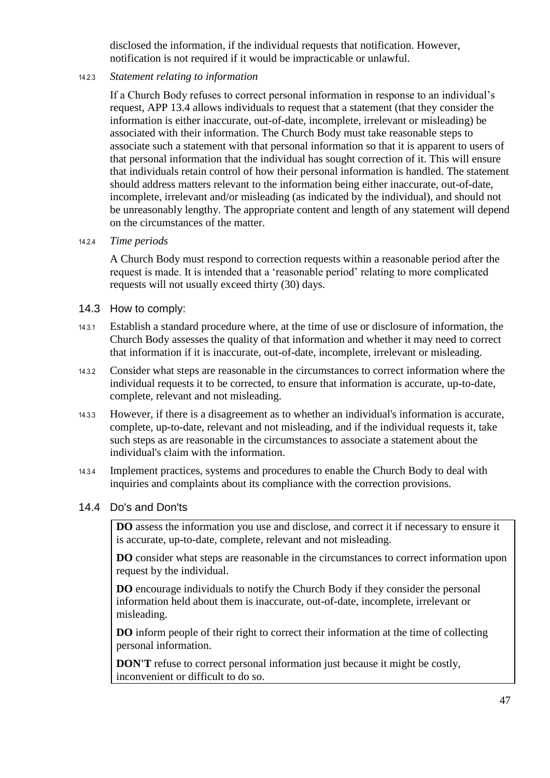disclosed the information, if the individual requests that notification. However, notification is not required if it would be impracticable or unlawful.

#### 14.2.3 *Statement relating to information*

If a Church Body refuses to correct personal information in response to an individual's request, APP 13.4 allows individuals to request that a statement (that they consider the information is either inaccurate, out-of-date, incomplete, irrelevant or misleading) be associated with their information. The Church Body must take reasonable steps to associate such a statement with that personal information so that it is apparent to users of that personal information that the individual has sought correction of it. This will ensure that individuals retain control of how their personal information is handled. The statement should address matters relevant to the information being either inaccurate, out-of-date, incomplete, irrelevant and/or misleading (as indicated by the individual), and should not be unreasonably lengthy. The appropriate content and length of any statement will depend on the circumstances of the matter.

#### 14.2.4 *Time periods*

A Church Body must respond to correction requests within a reasonable period after the request is made. It is intended that a 'reasonable period' relating to more complicated requests will not usually exceed thirty (30) days.

#### <span id="page-46-0"></span>14.3 How to comply:

- 14.3.1 Establish a standard procedure where, at the time of use or disclosure of information, the Church Body assesses the quality of that information and whether it may need to correct that information if it is inaccurate, out-of-date, incomplete, irrelevant or misleading.
- 14.3.2 Consider what steps are reasonable in the circumstances to correct information where the individual requests it to be corrected, to ensure that information is accurate, up-to-date, complete, relevant and not misleading.
- 14.3.3 However, if there is a disagreement as to whether an individual's information is accurate, complete, up-to-date, relevant and not misleading, and if the individual requests it, take such steps as are reasonable in the circumstances to associate a statement about the individual's claim with the information.
- 14.3.4 Implement practices, systems and procedures to enable the Church Body to deal with inquiries and complaints about its compliance with the correction provisions.

#### <span id="page-46-1"></span>14.4 Do's and Don'ts

**DO** assess the information you use and disclose, and correct it if necessary to ensure it is accurate, up-to-date, complete, relevant and not misleading.

**DO** consider what steps are reasonable in the circumstances to correct information upon request by the individual.

**DO** encourage individuals to notify the Church Body if they consider the personal information held about them is inaccurate, out-of-date, incomplete, irrelevant or misleading.

**DO** inform people of their right to correct their information at the time of collecting personal information.

**DON'T** refuse to correct personal information just because it might be costly, inconvenient or difficult to do so.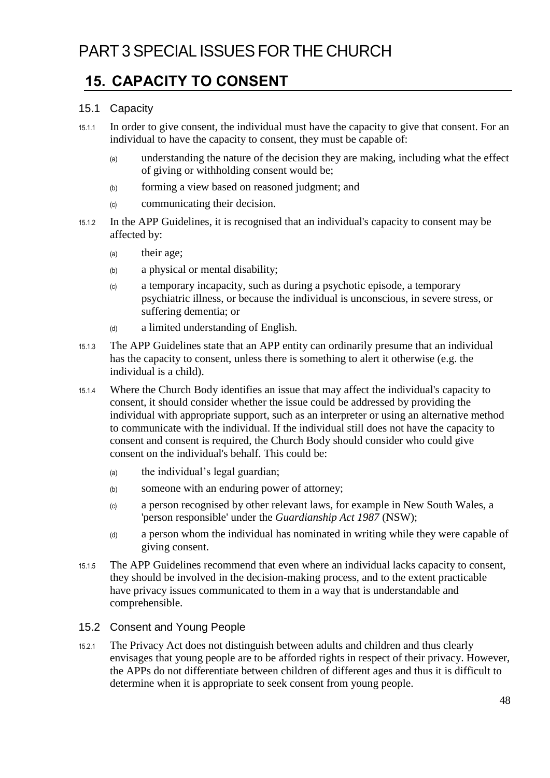### <span id="page-47-1"></span><span id="page-47-0"></span>**15. CAPACITY TO CONSENT**

#### <span id="page-47-2"></span>15.1 Capacity

- 15.1.1 In order to give consent, the individual must have the capacity to give that consent. For an individual to have the capacity to consent, they must be capable of:
	- (a) understanding the nature of the decision they are making, including what the effect of giving or withholding consent would be;
	- (b) forming a view based on reasoned judgment; and
	- (c) communicating their decision.
- 15.1.2 In the APP Guidelines, it is recognised that an individual's capacity to consent may be affected by:
	- (a) their age;
	- (b) a physical or mental disability;
	- (c) a temporary incapacity, such as during a psychotic episode, a temporary psychiatric illness, or because the individual is unconscious, in severe stress, or suffering dementia; or
	- (d) a limited understanding of English.
- 15.1.3 The APP Guidelines state that an APP entity can ordinarily presume that an individual has the capacity to consent, unless there is something to alert it otherwise (e.g. the individual is a child).
- 15.1.4 Where the Church Body identifies an issue that may affect the individual's capacity to consent, it should consider whether the issue could be addressed by providing the individual with appropriate support, such as an interpreter or using an alternative method to communicate with the individual. If the individual still does not have the capacity to consent and consent is required, the Church Body should consider who could give consent on the individual's behalf. This could be:
	- (a) the individual's legal guardian;
	- (b) someone with an enduring power of attorney;
	- (c) a person recognised by other relevant laws, for example in New South Wales, a 'person responsible' under the *Guardianship Act 1987* (NSW);
	- (d) a person whom the individual has nominated in writing while they were capable of giving consent.
- 15.1.5 The APP Guidelines recommend that even where an individual lacks capacity to consent, they should be involved in the decision-making process, and to the extent practicable have privacy issues communicated to them in a way that is understandable and comprehensible.

#### <span id="page-47-3"></span>15.2 Consent and Young People

15.2.1 The Privacy Act does not distinguish between adults and children and thus clearly envisages that young people are to be afforded rights in respect of their privacy. However, the APPs do not differentiate between children of different ages and thus it is difficult to determine when it is appropriate to seek consent from young people.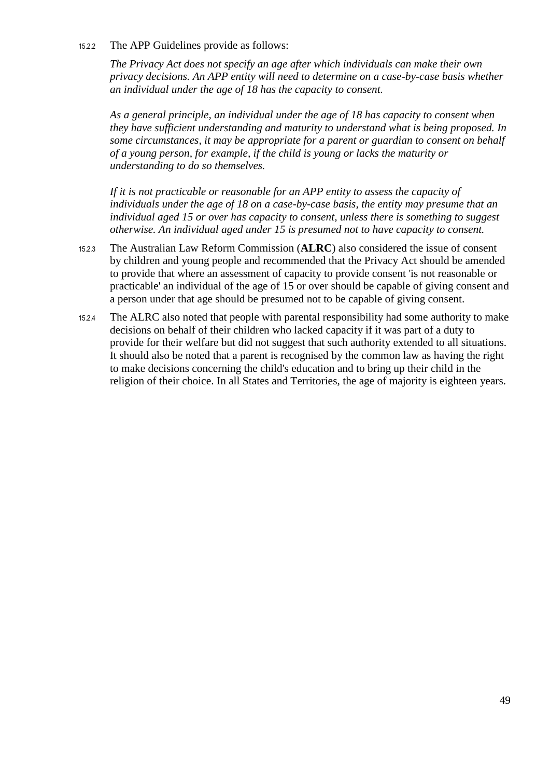15.2.2 The APP Guidelines provide as follows:

*The Privacy Act does not specify an age after which individuals can make their own privacy decisions. An APP entity will need to determine on a case-by-case basis whether an individual under the age of 18 has the capacity to consent.*

*As a general principle, an individual under the age of 18 has capacity to consent when they have sufficient understanding and maturity to understand what is being proposed. In some circumstances, it may be appropriate for a parent or guardian to consent on behalf of a young person, for example, if the child is young or lacks the maturity or understanding to do so themselves.* 

*If it is not practicable or reasonable for an APP entity to assess the capacity of individuals under the age of 18 on a case-by-case basis, the entity may presume that an individual aged 15 or over has capacity to consent, unless there is something to suggest otherwise. An individual aged under 15 is presumed not to have capacity to consent.*

- 15.2.3 The Australian Law Reform Commission (**ALRC**) also considered the issue of consent by children and young people and recommended that the Privacy Act should be amended to provide that where an assessment of capacity to provide consent 'is not reasonable or practicable' an individual of the age of 15 or over should be capable of giving consent and a person under that age should be presumed not to be capable of giving consent.
- 15.2.4 The ALRC also noted that people with parental responsibility had some authority to make decisions on behalf of their children who lacked capacity if it was part of a duty to provide for their welfare but did not suggest that such authority extended to all situations. It should also be noted that a parent is recognised by the common law as having the right to make decisions concerning the child's education and to bring up their child in the religion of their choice. In all States and Territories, the age of majority is eighteen years.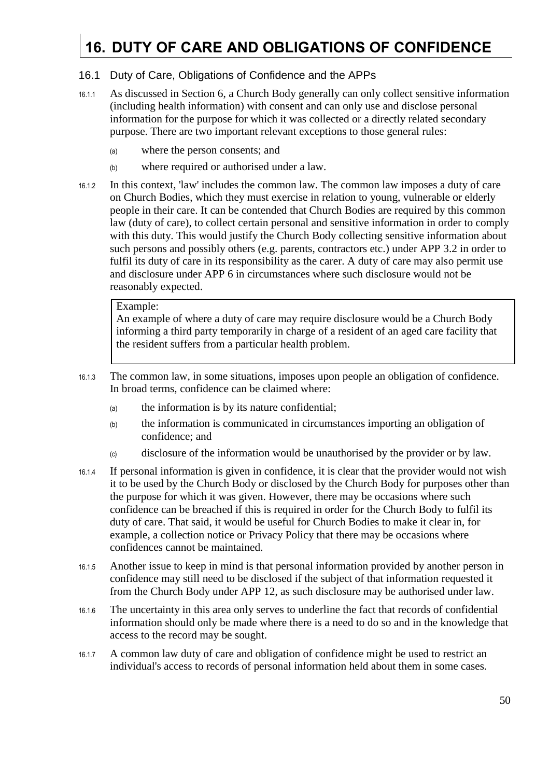## <span id="page-49-0"></span>**16. DUTY OF CARE AND OBLIGATIONS OF CONFIDENCE**

#### <span id="page-49-1"></span>16.1 Duty of Care, Obligations of Confidence and the APPs

- 16.1.1 As discussed in Section [6,](#page-14-0) a Church Body generally can only collect sensitive information (including health information) with consent and can only use and disclose personal information for the purpose for which it was collected or a directly related secondary purpose. There are two important relevant exceptions to those general rules:
	- (a) where the person consents; and
	- (b) where required or authorised under a law.
- 16.1.2 In this context, 'law' includes the common law. The common law imposes a duty of care on Church Bodies, which they must exercise in relation to young, vulnerable or elderly people in their care. It can be contended that Church Bodies are required by this common law (duty of care), to collect certain personal and sensitive information in order to comply with this duty. This would justify the Church Body collecting sensitive information about such persons and possibly others (e.g. parents, contractors etc.) under APP 3.2 in order to fulfil its duty of care in its responsibility as the carer. A duty of care may also permit use and disclosure under APP 6 in circumstances where such disclosure would not be reasonably expected.

#### Example:

An example of where a duty of care may require disclosure would be a Church Body informing a third party temporarily in charge of a resident of an aged care facility that the resident suffers from a particular health problem.

- 16.1.3 The common law, in some situations, imposes upon people an obligation of confidence. In broad terms, confidence can be claimed where:
	- (a) the information is by its nature confidential;
	- (b) the information is communicated in circumstances importing an obligation of confidence; and
	- (c) disclosure of the information would be unauthorised by the provider or by law.
- 16.1.4 If personal information is given in confidence, it is clear that the provider would not wish it to be used by the Church Body or disclosed by the Church Body for purposes other than the purpose for which it was given. However, there may be occasions where such confidence can be breached if this is required in order for the Church Body to fulfil its duty of care. That said, it would be useful for Church Bodies to make it clear in, for example, a collection notice or Privacy Policy that there may be occasions where confidences cannot be maintained.
- 16.1.5 Another issue to keep in mind is that personal information provided by another person in confidence may still need to be disclosed if the subject of that information requested it from the Church Body under APP 12, as such disclosure may be authorised under law.
- 16.1.6 The uncertainty in this area only serves to underline the fact that records of confidential information should only be made where there is a need to do so and in the knowledge that access to the record may be sought.
- 16.1.7 A common law duty of care and obligation of confidence might be used to restrict an individual's access to records of personal information held about them in some cases.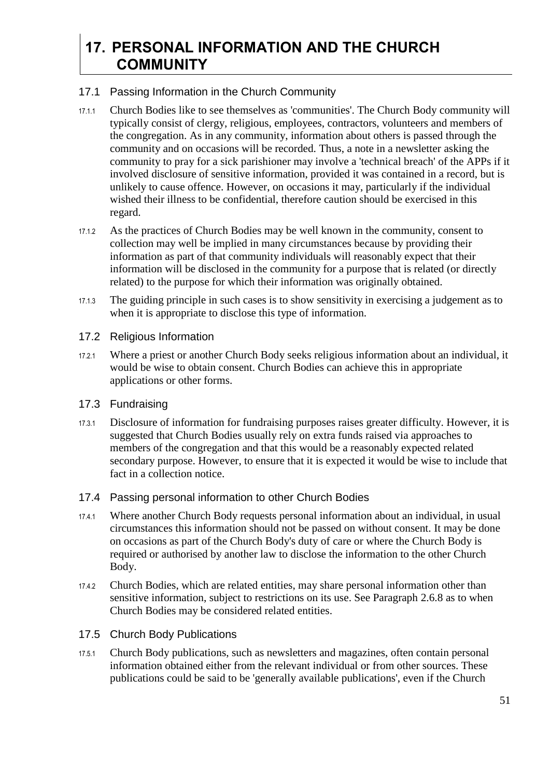### <span id="page-50-0"></span>**17. PERSONAL INFORMATION AND THE CHURCH COMMUNITY**

#### <span id="page-50-1"></span>17.1 Passing Information in the Church Community

- 17.1.1 Church Bodies like to see themselves as 'communities'. The Church Body community will typically consist of clergy, religious, employees, contractors, volunteers and members of the congregation. As in any community, information about others is passed through the community and on occasions will be recorded. Thus, a note in a newsletter asking the community to pray for a sick parishioner may involve a 'technical breach' of the APPs if it involved disclosure of sensitive information, provided it was contained in a record, but is unlikely to cause offence. However, on occasions it may, particularly if the individual wished their illness to be confidential, therefore caution should be exercised in this regard.
- 17.1.2 As the practices of Church Bodies may be well known in the community, consent to collection may well be implied in many circumstances because by providing their information as part of that community individuals will reasonably expect that their information will be disclosed in the community for a purpose that is related (or directly related) to the purpose for which their information was originally obtained.
- 17.1.3 The guiding principle in such cases is to show sensitivity in exercising a judgement as to when it is appropriate to disclose this type of information.
- <span id="page-50-2"></span>17.2 Religious Information
- 17.2.1 Where a priest or another Church Body seeks religious information about an individual, it would be wise to obtain consent. Church Bodies can achieve this in appropriate applications or other forms.

#### <span id="page-50-3"></span>17.3 Fundraising

17.3.1 Disclosure of information for fundraising purposes raises greater difficulty. However, it is suggested that Church Bodies usually rely on extra funds raised via approaches to members of the congregation and that this would be a reasonably expected related secondary purpose. However, to ensure that it is expected it would be wise to include that fact in a collection notice.

#### <span id="page-50-4"></span>17.4 Passing personal information to other Church Bodies

- 17.4.1 Where another Church Body requests personal information about an individual, in usual circumstances this information should not be passed on without consent. It may be done on occasions as part of the Church Body's duty of care or where the Church Body is required or authorised by another law to disclose the information to the other Church Body.
- 17.4.2 Church Bodies, which are related entities, may share personal information other than sensitive information, subject to restrictions on its use. See Paragraph [2.6.8](#page-7-0) as to when Church Bodies may be considered related entities.
- <span id="page-50-5"></span>17.5 Church Body Publications
- 17.5.1 Church Body publications, such as newsletters and magazines, often contain personal information obtained either from the relevant individual or from other sources. These publications could be said to be 'generally available publications', even if the Church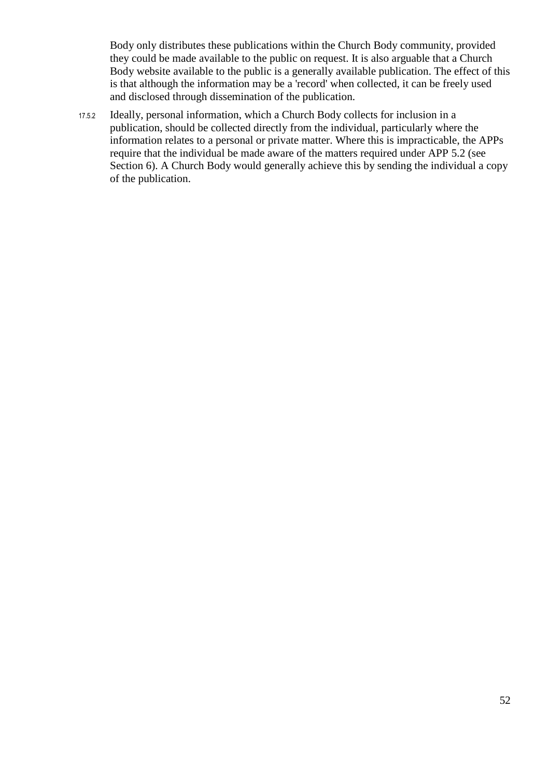Body only distributes these publications within the Church Body community, provided they could be made available to the public on request. It is also arguable that a Church Body website available to the public is a generally available publication. The effect of this is that although the information may be a 'record' when collected, it can be freely used and disclosed through dissemination of the publication.

17.5.2 Ideally, personal information, which a Church Body collects for inclusion in a publication, should be collected directly from the individual, particularly where the information relates to a personal or private matter. Where this is impracticable, the APPs require that the individual be made aware of the matters required under APP 5.2 (see Section [6\)](#page-14-0). A Church Body would generally achieve this by sending the individual a copy of the publication.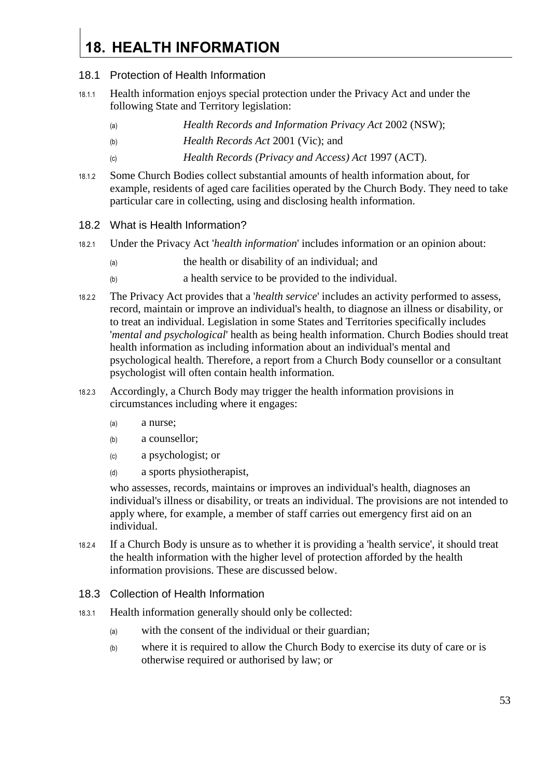## <span id="page-52-0"></span>**18. HEALTH INFORMATION**

#### <span id="page-52-1"></span>18.1 Protection of Health Information

- 18.1.1 Health information enjoys special protection under the Privacy Act and under the following State and Territory legislation:
	- (a) *Health Records and Information Privacy Act* 2002 (NSW);
	- (b) *Health Records Act* 2001 (Vic); and
	- (c) *Health Records (Privacy and Access) Act* 1997 (ACT).
- 18.1.2 Some Church Bodies collect substantial amounts of health information about, for example, residents of aged care facilities operated by the Church Body. They need to take particular care in collecting, using and disclosing health information.

#### <span id="page-52-2"></span>18.2 What is Health Information?

- 18.2.1 Under the Privacy Act '*health information*' includes information or an opinion about:
	- (a) the health or disability of an individual; and
	- (b) a health service to be provided to the individual.
- 18.2.2 The Privacy Act provides that a '*health service*' includes an activity performed to assess, record, maintain or improve an individual's health, to diagnose an illness or disability, or to treat an individual. Legislation in some States and Territories specifically includes '*mental and psychological*' health as being health information. Church Bodies should treat health information as including information about an individual's mental and psychological health. Therefore, a report from a Church Body counsellor or a consultant psychologist will often contain health information.
- 18.2.3 Accordingly, a Church Body may trigger the health information provisions in circumstances including where it engages:
	- (a) a nurse;
	- (b) a counsellor;
	- (c) a psychologist; or
	- (d) a sports physiotherapist,

who assesses, records, maintains or improves an individual's health, diagnoses an individual's illness or disability, or treats an individual. The provisions are not intended to apply where, for example, a member of staff carries out emergency first aid on an individual.

- 18.2.4 If a Church Body is unsure as to whether it is providing a 'health service', it should treat the health information with the higher level of protection afforded by the health information provisions. These are discussed below.
- <span id="page-52-3"></span>18.3 Collection of Health Information
- 18.3.1 Health information generally should only be collected:
	- (a) with the consent of the individual or their guardian;
	- (b) where it is required to allow the Church Body to exercise its duty of care or is otherwise required or authorised by law; or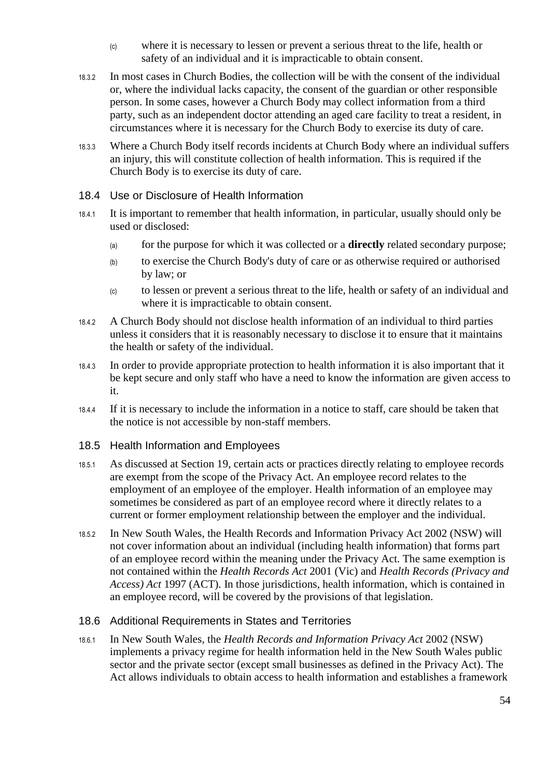- (c) where it is necessary to lessen or prevent a serious threat to the life, health or safety of an individual and it is impracticable to obtain consent.
- 18.3.2 In most cases in Church Bodies, the collection will be with the consent of the individual or, where the individual lacks capacity, the consent of the guardian or other responsible person. In some cases, however a Church Body may collect information from a third party, such as an independent doctor attending an aged care facility to treat a resident, in circumstances where it is necessary for the Church Body to exercise its duty of care.
- 18.3.3 Where a Church Body itself records incidents at Church Body where an individual suffers an injury, this will constitute collection of health information. This is required if the Church Body is to exercise its duty of care.
- <span id="page-53-0"></span>18.4 Use or Disclosure of Health Information
- 18.4.1 It is important to remember that health information, in particular, usually should only be used or disclosed:
	- (a) for the purpose for which it was collected or a **directly** related secondary purpose;
	- (b) to exercise the Church Body's duty of care or as otherwise required or authorised by law; or
	- (c) to lessen or prevent a serious threat to the life, health or safety of an individual and where it is impracticable to obtain consent.
- 18.4.2 A Church Body should not disclose health information of an individual to third parties unless it considers that it is reasonably necessary to disclose it to ensure that it maintains the health or safety of the individual.
- 18.4.3 In order to provide appropriate protection to health information it is also important that it be kept secure and only staff who have a need to know the information are given access to it.
- 18.4.4 If it is necessary to include the information in a notice to staff, care should be taken that the notice is not accessible by non-staff members.
- <span id="page-53-1"></span>18.5 Health Information and Employees
- 18.5.1 As discussed at Section [19,](#page-56-0) certain acts or practices directly relating to employee records are exempt from the scope of the Privacy Act. An employee record relates to the employment of an employee of the employer. Health information of an employee may sometimes be considered as part of an employee record where it directly relates to a current or former employment relationship between the employer and the individual.
- 18.5.2 In New South Wales, the Health Records and Information Privacy Act 2002 (NSW) will not cover information about an individual (including health information) that forms part of an employee record within the meaning under the Privacy Act. The same exemption is not contained within the *Health Records Act* 2001 (Vic) and *Health Records (Privacy and Access) Act* 1997 (ACT). In those jurisdictions, health information, which is contained in an employee record, will be covered by the provisions of that legislation.

#### <span id="page-53-2"></span>18.6 Additional Requirements in States and Territories

18.6.1 In New South Wales, the *Health Records and Information Privacy Act* 2002 (NSW) implements a privacy regime for health information held in the New South Wales public sector and the private sector (except small businesses as defined in the Privacy Act). The Act allows individuals to obtain access to health information and establishes a framework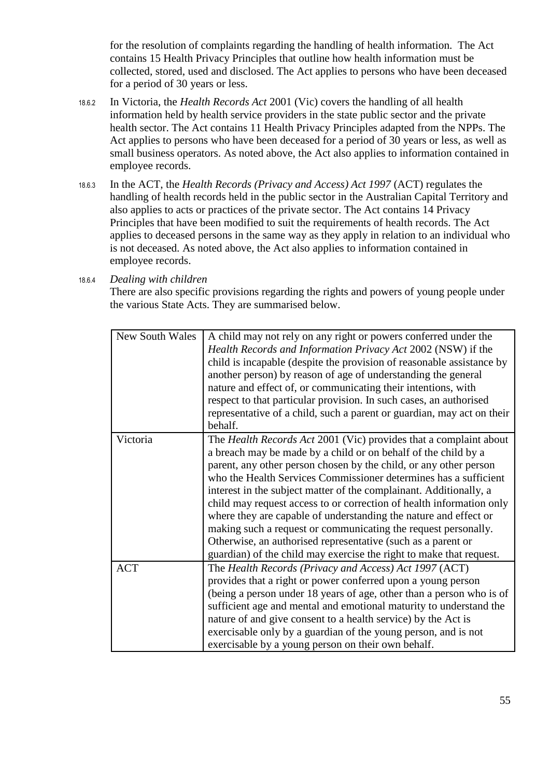for the resolution of complaints regarding the handling of health information. The Act contains 15 Health Privacy Principles that outline how health information must be collected, stored, used and disclosed. The Act applies to persons who have been deceased for a period of 30 years or less.

- 18.6.2 In Victoria, the *Health Records Act* 2001 (Vic) covers the handling of all health information held by health service providers in the state public sector and the private health sector. The Act contains 11 Health Privacy Principles adapted from the NPPs. The Act applies to persons who have been deceased for a period of 30 years or less, as well as small business operators. As noted above, the Act also applies to information contained in employee records.
- 18.6.3 In the ACT, the *Health Records (Privacy and Access) Act 1997* (ACT) regulates the handling of health records held in the public sector in the Australian Capital Territory and also applies to acts or practices of the private sector. The Act contains 14 Privacy Principles that have been modified to suit the requirements of health records. The Act applies to deceased persons in the same way as they apply in relation to an individual who is not deceased. As noted above, the Act also applies to information contained in employee records.

18.6.4 *Dealing with children* 

There are also specific provisions regarding the rights and powers of young people under the various State Acts. They are summarised below.

| <b>New South Wales</b> | A child may not rely on any right or powers conferred under the        |
|------------------------|------------------------------------------------------------------------|
|                        | Health Records and Information Privacy Act 2002 (NSW) if the           |
|                        | child is incapable (despite the provision of reasonable assistance by  |
|                        | another person) by reason of age of understanding the general          |
|                        | nature and effect of, or communicating their intentions, with          |
|                        | respect to that particular provision. In such cases, an authorised     |
|                        | representative of a child, such a parent or guardian, may act on their |
|                        | behalf.                                                                |
| Victoria               | The Health Records Act 2001 (Vic) provides that a complaint about      |
|                        | a breach may be made by a child or on behalf of the child by a         |
|                        | parent, any other person chosen by the child, or any other person      |
|                        | who the Health Services Commissioner determines has a sufficient       |
|                        | interest in the subject matter of the complainant. Additionally, a     |
|                        | child may request access to or correction of health information only   |
|                        | where they are capable of understanding the nature and effect or       |
|                        | making such a request or communicating the request personally.         |
|                        | Otherwise, an authorised representative (such as a parent or           |
|                        | guardian) of the child may exercise the right to make that request.    |
| <b>ACT</b>             | The Health Records (Privacy and Access) Act 1997 (ACT)                 |
|                        | provides that a right or power conferred upon a young person           |
|                        | (being a person under 18 years of age, other than a person who is of   |
|                        | sufficient age and mental and emotional maturity to understand the     |
|                        | nature of and give consent to a health service) by the Act is          |
|                        | exercisable only by a guardian of the young person, and is not         |
|                        | exercisable by a young person on their own behalf.                     |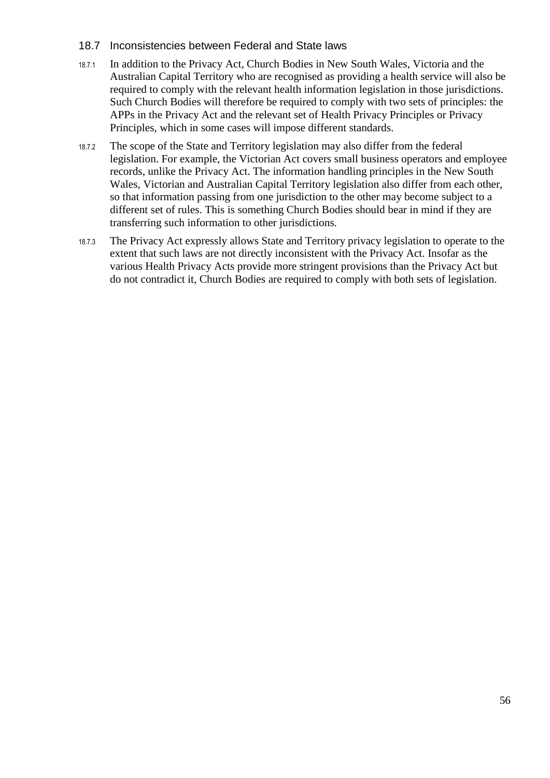#### <span id="page-55-0"></span>18.7 Inconsistencies between Federal and State laws

- 18.7.1 In addition to the Privacy Act, Church Bodies in New South Wales, Victoria and the Australian Capital Territory who are recognised as providing a health service will also be required to comply with the relevant health information legislation in those jurisdictions. Such Church Bodies will therefore be required to comply with two sets of principles: the APPs in the Privacy Act and the relevant set of Health Privacy Principles or Privacy Principles, which in some cases will impose different standards.
- 18.7.2 The scope of the State and Territory legislation may also differ from the federal legislation. For example, the Victorian Act covers small business operators and employee records, unlike the Privacy Act. The information handling principles in the New South Wales, Victorian and Australian Capital Territory legislation also differ from each other, so that information passing from one jurisdiction to the other may become subject to a different set of rules. This is something Church Bodies should bear in mind if they are transferring such information to other jurisdictions.
- 18.7.3 The Privacy Act expressly allows State and Territory privacy legislation to operate to the extent that such laws are not directly inconsistent with the Privacy Act. Insofar as the various Health Privacy Acts provide more stringent provisions than the Privacy Act but do not contradict it, Church Bodies are required to comply with both sets of legislation.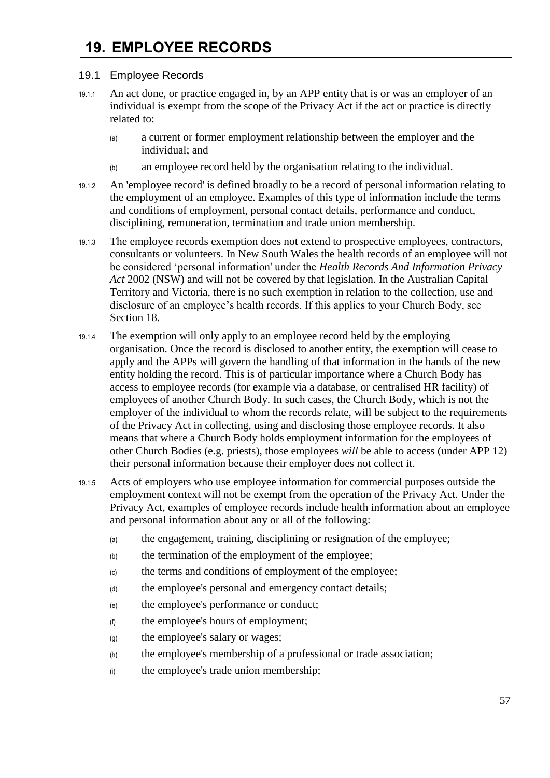## <span id="page-56-0"></span>**19. EMPLOYEE RECORDS**

#### <span id="page-56-1"></span>19.1 Employee Records

- 19.1.1 An act done, or practice engaged in, by an APP entity that is or was an employer of an individual is exempt from the scope of the Privacy Act if the act or practice is directly related to:
	- (a) a current or former employment relationship between the employer and the individual; and
	- (b) an employee record held by the organisation relating to the individual.
- 19.1.2 An 'employee record' is defined broadly to be a record of personal information relating to the employment of an employee. Examples of this type of information include the terms and conditions of employment, personal contact details, performance and conduct, disciplining, remuneration, termination and trade union membership.
- 19.1.3 The employee records exemption does not extend to prospective employees, contractors, consultants or volunteers. In New South Wales the health records of an employee will not be considered 'personal information' under the *Health Records And Information Privacy Act* 2002 (NSW) and will not be covered by that legislation. In the Australian Capital Territory and Victoria, there is no such exemption in relation to the collection, use and disclosure of an employee's health records. If this applies to your Church Body, see Section [18.](#page-52-0)
- 19.1.4 The exemption will only apply to an employee record held by the employing organisation. Once the record is disclosed to another entity, the exemption will cease to apply and the APPs will govern the handling of that information in the hands of the new entity holding the record. This is of particular importance where a Church Body has access to employee records (for example via a database, or centralised HR facility) of employees of another Church Body. In such cases, the Church Body, which is not the employer of the individual to whom the records relate, will be subject to the requirements of the Privacy Act in collecting, using and disclosing those employee records. It also means that where a Church Body holds employment information for the employees of other Church Bodies (e.g. priests), those employees *will* be able to access (under APP 12) their personal information because their employer does not collect it.
- 19.1.5 Acts of employers who use employee information for commercial purposes outside the employment context will not be exempt from the operation of the Privacy Act. Under the Privacy Act, examples of employee records include health information about an employee and personal information about any or all of the following:
	- (a) the engagement, training, disciplining or resignation of the employee;
	- (b) the termination of the employment of the employee;
	- (c) the terms and conditions of employment of the employee;
	- (d) the employee's personal and emergency contact details;
	- (e) the employee's performance or conduct;
	- (f) the employee's hours of employment;
	- (g) the employee's salary or wages;
	- (h) the employee's membership of a professional or trade association;
	- (i) the employee's trade union membership;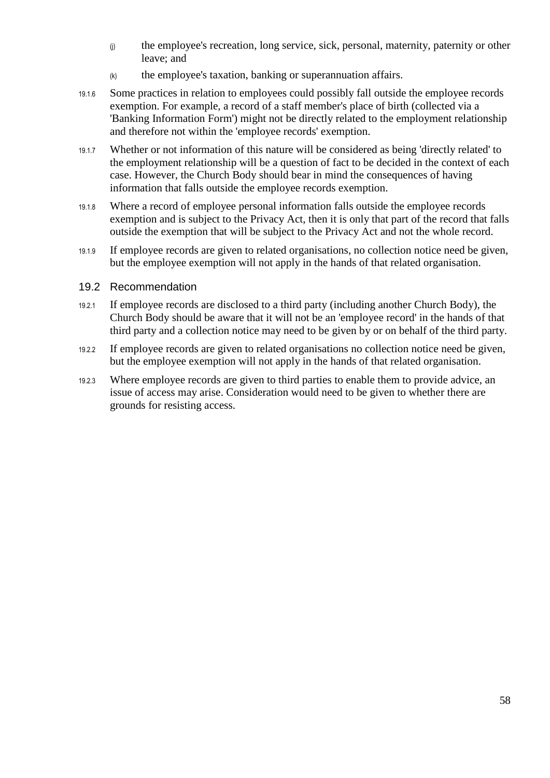- (j) the employee's recreation, long service, sick, personal, maternity, paternity or other leave; and
- $(k)$  the employee's taxation, banking or superannuation affairs.
- 19.1.6 Some practices in relation to employees could possibly fall outside the employee records exemption. For example, a record of a staff member's place of birth (collected via a 'Banking Information Form') might not be directly related to the employment relationship and therefore not within the 'employee records' exemption.
- 19.1.7 Whether or not information of this nature will be considered as being 'directly related' to the employment relationship will be a question of fact to be decided in the context of each case. However, the Church Body should bear in mind the consequences of having information that falls outside the employee records exemption.
- 19.1.8 Where a record of employee personal information falls outside the employee records exemption and is subject to the Privacy Act, then it is only that part of the record that falls outside the exemption that will be subject to the Privacy Act and not the whole record.
- 19.1.9 If employee records are given to related organisations, no collection notice need be given, but the employee exemption will not apply in the hands of that related organisation.

#### <span id="page-57-0"></span>19.2 Recommendation

- 19.2.1 If employee records are disclosed to a third party (including another Church Body), the Church Body should be aware that it will not be an 'employee record' in the hands of that third party and a collection notice may need to be given by or on behalf of the third party.
- 19.2.2 If employee records are given to related organisations no collection notice need be given, but the employee exemption will not apply in the hands of that related organisation.
- 19.2.3 Where employee records are given to third parties to enable them to provide advice, an issue of access may arise. Consideration would need to be given to whether there are grounds for resisting access.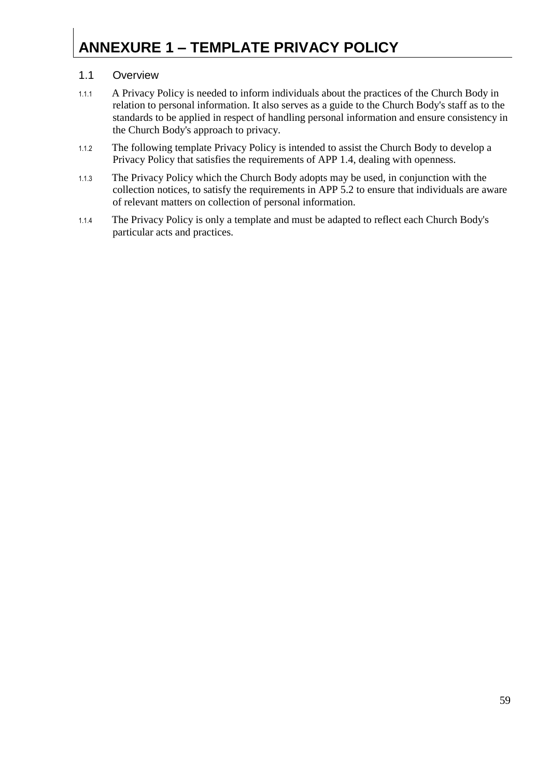## <span id="page-58-0"></span>**ANNEXURE 1 – TEMPLATE PRIVACY POLICY**

#### 1.1 Overview

- 1.1.1 A Privacy Policy is needed to inform individuals about the practices of the Church Body in relation to personal information. It also serves as a guide to the Church Body's staff as to the standards to be applied in respect of handling personal information and ensure consistency in the Church Body's approach to privacy.
- 1.1.2 The following template Privacy Policy is intended to assist the Church Body to develop a Privacy Policy that satisfies the requirements of APP 1.4, dealing with openness.
- 1.1.3 The Privacy Policy which the Church Body adopts may be used, in conjunction with the collection notices, to satisfy the requirements in APP 5.2 to ensure that individuals are aware of relevant matters on collection of personal information.
- 1.1.4 The Privacy Policy is only a template and must be adapted to reflect each Church Body's particular acts and practices.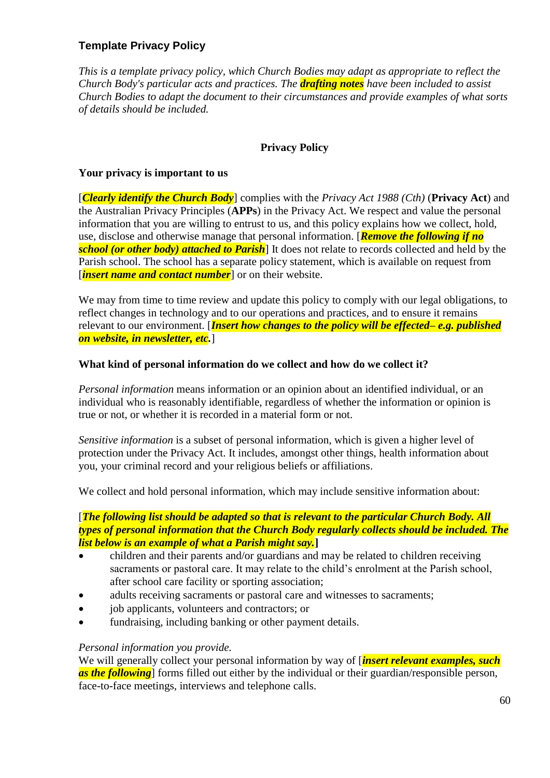#### **Template Privacy Policy**

*This is a template privacy policy, which Church Bodies may adapt as appropriate to reflect the Church Body's particular acts and practices. The drafting notes have been included to assist Church Bodies to adapt the document to their circumstances and provide examples of what sorts of details should be included.* 

#### **Privacy Policy**

#### **Your privacy is important to us**

[*Clearly identify the Church Body*] complies with the *Privacy Act 1988 (Cth)* (**Privacy Act**) and the Australian Privacy Principles (**APPs**) in the Privacy Act. We respect and value the personal information that you are willing to entrust to us, and this policy explains how we collect, hold, use, disclose and otherwise manage that personal information. [*Remove the following if no school (or other body) attached to Parish*] It does not relate to records collected and held by the Parish school. The school has a separate policy statement, which is available on request from [*insert name and contact number*] or on their website.

We may from time to time review and update this policy to comply with our legal obligations, to reflect changes in technology and to our operations and practices, and to ensure it remains relevant to our environment. [*Insert how changes to the policy will be effected– e.g. published on website, in newsletter, etc.*]

#### **What kind of personal information do we collect and how do we collect it?**

*Personal information* means information or an opinion about an identified individual, or an individual who is reasonably identifiable, regardless of whether the information or opinion is true or not, or whether it is recorded in a material form or not.

*Sensitive information* is a subset of personal information, which is given a higher level of protection under the Privacy Act. It includes, amongst other things, health information about you, your criminal record and your religious beliefs or affiliations.

We collect and hold personal information, which may include sensitive information about:

#### [*The following list should be adapted so that is relevant to the particular Church Body. All types of personal information that the Church Body regularly collects should be included. The list below is an example of what a Parish might say.***]**

- children and their parents and/or guardians and may be related to children receiving sacraments or pastoral care. It may relate to the child's enrolment at the Parish school, after school care facility or sporting association;
- adults receiving sacraments or pastoral care and witnesses to sacraments;
- iob applicants, volunteers and contractors; or
- fundraising, including banking or other payment details.

#### *Personal information you provide.*

We will generally collect your personal information by way of *[insert relevant examples, such*] *as the following* forms filled out either by the individual or their guardian/responsible person, face-to-face meetings, interviews and telephone calls.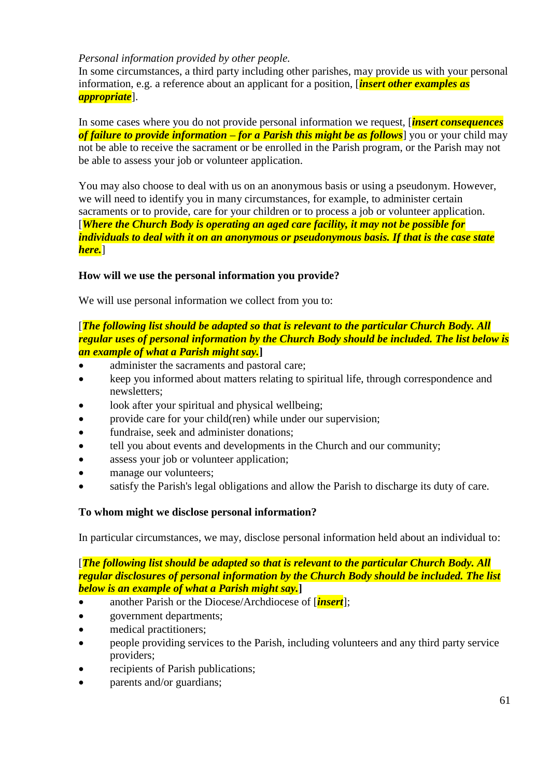#### *Personal information provided by other people.*

In some circumstances, a third party including other parishes, may provide us with your personal information, e.g. a reference about an applicant for a position, [*insert other examples as appropriate*].

In some cases where you do not provide personal information we request, [*insert consequences of failure to provide information – for a Parish this might be as follows*] you or your child may not be able to receive the sacrament or be enrolled in the Parish program, or the Parish may not be able to assess your job or volunteer application.

You may also choose to deal with us on an anonymous basis or using a pseudonym. However, we will need to identify you in many circumstances, for example, to administer certain sacraments or to provide, care for your children or to process a job or volunteer application. [*Where the Church Body is operating an aged care facility, it may not be possible for individuals to deal with it on an anonymous or pseudonymous basis. If that is the case state here.*]

#### **How will we use the personal information you provide?**

We will use personal information we collect from you to:

#### [*The following list should be adapted so that is relevant to the particular Church Body. All regular uses of personal information by the Church Body should be included. The list below is an example of what a Parish might say.***]**

- administer the sacraments and pastoral care;
- keep you informed about matters relating to spiritual life, through correspondence and newsletters;
- look after your spiritual and physical wellbeing;
- provide care for your child(ren) while under our supervision;
- fundraise, seek and administer donations:
- tell you about events and developments in the Church and our community;
- assess your job or volunteer application;
- manage our volunteers;
- satisfy the Parish's legal obligations and allow the Parish to discharge its duty of care.

#### **To whom might we disclose personal information?**

In particular circumstances, we may, disclose personal information held about an individual to:

#### [*The following list should be adapted so that is relevant to the particular Church Body. All regular disclosures of personal information by the Church Body should be included. The list below is an example of what a Parish might say.***]**

- another Parish or the Diocese/Archdiocese of [*insert*];
- government departments;
- medical practitioners;
- people providing services to the Parish, including volunteers and any third party service providers;
- recipients of Parish publications;
- parents and/or guardians;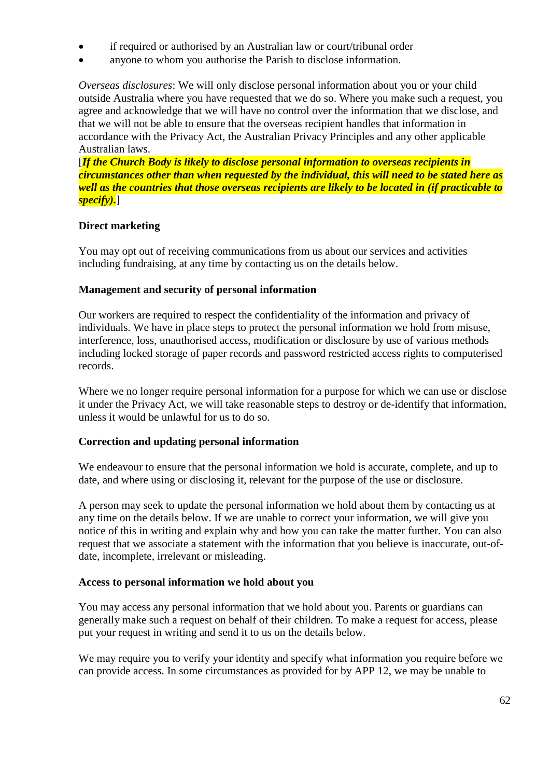- if required or authorised by an Australian law or court/tribunal order
- anyone to whom you authorise the Parish to disclose information.

*Overseas disclosures*: We will only disclose personal information about you or your child outside Australia where you have requested that we do so. Where you make such a request, you agree and acknowledge that we will have no control over the information that we disclose, and that we will not be able to ensure that the overseas recipient handles that information in accordance with the Privacy Act, the Australian Privacy Principles and any other applicable Australian laws.

[*If the Church Body is likely to disclose personal information to overseas recipients in circumstances other than when requested by the individual, this will need to be stated here as well as the countries that those overseas recipients are likely to be located in (if practicable to specify).*]

#### **Direct marketing**

You may opt out of receiving communications from us about our services and activities including fundraising, at any time by contacting us on the details below.

#### **Management and security of personal information**

Our workers are required to respect the confidentiality of the information and privacy of individuals. We have in place steps to protect the personal information we hold from misuse, interference, loss, unauthorised access, modification or disclosure by use of various methods including locked storage of paper records and password restricted access rights to computerised records.

Where we no longer require personal information for a purpose for which we can use or disclose it under the Privacy Act, we will take reasonable steps to destroy or de-identify that information, unless it would be unlawful for us to do so.

#### **Correction and updating personal information**

We endeavour to ensure that the personal information we hold is accurate, complete, and up to date, and where using or disclosing it, relevant for the purpose of the use or disclosure.

A person may seek to update the personal information we hold about them by contacting us at any time on the details below. If we are unable to correct your information, we will give you notice of this in writing and explain why and how you can take the matter further. You can also request that we associate a statement with the information that you believe is inaccurate, out-ofdate, incomplete, irrelevant or misleading.

#### **Access to personal information we hold about you**

You may access any personal information that we hold about you. Parents or guardians can generally make such a request on behalf of their children. To make a request for access, please put your request in writing and send it to us on the details below.

We may require you to verify your identity and specify what information you require before we can provide access. In some circumstances as provided for by APP 12, we may be unable to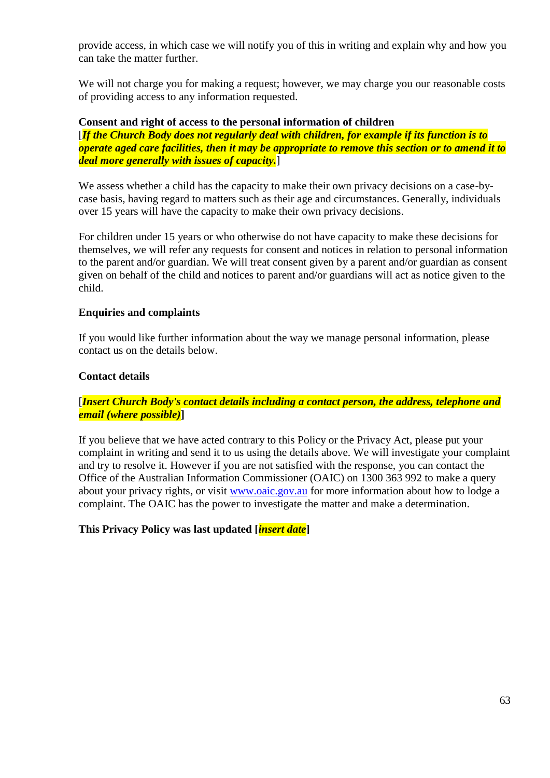provide access, in which case we will notify you of this in writing and explain why and how you can take the matter further.

We will not charge you for making a request; however, we may charge you our reasonable costs of providing access to any information requested.

#### **Consent and right of access to the personal information of children**

[*If the Church Body does not regularly deal with children, for example if its function is to operate aged care facilities, then it may be appropriate to remove this section or to amend it to deal more generally with issues of capacity.*]

We assess whether a child has the capacity to make their own privacy decisions on a case-bycase basis, having regard to matters such as their age and circumstances. Generally, individuals over 15 years will have the capacity to make their own privacy decisions.

For children under 15 years or who otherwise do not have capacity to make these decisions for themselves, we will refer any requests for consent and notices in relation to personal information to the parent and/or guardian. We will treat consent given by a parent and/or guardian as consent given on behalf of the child and notices to parent and/or guardians will act as notice given to the child.

#### **Enquiries and complaints**

If you would like further information about the way we manage personal information, please contact us on the details below.

#### **Contact details**

#### [*Insert Church Body's contact details including a contact person, the address, telephone and email (where possible)***]**

If you believe that we have acted contrary to this Policy or the Privacy Act, please put your complaint in writing and send it to us using the details above. We will investigate your complaint and try to resolve it. However if you are not satisfied with the response, you can contact the Office of the Australian Information Commissioner (OAIC) on 1300 363 992 to make a query about your privacy rights, or visit [www.oaic.gov.au](http://www.oaic.gov.au/) for more information about how to lodge a complaint. The OAIC has the power to investigate the matter and make a determination.

#### **This Privacy Policy was last updated [***insert date***]**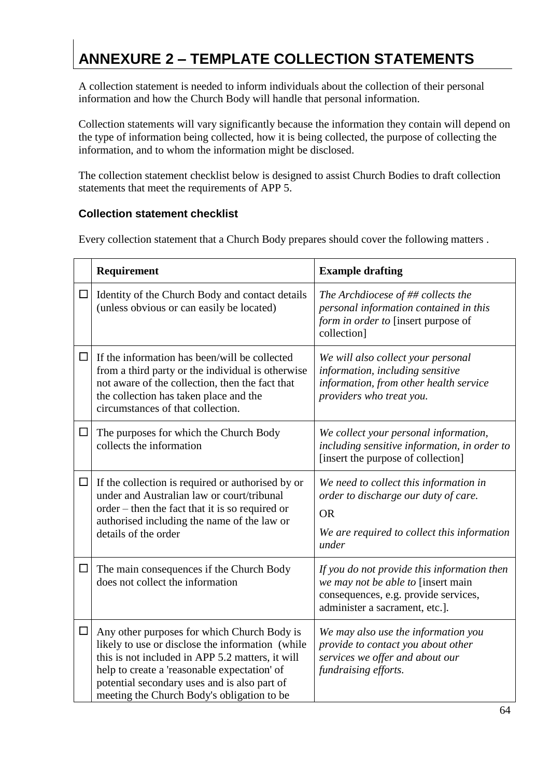## <span id="page-63-0"></span>**ANNEXURE 2 – TEMPLATE COLLECTION STATEMENTS**

A collection statement is needed to inform individuals about the collection of their personal information and how the Church Body will handle that personal information.

Collection statements will vary significantly because the information they contain will depend on the type of information being collected, how it is being collected, the purpose of collecting the information, and to whom the information might be disclosed.

The collection statement checklist below is designed to assist Church Bodies to draft collection statements that meet the requirements of APP 5.

#### **Collection statement checklist**

Every collection statement that a Church Body prepares should cover the following matters .

|        | Requirement                                                                                                                                                                                                                                                                                       | <b>Example drafting</b>                                                                                                                                     |
|--------|---------------------------------------------------------------------------------------------------------------------------------------------------------------------------------------------------------------------------------------------------------------------------------------------------|-------------------------------------------------------------------------------------------------------------------------------------------------------------|
| $\Box$ | Identity of the Church Body and contact details<br>(unless obvious or can easily be located)                                                                                                                                                                                                      | The Archdiocese of ## collects the<br>personal information contained in this<br>form in order to [insert purpose of<br>collection]                          |
| $\Box$ | If the information has been/will be collected<br>from a third party or the individual is otherwise<br>not aware of the collection, then the fact that<br>the collection has taken place and the<br>circumstances of that collection.                                                              | We will also collect your personal<br>information, including sensitive<br>information, from other health service<br>providers who treat you.                |
| $\Box$ | The purposes for which the Church Body<br>collects the information                                                                                                                                                                                                                                | We collect your personal information,<br>including sensitive information, in order to<br>[insert the purpose of collection]                                 |
| $\Box$ | If the collection is required or authorised by or<br>under and Australian law or court/tribunal<br>order – then the fact that it is so required or<br>authorised including the name of the law or<br>details of the order                                                                         | We need to collect this information in<br>order to discharge our duty of care.<br><b>OR</b><br>We are required to collect this information<br>under         |
| $\Box$ | The main consequences if the Church Body<br>does not collect the information                                                                                                                                                                                                                      | If you do not provide this information then<br>we may not be able to [insert main<br>consequences, e.g. provide services,<br>administer a sacrament, etc.]. |
| $\Box$ | Any other purposes for which Church Body is<br>likely to use or disclose the information (while<br>this is not included in APP 5.2 matters, it will<br>help to create a 'reasonable expectation' of<br>potential secondary uses and is also part of<br>meeting the Church Body's obligation to be | We may also use the information you<br>provide to contact you about other<br>services we offer and about our<br>fundraising efforts.                        |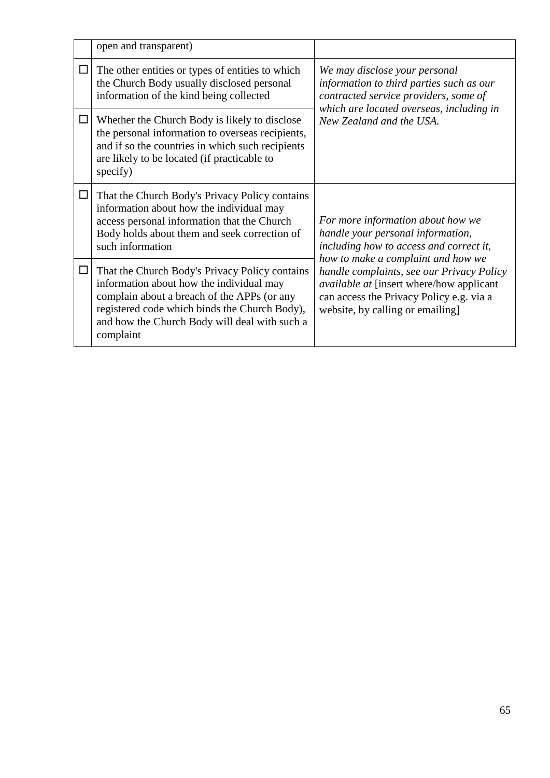|        | open and transparent)                                                                                                                                                                                                                                    |                                                                                                                                                                                            |  |
|--------|----------------------------------------------------------------------------------------------------------------------------------------------------------------------------------------------------------------------------------------------------------|--------------------------------------------------------------------------------------------------------------------------------------------------------------------------------------------|--|
| $\Box$ | The other entities or types of entities to which<br>the Church Body usually disclosed personal<br>information of the kind being collected                                                                                                                | We may disclose your personal<br>information to third parties such as our<br>contracted service providers, some of<br>which are located overseas, including in<br>New Zealand and the USA. |  |
| $\Box$ | Whether the Church Body is likely to disclose<br>the personal information to overseas recipients,<br>and if so the countries in which such recipients<br>are likely to be located (if practicable to<br>specify)                                         |                                                                                                                                                                                            |  |
| $\Box$ | That the Church Body's Privacy Policy contains<br>information about how the individual may<br>access personal information that the Church<br>Body holds about them and seek correction of<br>such information                                            | For more information about how we<br>handle your personal information,<br>including how to access and correct it,<br>how to make a complaint and how we                                    |  |
| $\Box$ | That the Church Body's Privacy Policy contains<br>information about how the individual may<br>complain about a breach of the APPs (or any<br>registered code which binds the Church Body),<br>and how the Church Body will deal with such a<br>complaint | handle complaints, see our Privacy Policy<br>available at [insert where/how applicant<br>can access the Privacy Policy e.g. via a<br>website, by calling or emailing]                      |  |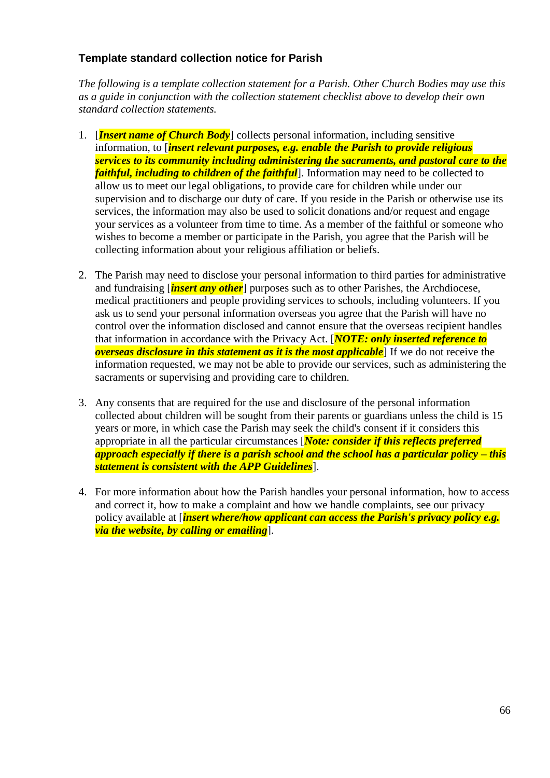#### **Template standard collection notice for Parish**

*The following is a template collection statement for a Parish. Other Church Bodies may use this as a guide in conjunction with the collection statement checklist above to develop their own standard collection statements.* 

- 1. [*Insert name of Church Body*] collects personal information, including sensitive information, to [*insert relevant purposes, e.g. enable the Parish to provide religious services to its community including administering the sacraments, and pastoral care to the faithful, including to children of the faithful*]. Information may need to be collected to allow us to meet our legal obligations, to provide care for children while under our supervision and to discharge our duty of care. If you reside in the Parish or otherwise use its services, the information may also be used to solicit donations and/or request and engage your services as a volunteer from time to time. As a member of the faithful or someone who wishes to become a member or participate in the Parish, you agree that the Parish will be collecting information about your religious affiliation or beliefs.
- 2. The Parish may need to disclose your personal information to third parties for administrative and fundraising [*insert any other*] purposes such as to other Parishes, the Archdiocese, medical practitioners and people providing services to schools, including volunteers. If you ask us to send your personal information overseas you agree that the Parish will have no control over the information disclosed and cannot ensure that the overseas recipient handles that information in accordance with the Privacy Act. [*NOTE: only inserted reference to overseas disclosure in this statement as it is the most applicable*] If we do not receive the information requested, we may not be able to provide our services, such as administering the sacraments or supervising and providing care to children.
- 3. Any consents that are required for the use and disclosure of the personal information collected about children will be sought from their parents or guardians unless the child is 15 years or more, in which case the Parish may seek the child's consent if it considers this appropriate in all the particular circumstances [*Note: consider if this reflects preferred approach especially if there is a parish school and the school has a particular policy – this statement is consistent with the APP Guidelines*].
- 4. For more information about how the Parish handles your personal information, how to access and correct it, how to make a complaint and how we handle complaints, see our privacy policy available at [*insert where/how applicant can access the Parish's privacy policy e.g. via the website, by calling or emailing*].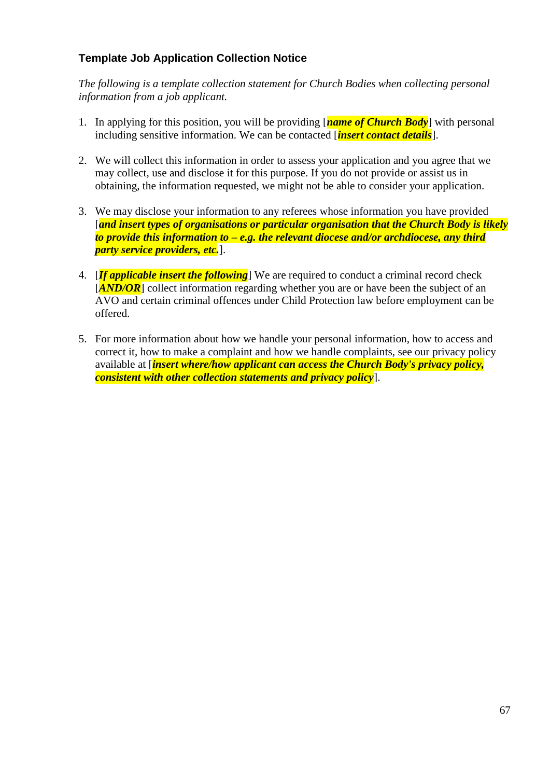#### **Template Job Application Collection Notice**

*The following is a template collection statement for Church Bodies when collecting personal information from a job applicant.* 

- 1. In applying for this position, you will be providing [*name of Church Body*] with personal including sensitive information. We can be contacted [*insert contact details*].
- 2. We will collect this information in order to assess your application and you agree that we may collect, use and disclose it for this purpose. If you do not provide or assist us in obtaining, the information requested, we might not be able to consider your application.
- 3. We may disclose your information to any referees whose information you have provided [*and insert types of organisations or particular organisation that the Church Body is likely to provide this information to – e.g. the relevant diocese and/or archdiocese, any third party service providers, etc.*].
- 4. [*If applicable insert the following*] We are required to conduct a criminal record check [*AND/OR*] collect information regarding whether you are or have been the subject of an AVO and certain criminal offences under Child Protection law before employment can be offered.
- 5. For more information about how we handle your personal information, how to access and correct it, how to make a complaint and how we handle complaints, see our privacy policy available at [*insert where/how applicant can access the Church Body's privacy policy, consistent with other collection statements and privacy policy*].